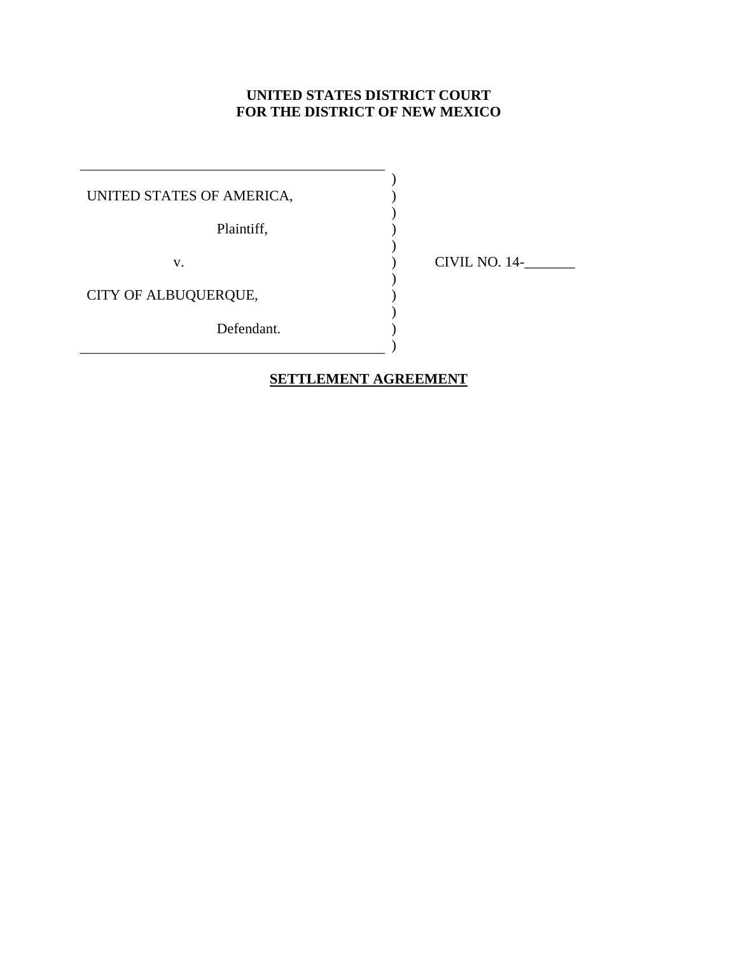# **UNITED STATES DISTRICT COURT FOR THE DISTRICT OF NEW MEXICO**

 $\mathcal{L}$  $\lambda$ ) ) ) ) ) ) ) )  $\mathcal{L}$ 

UNITED STATES OF AMERICA,

Plaintiff,

v.

CIVIL NO. 14-\_\_\_\_\_\_\_

CITY OF ALBUQUERQUE,

Defendant.

# **SETTLEMENT AGREEMENT**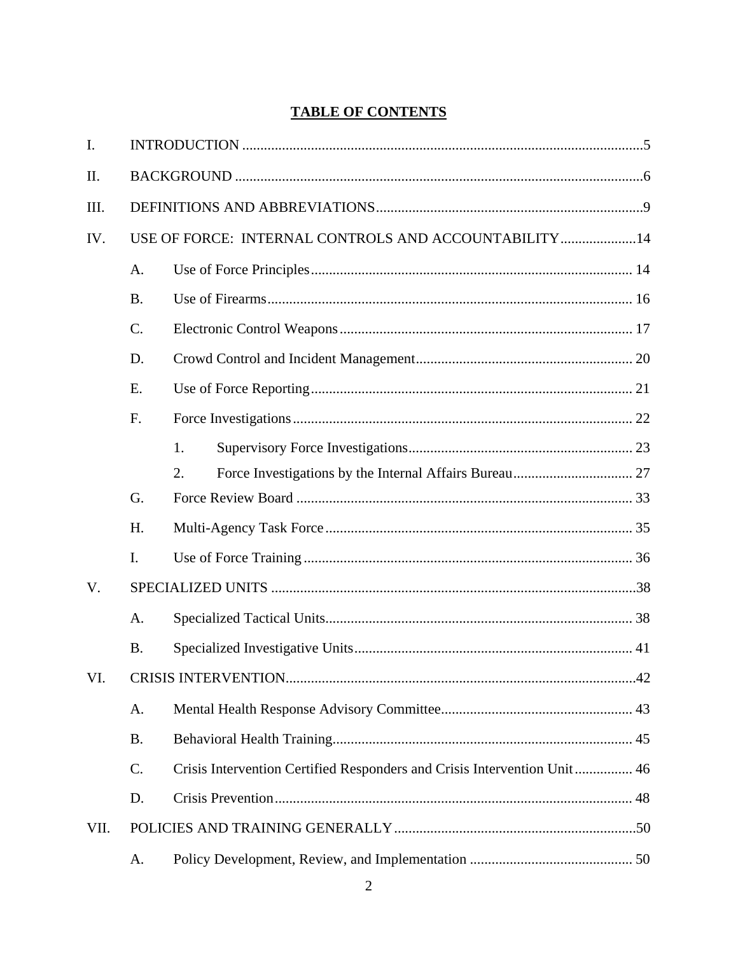# **TABLE OF CONTENTS**

| $\mathbf{I}$ . |           |                                                                          |  |  |  |
|----------------|-----------|--------------------------------------------------------------------------|--|--|--|
| II.            |           |                                                                          |  |  |  |
| III.           |           |                                                                          |  |  |  |
| IV.            |           | USE OF FORCE: INTERNAL CONTROLS AND ACCOUNTABILITY14                     |  |  |  |
|                | A.        |                                                                          |  |  |  |
|                | <b>B.</b> |                                                                          |  |  |  |
|                | C.        |                                                                          |  |  |  |
|                | D.        |                                                                          |  |  |  |
|                | Ε.        |                                                                          |  |  |  |
|                | F.        |                                                                          |  |  |  |
|                |           | 1.                                                                       |  |  |  |
|                |           | 2.                                                                       |  |  |  |
|                | G.        |                                                                          |  |  |  |
|                | H.        |                                                                          |  |  |  |
|                | I.        |                                                                          |  |  |  |
| V.             |           |                                                                          |  |  |  |
|                | A.        |                                                                          |  |  |  |
|                | <b>B.</b> |                                                                          |  |  |  |
| VI.            |           |                                                                          |  |  |  |
|                | A.        |                                                                          |  |  |  |
|                | <b>B.</b> |                                                                          |  |  |  |
|                | C.        | Crisis Intervention Certified Responders and Crisis Intervention Unit 46 |  |  |  |
|                | D.        |                                                                          |  |  |  |
| VII.           |           |                                                                          |  |  |  |
|                | A.        |                                                                          |  |  |  |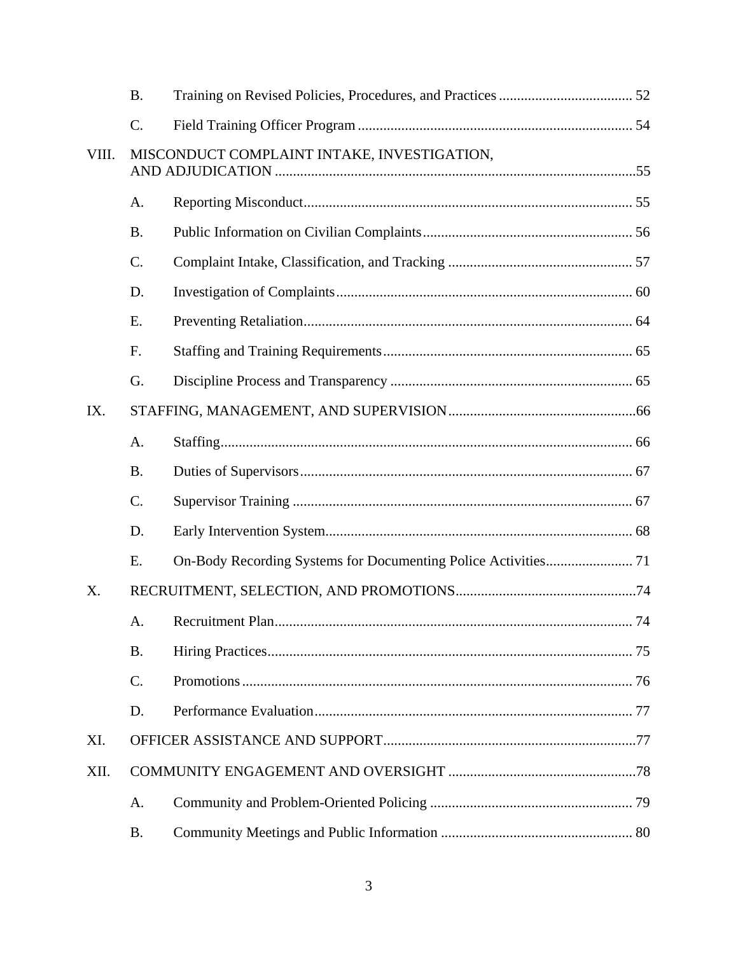|       | <b>B.</b>       |                                             |  |  |
|-------|-----------------|---------------------------------------------|--|--|
|       | $C$ .           |                                             |  |  |
| VIII. |                 | MISCONDUCT COMPLAINT INTAKE, INVESTIGATION, |  |  |
|       | A.              |                                             |  |  |
|       | <b>B.</b>       |                                             |  |  |
|       | C.              |                                             |  |  |
|       | D.              |                                             |  |  |
|       | E.              |                                             |  |  |
|       | F.              |                                             |  |  |
|       | G.              |                                             |  |  |
| IX.   |                 |                                             |  |  |
|       | A.              |                                             |  |  |
|       | <b>B.</b>       |                                             |  |  |
|       | $C$ .           |                                             |  |  |
|       | D.              |                                             |  |  |
|       | E.              |                                             |  |  |
| X.    |                 |                                             |  |  |
|       | A.              |                                             |  |  |
|       | <b>B.</b>       |                                             |  |  |
|       | $\mathcal{C}$ . |                                             |  |  |
|       | D.              |                                             |  |  |
| XI.   |                 |                                             |  |  |
| XII.  |                 |                                             |  |  |
|       | A.              |                                             |  |  |
|       | <b>B.</b>       |                                             |  |  |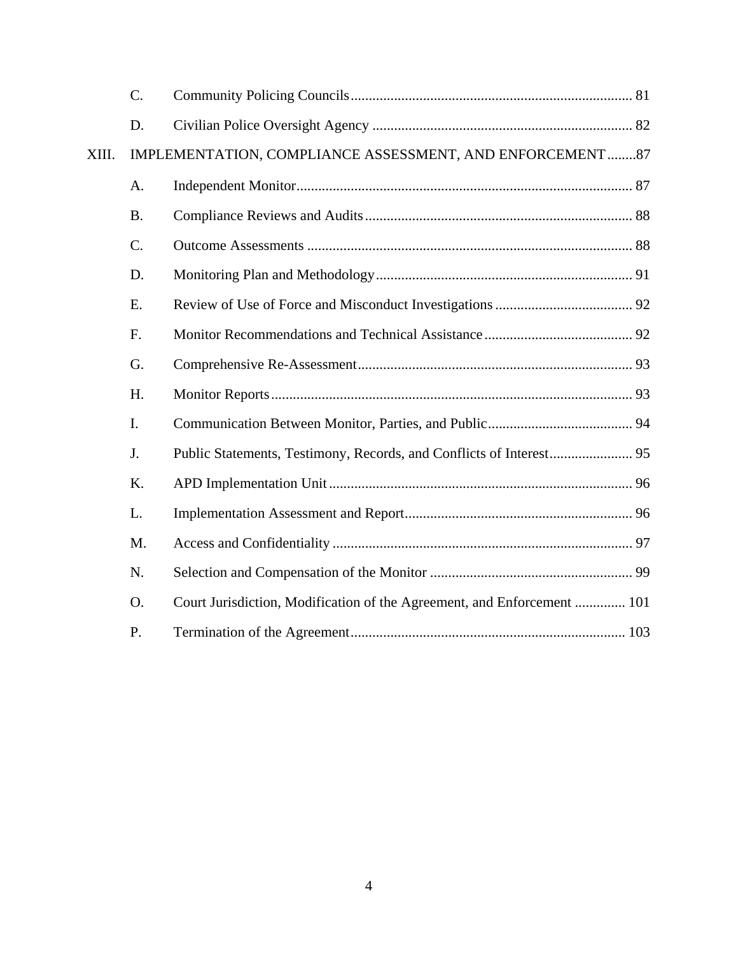|       | C.        |                                                                         |  |
|-------|-----------|-------------------------------------------------------------------------|--|
|       | D.        |                                                                         |  |
| XIII. |           | IMPLEMENTATION, COMPLIANCE ASSESSMENT, AND ENFORCEMENT87                |  |
|       | A.        |                                                                         |  |
|       | <b>B.</b> |                                                                         |  |
|       | C.        |                                                                         |  |
|       | D.        |                                                                         |  |
|       | E.        |                                                                         |  |
|       | F.        |                                                                         |  |
|       | G.        |                                                                         |  |
|       | H.        |                                                                         |  |
|       | I.        |                                                                         |  |
|       | J.        |                                                                         |  |
|       | K.        |                                                                         |  |
|       | L.        |                                                                         |  |
|       | M.        |                                                                         |  |
|       | N.        |                                                                         |  |
|       | O.        | Court Jurisdiction, Modification of the Agreement, and Enforcement  101 |  |
|       | P.        |                                                                         |  |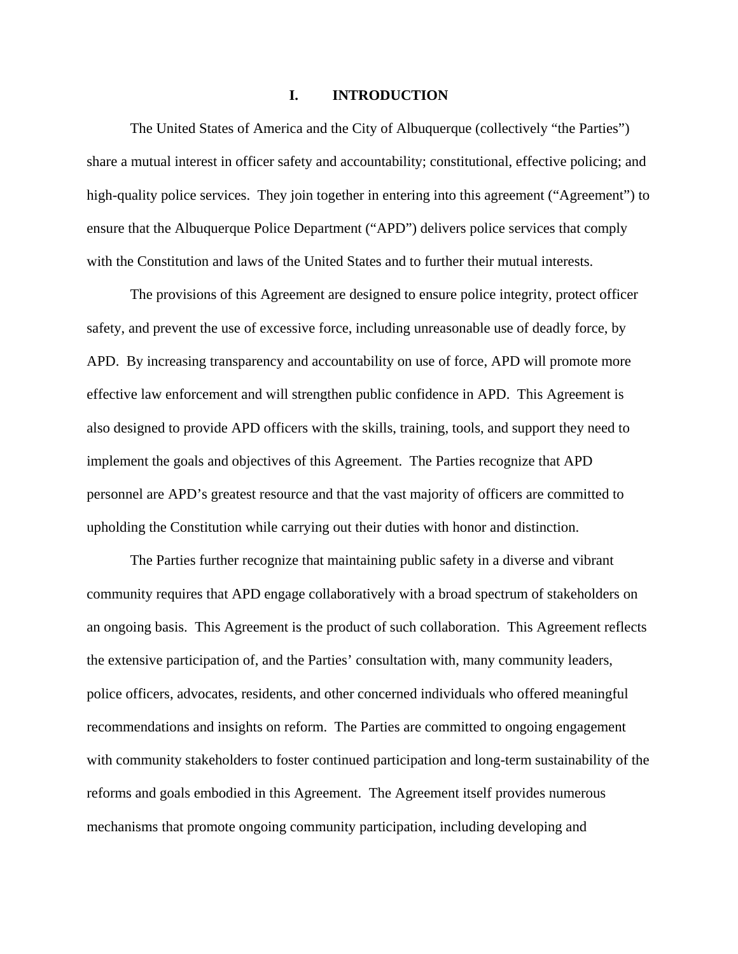### **I. INTRODUCTION**

The United States of America and the City of Albuquerque (collectively "the Parties") share a mutual interest in officer safety and accountability; constitutional, effective policing; and high-quality police services. They join together in entering into this agreement ("Agreement") to ensure that the Albuquerque Police Department ("APD") delivers police services that comply with the Constitution and laws of the United States and to further their mutual interests.

The provisions of this Agreement are designed to ensure police integrity, protect officer safety, and prevent the use of excessive force, including unreasonable use of deadly force, by APD. By increasing transparency and accountability on use of force, APD will promote more effective law enforcement and will strengthen public confidence in APD. This Agreement is also designed to provide APD officers with the skills, training, tools, and support they need to implement the goals and objectives of this Agreement. The Parties recognize that APD personnel are APD's greatest resource and that the vast majority of officers are committed to upholding the Constitution while carrying out their duties with honor and distinction.

The Parties further recognize that maintaining public safety in a diverse and vibrant community requires that APD engage collaboratively with a broad spectrum of stakeholders on an ongoing basis. This Agreement is the product of such collaboration. This Agreement reflects the extensive participation of, and the Parties' consultation with, many community leaders, police officers, advocates, residents, and other concerned individuals who offered meaningful recommendations and insights on reform. The Parties are committed to ongoing engagement with community stakeholders to foster continued participation and long-term sustainability of the reforms and goals embodied in this Agreement. The Agreement itself provides numerous mechanisms that promote ongoing community participation, including developing and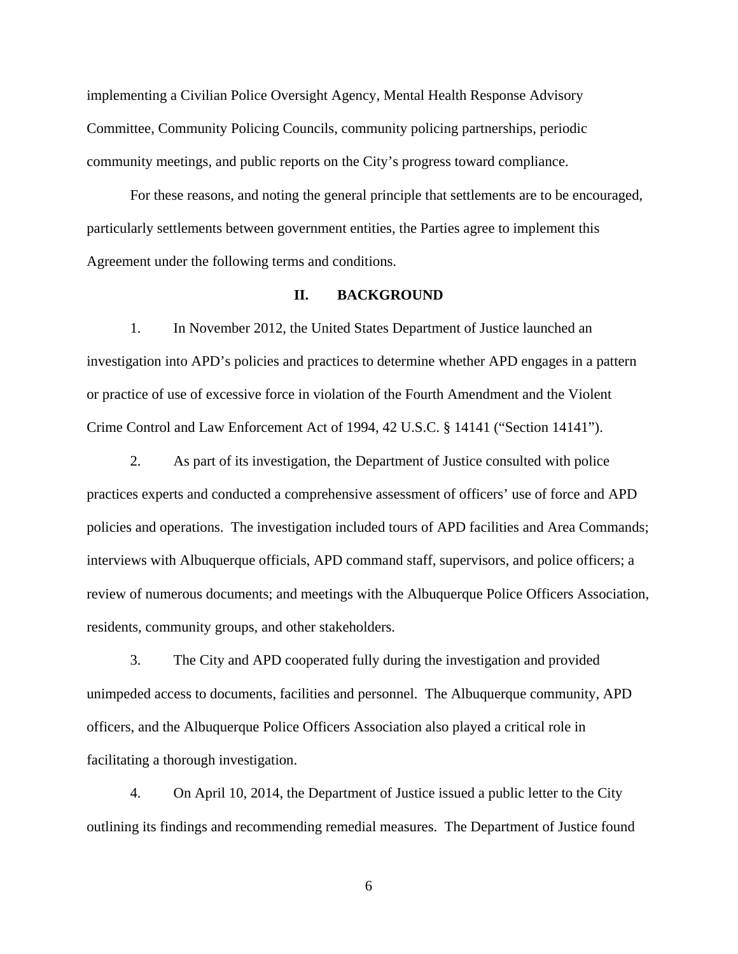implementing a Civilian Police Oversight Agency, Mental Health Response Advisory Committee, Community Policing Councils, community policing partnerships, periodic community meetings, and public reports on the City's progress toward compliance.

For these reasons, and noting the general principle that settlements are to be encouraged, particularly settlements between government entities, the Parties agree to implement this Agreement under the following terms and conditions.

#### **II. BACKGROUND**

1. In November 2012, the United States Department of Justice launched an investigation into APD's policies and practices to determine whether APD engages in a pattern or practice of use of excessive force in violation of the Fourth Amendment and the Violent Crime Control and Law Enforcement Act of 1994, 42 U.S.C. § 14141 ("Section 14141").

2. As part of its investigation, the Department of Justice consulted with police practices experts and conducted a comprehensive assessment of officers' use of force and APD policies and operations. The investigation included tours of APD facilities and Area Commands; interviews with Albuquerque officials, APD command staff, supervisors, and police officers; a review of numerous documents; and meetings with the Albuquerque Police Officers Association, residents, community groups, and other stakeholders.

3. The City and APD cooperated fully during the investigation and provided unimpeded access to documents, facilities and personnel. The Albuquerque community, APD officers, and the Albuquerque Police Officers Association also played a critical role in facilitating a thorough investigation.

4. On April 10, 2014, the Department of Justice issued a public letter to the City outlining its findings and recommending remedial measures. The Department of Justice found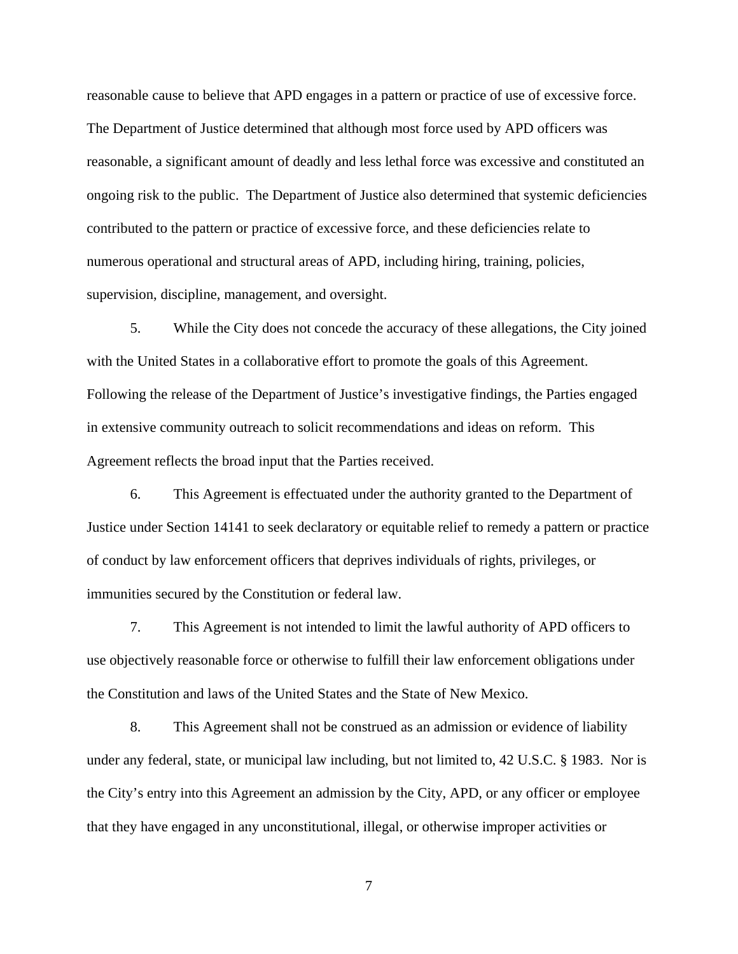reasonable cause to believe that APD engages in a pattern or practice of use of excessive force. The Department of Justice determined that although most force used by APD officers was reasonable, a significant amount of deadly and less lethal force was excessive and constituted an ongoing risk to the public. The Department of Justice also determined that systemic deficiencies contributed to the pattern or practice of excessive force, and these deficiencies relate to numerous operational and structural areas of APD, including hiring, training, policies, supervision, discipline, management, and oversight.

5. While the City does not concede the accuracy of these allegations, the City joined with the United States in a collaborative effort to promote the goals of this Agreement. Following the release of the Department of Justice's investigative findings, the Parties engaged in extensive community outreach to solicit recommendations and ideas on reform. This Agreement reflects the broad input that the Parties received.

6. This Agreement is effectuated under the authority granted to the Department of Justice under Section 14141 to seek declaratory or equitable relief to remedy a pattern or practice of conduct by law enforcement officers that deprives individuals of rights, privileges, or immunities secured by the Constitution or federal law.

7. This Agreement is not intended to limit the lawful authority of APD officers to use objectively reasonable force or otherwise to fulfill their law enforcement obligations under the Constitution and laws of the United States and the State of New Mexico.

8. This Agreement shall not be construed as an admission or evidence of liability under any federal, state, or municipal law including, but not limited to, 42 U.S.C. § 1983. Nor is the City's entry into this Agreement an admission by the City, APD, or any officer or employee that they have engaged in any unconstitutional, illegal, or otherwise improper activities or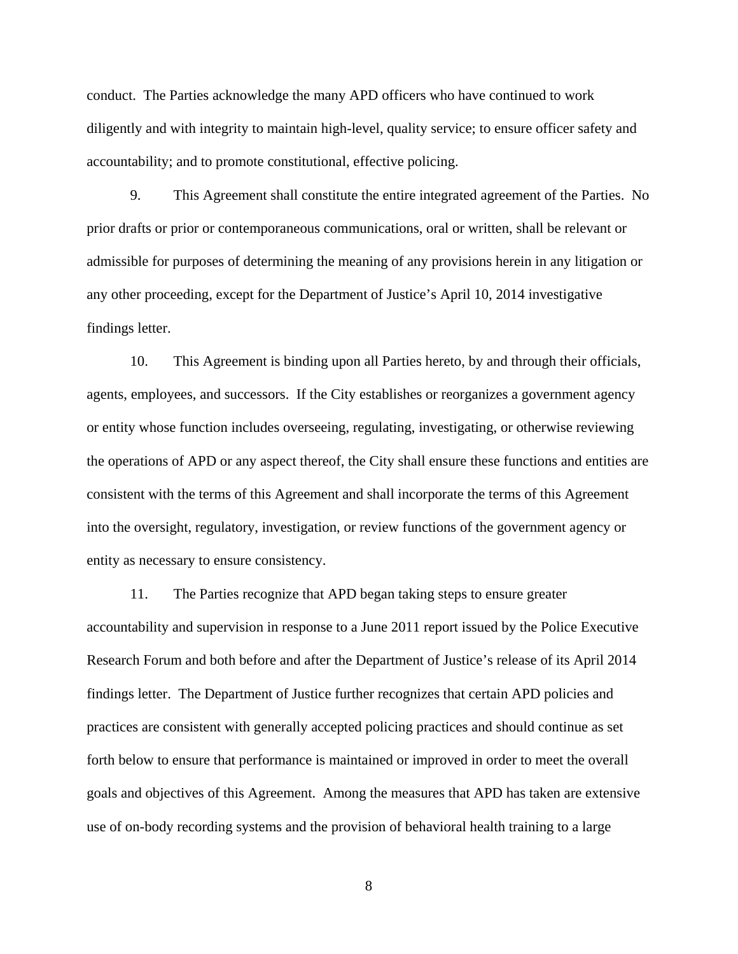conduct. The Parties acknowledge the many APD officers who have continued to work diligently and with integrity to maintain high-level, quality service; to ensure officer safety and accountability; and to promote constitutional, effective policing.

9. This Agreement shall constitute the entire integrated agreement of the Parties. No prior drafts or prior or contemporaneous communications, oral or written, shall be relevant or admissible for purposes of determining the meaning of any provisions herein in any litigation or any other proceeding, except for the Department of Justice's April 10, 2014 investigative findings letter.

10. This Agreement is binding upon all Parties hereto, by and through their officials, agents, employees, and successors. If the City establishes or reorganizes a government agency or entity whose function includes overseeing, regulating, investigating, or otherwise reviewing the operations of APD or any aspect thereof, the City shall ensure these functions and entities are consistent with the terms of this Agreement and shall incorporate the terms of this Agreement into the oversight, regulatory, investigation, or review functions of the government agency or entity as necessary to ensure consistency.

11. The Parties recognize that APD began taking steps to ensure greater accountability and supervision in response to a June 2011 report issued by the Police Executive Research Forum and both before and after the Department of Justice's release of its April 2014 findings letter. The Department of Justice further recognizes that certain APD policies and practices are consistent with generally accepted policing practices and should continue as set forth below to ensure that performance is maintained or improved in order to meet the overall goals and objectives of this Agreement. Among the measures that APD has taken are extensive use of on-body recording systems and the provision of behavioral health training to a large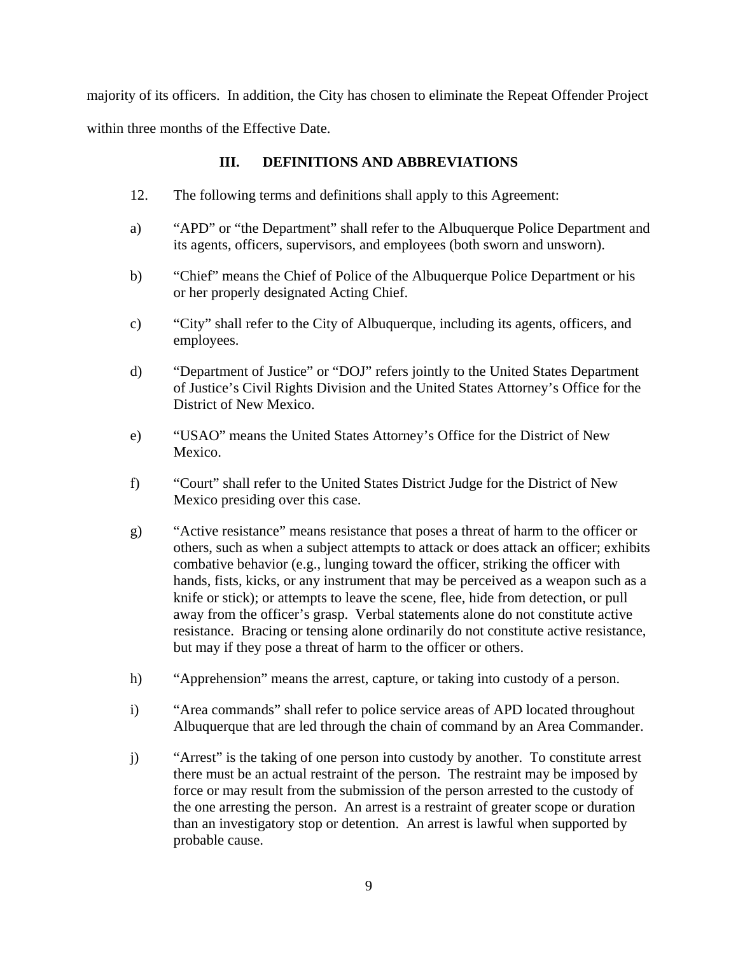majority of its officers. In addition, the City has chosen to eliminate the Repeat Offender Project within three months of the Effective Date.

# **III. DEFINITIONS AND ABBREVIATIONS**

- 12. The following terms and definitions shall apply to this Agreement:
- a) "APD" or "the Department" shall refer to the Albuquerque Police Department and its agents, officers, supervisors, and employees (both sworn and unsworn).
- b) "Chief" means the Chief of Police of the Albuquerque Police Department or his or her properly designated Acting Chief.
- c) "City" shall refer to the City of Albuquerque, including its agents, officers, and employees.
- d) "Department of Justice" or "DOJ" refers jointly to the United States Department of Justice's Civil Rights Division and the United States Attorney's Office for the District of New Mexico.
- e) "USAO" means the United States Attorney's Office for the District of New Mexico.
- f) "Court" shall refer to the United States District Judge for the District of New Mexico presiding over this case.
- g) "Active resistance" means resistance that poses a threat of harm to the officer or others, such as when a subject attempts to attack or does attack an officer; exhibits combative behavior (e.g., lunging toward the officer, striking the officer with hands, fists, kicks, or any instrument that may be perceived as a weapon such as a knife or stick); or attempts to leave the scene, flee, hide from detection, or pull away from the officer's grasp. Verbal statements alone do not constitute active resistance. Bracing or tensing alone ordinarily do not constitute active resistance, but may if they pose a threat of harm to the officer or others.
- h) "Apprehension" means the arrest, capture, or taking into custody of a person.
- i) "Area commands" shall refer to police service areas of APD located throughout Albuquerque that are led through the chain of command by an Area Commander.
- j) "Arrest" is the taking of one person into custody by another. To constitute arrest there must be an actual restraint of the person. The restraint may be imposed by force or may result from the submission of the person arrested to the custody of the one arresting the person. An arrest is a restraint of greater scope or duration than an investigatory stop or detention. An arrest is lawful when supported by probable cause.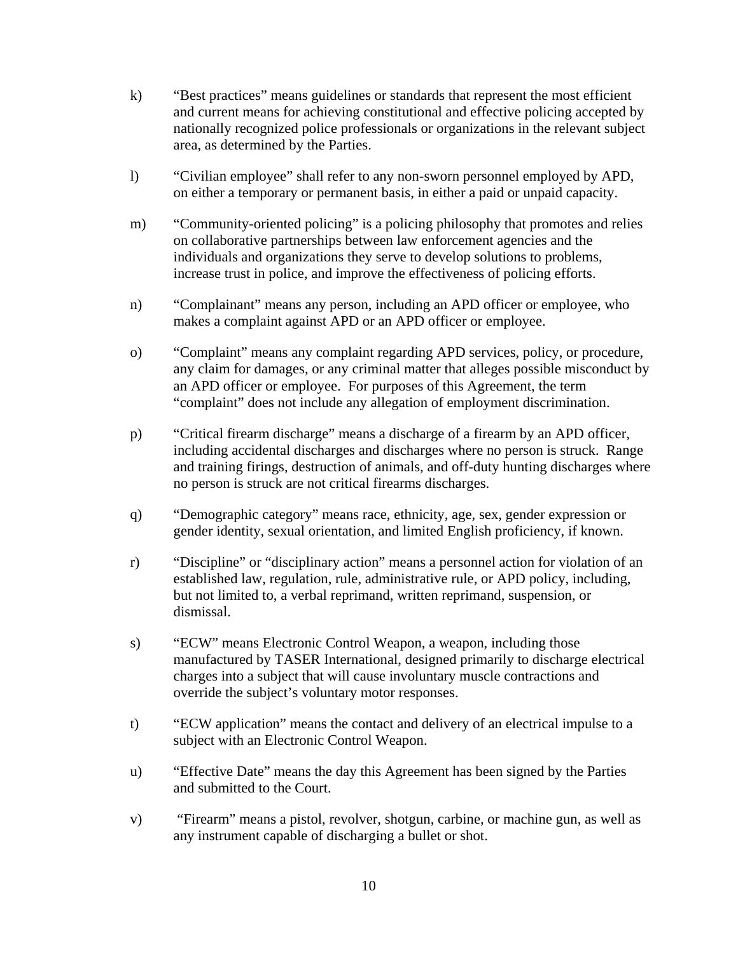- k) "Best practices" means guidelines or standards that represent the most efficient and current means for achieving constitutional and effective policing accepted by nationally recognized police professionals or organizations in the relevant subject area, as determined by the Parties.
- l) "Civilian employee" shall refer to any non-sworn personnel employed by APD, on either a temporary or permanent basis, in either a paid or unpaid capacity.
- m) "Community-oriented policing" is a policing philosophy that promotes and relies on collaborative partnerships between law enforcement agencies and the individuals and organizations they serve to develop solutions to problems, increase trust in police, and improve the effectiveness of policing efforts.
- n) "Complainant" means any person, including an APD officer or employee, who makes a complaint against APD or an APD officer or employee.
- o) "Complaint" means any complaint regarding APD services, policy, or procedure, any claim for damages, or any criminal matter that alleges possible misconduct by an APD officer or employee. For purposes of this Agreement, the term "complaint" does not include any allegation of employment discrimination.
- p) "Critical firearm discharge" means a discharge of a firearm by an APD officer, including accidental discharges and discharges where no person is struck. Range and training firings, destruction of animals, and off-duty hunting discharges where no person is struck are not critical firearms discharges.
- q) "Demographic category" means race, ethnicity, age, sex, gender expression or gender identity, sexual orientation, and limited English proficiency, if known.
- r) "Discipline" or "disciplinary action" means a personnel action for violation of an established law, regulation, rule, administrative rule, or APD policy, including, but not limited to, a verbal reprimand, written reprimand, suspension, or dismissal.
- s) "ECW" means Electronic Control Weapon, a weapon, including those manufactured by TASER International, designed primarily to discharge electrical charges into a subject that will cause involuntary muscle contractions and override the subject's voluntary motor responses.
- t) "ECW application" means the contact and delivery of an electrical impulse to a subject with an Electronic Control Weapon.
- u) "Effective Date" means the day this Agreement has been signed by the Parties and submitted to the Court.
- v) "Firearm" means a pistol, revolver, shotgun, carbine, or machine gun, as well as any instrument capable of discharging a bullet or shot.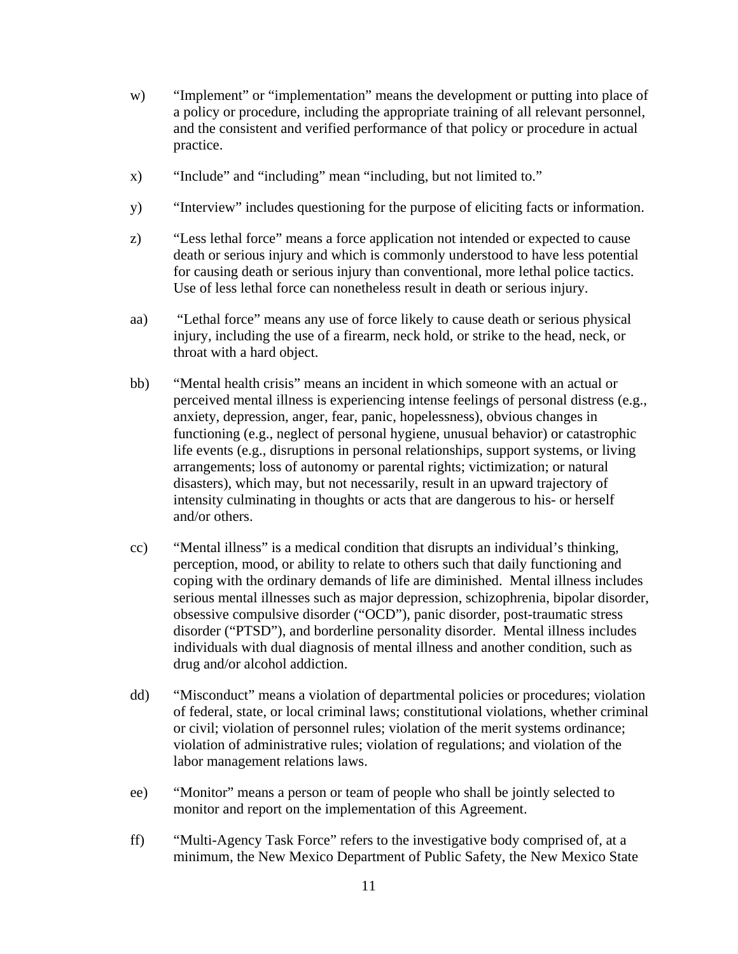- w) "Implement" or "implementation" means the development or putting into place of a policy or procedure, including the appropriate training of all relevant personnel, and the consistent and verified performance of that policy or procedure in actual practice.
- x) "Include" and "including" mean "including, but not limited to."
- y) "Interview" includes questioning for the purpose of eliciting facts or information.
- z) "Less lethal force" means a force application not intended or expected to cause death or serious injury and which is commonly understood to have less potential for causing death or serious injury than conventional, more lethal police tactics. Use of less lethal force can nonetheless result in death or serious injury.
- aa) "Lethal force" means any use of force likely to cause death or serious physical injury, including the use of a firearm, neck hold, or strike to the head, neck, or throat with a hard object.
- bb) "Mental health crisis" means an incident in which someone with an actual or perceived mental illness is experiencing intense feelings of personal distress (e.g., anxiety, depression, anger, fear, panic, hopelessness), obvious changes in functioning (e.g., neglect of personal hygiene, unusual behavior) or catastrophic life events (e.g., disruptions in personal relationships, support systems, or living arrangements; loss of autonomy or parental rights; victimization; or natural disasters), which may, but not necessarily, result in an upward trajectory of intensity culminating in thoughts or acts that are dangerous to his- or herself and/or others.
- cc) "Mental illness" is a medical condition that disrupts an individual's thinking, perception, mood, or ability to relate to others such that daily functioning and coping with the ordinary demands of life are diminished. Mental illness includes serious mental illnesses such as major depression, schizophrenia, bipolar disorder, obsessive compulsive disorder ("OCD"), panic disorder, post-traumatic stress disorder ("PTSD"), and borderline personality disorder. Mental illness includes individuals with dual diagnosis of mental illness and another condition, such as drug and/or alcohol addiction.
- dd) "Misconduct" means a violation of departmental policies or procedures; violation of federal, state, or local criminal laws; constitutional violations, whether criminal or civil; violation of personnel rules; violation of the merit systems ordinance; violation of administrative rules; violation of regulations; and violation of the labor management relations laws.
- ee) "Monitor" means a person or team of people who shall be jointly selected to monitor and report on the implementation of this Agreement.
- ff) "Multi-Agency Task Force" refers to the investigative body comprised of, at a minimum, the New Mexico Department of Public Safety, the New Mexico State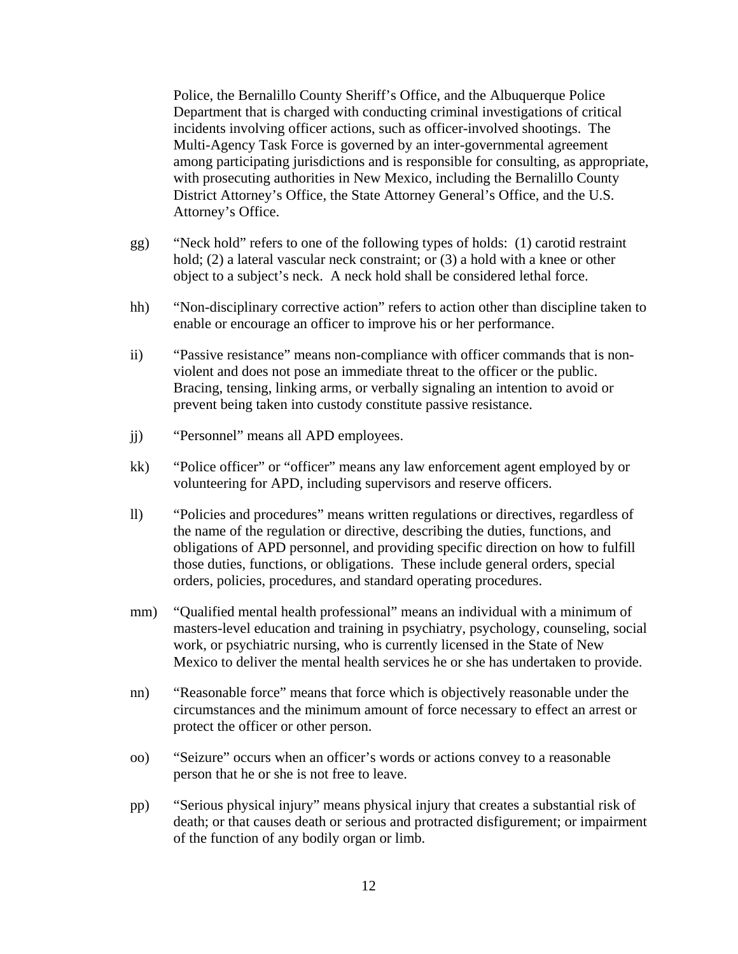Police, the Bernalillo County Sheriff's Office, and the Albuquerque Police Department that is charged with conducting criminal investigations of critical incidents involving officer actions, such as officer-involved shootings. The Multi-Agency Task Force is governed by an inter-governmental agreement among participating jurisdictions and is responsible for consulting, as appropriate, with prosecuting authorities in New Mexico, including the Bernalillo County District Attorney's Office, the State Attorney General's Office, and the U.S. Attorney's Office.

- gg) "Neck hold" refers to one of the following types of holds: (1) carotid restraint hold; (2) a lateral vascular neck constraint; or (3) a hold with a knee or other object to a subject's neck. A neck hold shall be considered lethal force.
- hh) "Non-disciplinary corrective action" refers to action other than discipline taken to enable or encourage an officer to improve his or her performance.
- ii) "Passive resistance" means non-compliance with officer commands that is nonviolent and does not pose an immediate threat to the officer or the public. Bracing, tensing, linking arms, or verbally signaling an intention to avoid or prevent being taken into custody constitute passive resistance.
- jj) "Personnel" means all APD employees.
- kk) "Police officer" or "officer" means any law enforcement agent employed by or volunteering for APD, including supervisors and reserve officers.
- ll) "Policies and procedures" means written regulations or directives, regardless of the name of the regulation or directive, describing the duties, functions, and obligations of APD personnel, and providing specific direction on how to fulfill those duties, functions, or obligations. These include general orders, special orders, policies, procedures, and standard operating procedures.
- mm) "Qualified mental health professional" means an individual with a minimum of masters-level education and training in psychiatry, psychology, counseling, social work, or psychiatric nursing, who is currently licensed in the State of New Mexico to deliver the mental health services he or she has undertaken to provide.
- nn) "Reasonable force" means that force which is objectively reasonable under the circumstances and the minimum amount of force necessary to effect an arrest or protect the officer or other person.
- oo) "Seizure" occurs when an officer's words or actions convey to a reasonable person that he or she is not free to leave.
- pp) "Serious physical injury" means physical injury that creates a substantial risk of death; or that causes death or serious and protracted disfigurement; or impairment of the function of any bodily organ or limb.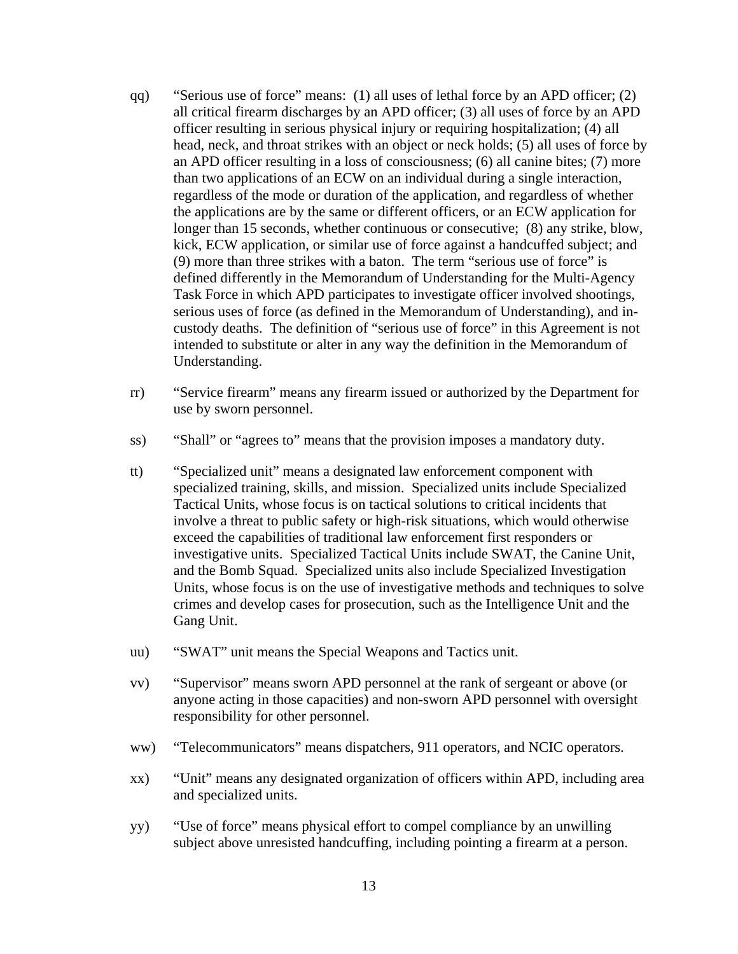- qq) "Serious use of force" means: (1) all uses of lethal force by an APD officer; (2) all critical firearm discharges by an APD officer; (3) all uses of force by an APD officer resulting in serious physical injury or requiring hospitalization; (4) all head, neck, and throat strikes with an object or neck holds; (5) all uses of force by an APD officer resulting in a loss of consciousness; (6) all canine bites; (7) more than two applications of an ECW on an individual during a single interaction, regardless of the mode or duration of the application, and regardless of whether the applications are by the same or different officers, or an ECW application for longer than 15 seconds, whether continuous or consecutive; (8) any strike, blow, kick, ECW application, or similar use of force against a handcuffed subject; and (9) more than three strikes with a baton. The term "serious use of force" is defined differently in the Memorandum of Understanding for the Multi-Agency Task Force in which APD participates to investigate officer involved shootings, serious uses of force (as defined in the Memorandum of Understanding), and incustody deaths. The definition of "serious use of force" in this Agreement is not intended to substitute or alter in any way the definition in the Memorandum of Understanding.
- rr) "Service firearm" means any firearm issued or authorized by the Department for use by sworn personnel.
- ss) "Shall" or "agrees to" means that the provision imposes a mandatory duty.
- tt) "Specialized unit" means a designated law enforcement component with specialized training, skills, and mission. Specialized units include Specialized Tactical Units, whose focus is on tactical solutions to critical incidents that involve a threat to public safety or high-risk situations, which would otherwise exceed the capabilities of traditional law enforcement first responders or investigative units. Specialized Tactical Units include SWAT, the Canine Unit, and the Bomb Squad. Specialized units also include Specialized Investigation Units, whose focus is on the use of investigative methods and techniques to solve crimes and develop cases for prosecution, such as the Intelligence Unit and the Gang Unit.
- uu) "SWAT" unit means the Special Weapons and Tactics unit.
- vv) "Supervisor" means sworn APD personnel at the rank of sergeant or above (or anyone acting in those capacities) and non-sworn APD personnel with oversight responsibility for other personnel.
- ww) "Telecommunicators" means dispatchers, 911 operators, and NCIC operators.
- xx) "Unit" means any designated organization of officers within APD, including area and specialized units.
- yy) "Use of force" means physical effort to compel compliance by an unwilling subject above unresisted handcuffing, including pointing a firearm at a person.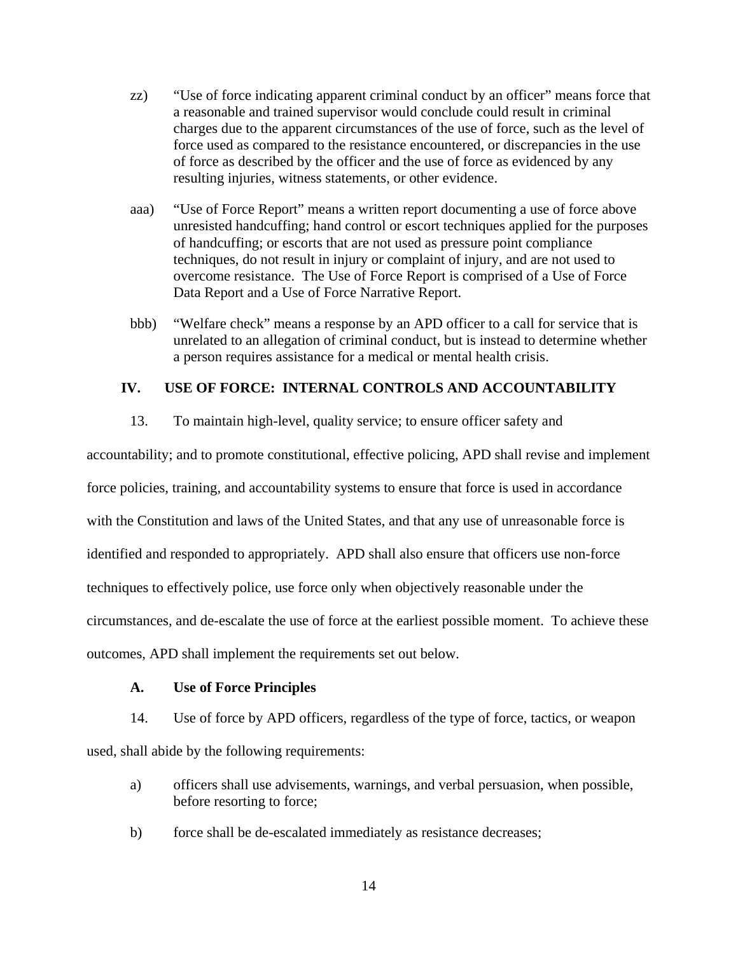- zz) "Use of force indicating apparent criminal conduct by an officer" means force that a reasonable and trained supervisor would conclude could result in criminal charges due to the apparent circumstances of the use of force, such as the level of force used as compared to the resistance encountered, or discrepancies in the use of force as described by the officer and the use of force as evidenced by any resulting injuries, witness statements, or other evidence.
- aaa) "Use of Force Report" means a written report documenting a use of force above unresisted handcuffing; hand control or escort techniques applied for the purposes of handcuffing; or escorts that are not used as pressure point compliance techniques, do not result in injury or complaint of injury, and are not used to overcome resistance. The Use of Force Report is comprised of a Use of Force Data Report and a Use of Force Narrative Report.
- bbb) "Welfare check" means a response by an APD officer to a call for service that is unrelated to an allegation of criminal conduct, but is instead to determine whether a person requires assistance for a medical or mental health crisis.

# **IV. USE OF FORCE: INTERNAL CONTROLS AND ACCOUNTABILITY**

13. To maintain high-level, quality service; to ensure officer safety and

accountability; and to promote constitutional, effective policing, APD shall revise and implement force policies, training, and accountability systems to ensure that force is used in accordance with the Constitution and laws of the United States, and that any use of unreasonable force is identified and responded to appropriately. APD shall also ensure that officers use non-force techniques to effectively police, use force only when objectively reasonable under the circumstances, and de-escalate the use of force at the earliest possible moment. To achieve these outcomes, APD shall implement the requirements set out below.

## **A. Use of Force Principles**

14. Use of force by APD officers, regardless of the type of force, tactics, or weapon used, shall abide by the following requirements:

- a) officers shall use advisements, warnings, and verbal persuasion, when possible, before resorting to force;
- b) force shall be de-escalated immediately as resistance decreases;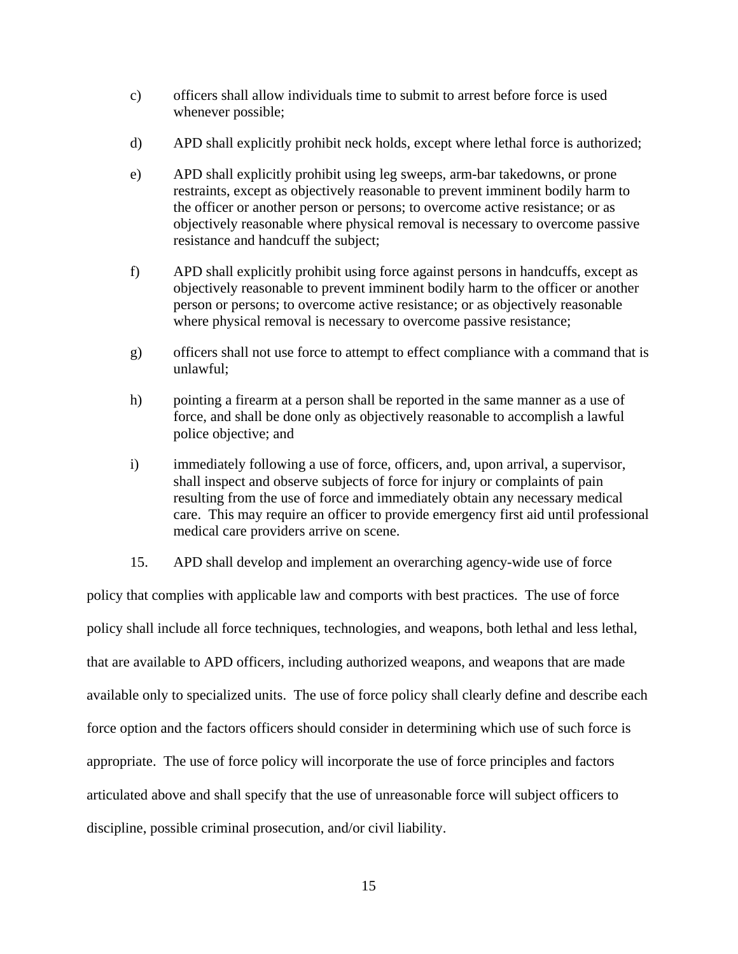- c) officers shall allow individuals time to submit to arrest before force is used whenever possible;
- d) APD shall explicitly prohibit neck holds, except where lethal force is authorized;
- e) APD shall explicitly prohibit using leg sweeps, arm-bar takedowns, or prone restraints, except as objectively reasonable to prevent imminent bodily harm to the officer or another person or persons; to overcome active resistance; or as objectively reasonable where physical removal is necessary to overcome passive resistance and handcuff the subject;
- f) APD shall explicitly prohibit using force against persons in handcuffs, except as objectively reasonable to prevent imminent bodily harm to the officer or another person or persons; to overcome active resistance; or as objectively reasonable where physical removal is necessary to overcome passive resistance;
- g) officers shall not use force to attempt to effect compliance with a command that is unlawful;
- h) pointing a firearm at a person shall be reported in the same manner as a use of force, and shall be done only as objectively reasonable to accomplish a lawful police objective; and
- i) immediately following a use of force, officers, and, upon arrival, a supervisor, shall inspect and observe subjects of force for injury or complaints of pain resulting from the use of force and immediately obtain any necessary medical care. This may require an officer to provide emergency first aid until professional medical care providers arrive on scene.
- 15. APD shall develop and implement an overarching agency-wide use of force

policy that complies with applicable law and comports with best practices. The use of force policy shall include all force techniques, technologies, and weapons, both lethal and less lethal, that are available to APD officers, including authorized weapons, and weapons that are made available only to specialized units. The use of force policy shall clearly define and describe each force option and the factors officers should consider in determining which use of such force is appropriate. The use of force policy will incorporate the use of force principles and factors articulated above and shall specify that the use of unreasonable force will subject officers to discipline, possible criminal prosecution, and/or civil liability.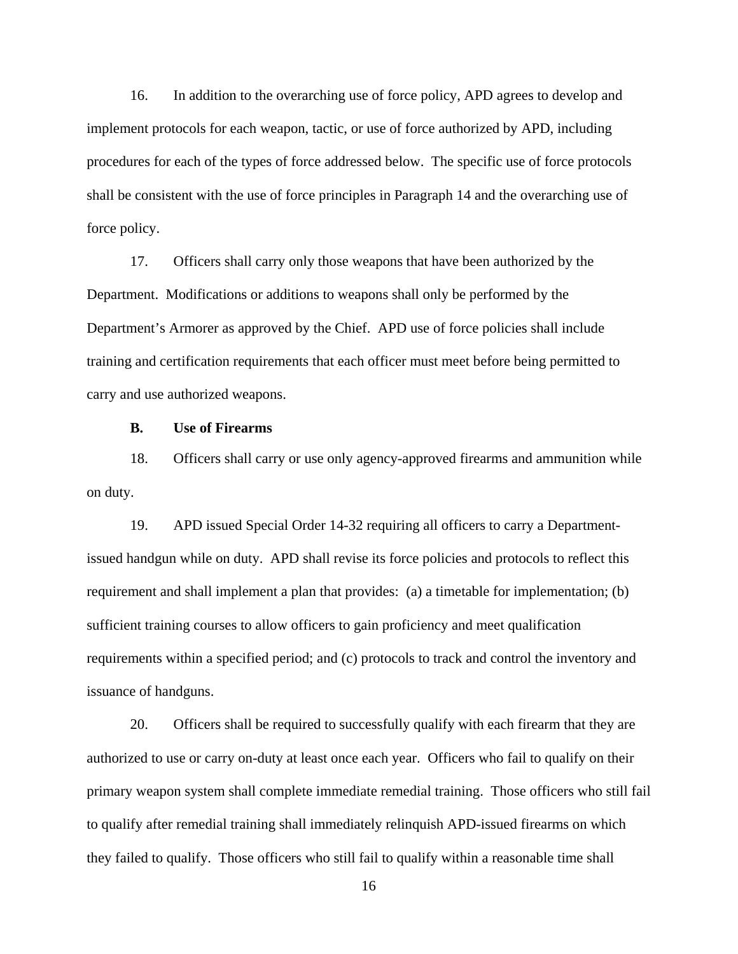16. In addition to the overarching use of force policy, APD agrees to develop and implement protocols for each weapon, tactic, or use of force authorized by APD, including procedures for each of the types of force addressed below. The specific use of force protocols shall be consistent with the use of force principles in Paragraph 14 and the overarching use of force policy.

17. Officers shall carry only those weapons that have been authorized by the Department. Modifications or additions to weapons shall only be performed by the Department's Armorer as approved by the Chief. APD use of force policies shall include training and certification requirements that each officer must meet before being permitted to carry and use authorized weapons.

#### **B. Use of Firearms**

18. Officers shall carry or use only agency-approved firearms and ammunition while on duty.

19. APD issued Special Order 14-32 requiring all officers to carry a Departmentissued handgun while on duty. APD shall revise its force policies and protocols to reflect this requirement and shall implement a plan that provides: (a) a timetable for implementation; (b) sufficient training courses to allow officers to gain proficiency and meet qualification requirements within a specified period; and (c) protocols to track and control the inventory and issuance of handguns.

20. Officers shall be required to successfully qualify with each firearm that they are authorized to use or carry on-duty at least once each year. Officers who fail to qualify on their primary weapon system shall complete immediate remedial training. Those officers who still fail to qualify after remedial training shall immediately relinquish APD-issued firearms on which they failed to qualify. Those officers who still fail to qualify within a reasonable time shall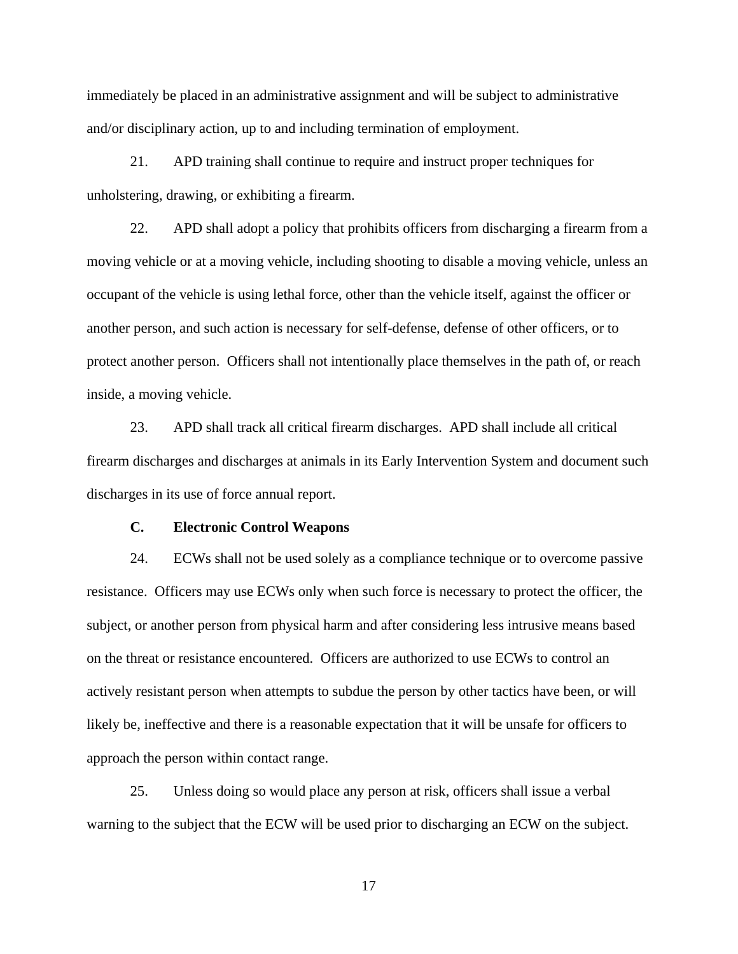immediately be placed in an administrative assignment and will be subject to administrative and/or disciplinary action, up to and including termination of employment.

21. APD training shall continue to require and instruct proper techniques for unholstering, drawing, or exhibiting a firearm.

22. APD shall adopt a policy that prohibits officers from discharging a firearm from a moving vehicle or at a moving vehicle, including shooting to disable a moving vehicle, unless an occupant of the vehicle is using lethal force, other than the vehicle itself, against the officer or another person, and such action is necessary for self-defense, defense of other officers, or to protect another person. Officers shall not intentionally place themselves in the path of, or reach inside, a moving vehicle.

23. APD shall track all critical firearm discharges. APD shall include all critical firearm discharges and discharges at animals in its Early Intervention System and document such discharges in its use of force annual report.

### **C. Electronic Control Weapons**

24. ECWs shall not be used solely as a compliance technique or to overcome passive resistance. Officers may use ECWs only when such force is necessary to protect the officer, the subject, or another person from physical harm and after considering less intrusive means based on the threat or resistance encountered. Officers are authorized to use ECWs to control an actively resistant person when attempts to subdue the person by other tactics have been, or will likely be, ineffective and there is a reasonable expectation that it will be unsafe for officers to approach the person within contact range.

25. Unless doing so would place any person at risk, officers shall issue a verbal warning to the subject that the ECW will be used prior to discharging an ECW on the subject.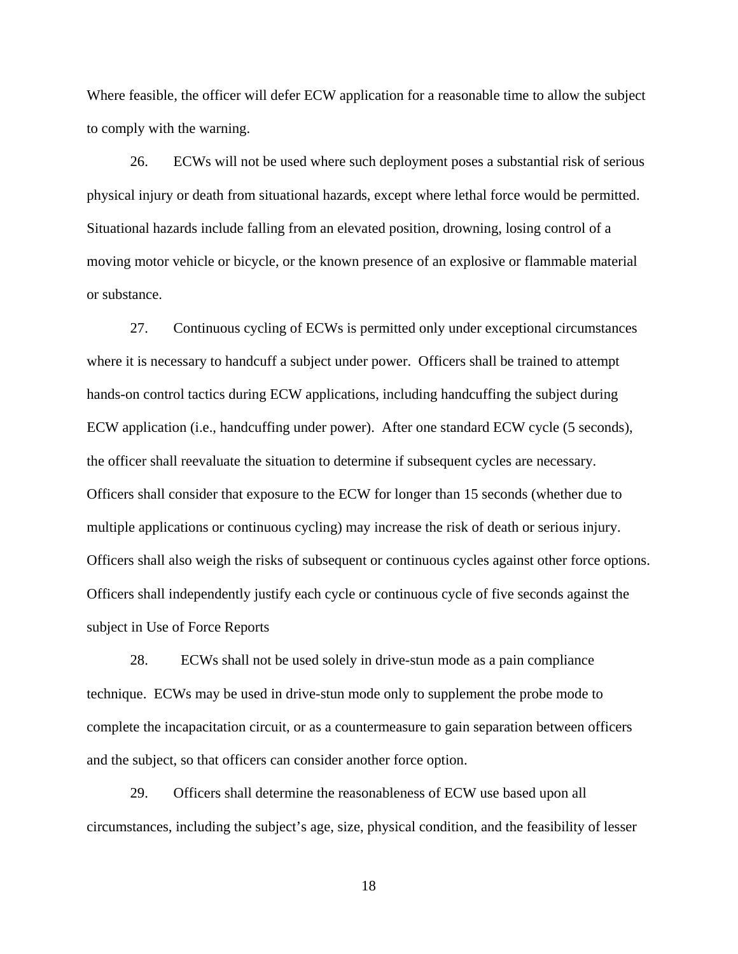Where feasible, the officer will defer ECW application for a reasonable time to allow the subject to comply with the warning.

26. ECWs will not be used where such deployment poses a substantial risk of serious physical injury or death from situational hazards, except where lethal force would be permitted. Situational hazards include falling from an elevated position, drowning, losing control of a moving motor vehicle or bicycle, or the known presence of an explosive or flammable material or substance.

27. Continuous cycling of ECWs is permitted only under exceptional circumstances where it is necessary to handcuff a subject under power. Officers shall be trained to attempt hands-on control tactics during ECW applications, including handcuffing the subject during ECW application (i.e., handcuffing under power). After one standard ECW cycle (5 seconds), the officer shall reevaluate the situation to determine if subsequent cycles are necessary. Officers shall consider that exposure to the ECW for longer than 15 seconds (whether due to multiple applications or continuous cycling) may increase the risk of death or serious injury. Officers shall also weigh the risks of subsequent or continuous cycles against other force options. Officers shall independently justify each cycle or continuous cycle of five seconds against the subject in Use of Force Reports

28. ECWs shall not be used solely in drive-stun mode as a pain compliance technique. ECWs may be used in drive-stun mode only to supplement the probe mode to complete the incapacitation circuit, or as a countermeasure to gain separation between officers and the subject, so that officers can consider another force option.

29. Officers shall determine the reasonableness of ECW use based upon all circumstances, including the subject's age, size, physical condition, and the feasibility of lesser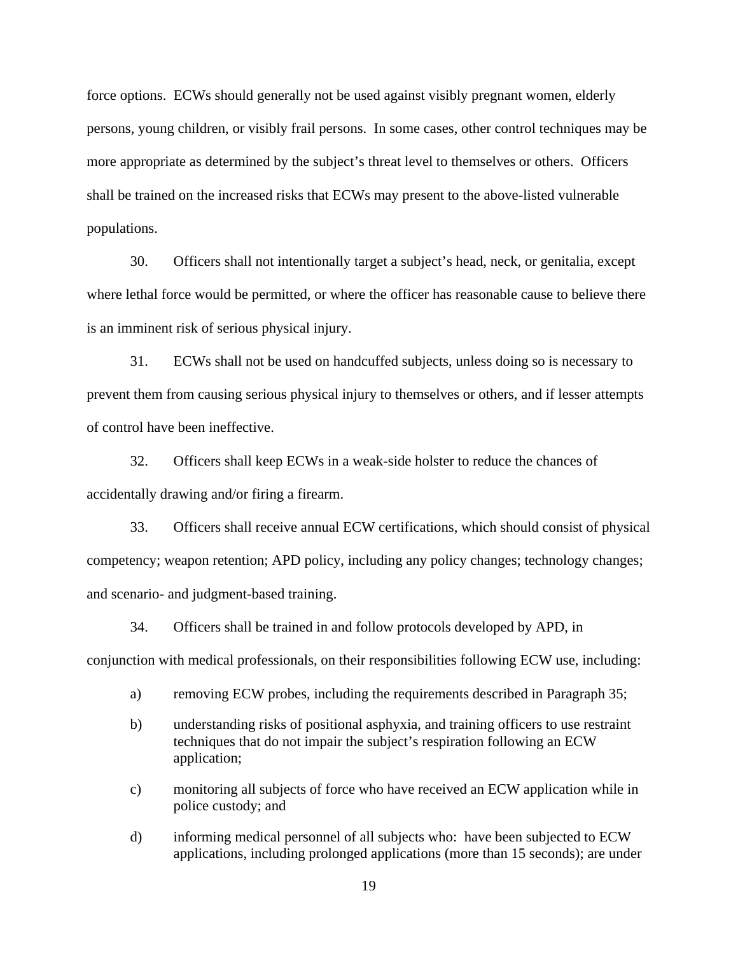force options. ECWs should generally not be used against visibly pregnant women, elderly persons, young children, or visibly frail persons. In some cases, other control techniques may be more appropriate as determined by the subject's threat level to themselves or others. Officers shall be trained on the increased risks that ECWs may present to the above-listed vulnerable populations.

30. Officers shall not intentionally target a subject's head, neck, or genitalia, except where lethal force would be permitted, or where the officer has reasonable cause to believe there is an imminent risk of serious physical injury.

31. ECWs shall not be used on handcuffed subjects, unless doing so is necessary to prevent them from causing serious physical injury to themselves or others, and if lesser attempts of control have been ineffective.

32. Officers shall keep ECWs in a weak-side holster to reduce the chances of accidentally drawing and/or firing a firearm.

33. Officers shall receive annual ECW certifications, which should consist of physical competency; weapon retention; APD policy, including any policy changes; technology changes; and scenario- and judgment-based training.

34. Officers shall be trained in and follow protocols developed by APD, in

conjunction with medical professionals, on their responsibilities following ECW use, including:

- a) removing ECW probes, including the requirements described in Paragraph 35;
- b) understanding risks of positional asphyxia, and training officers to use restraint techniques that do not impair the subject's respiration following an ECW application;
- c) monitoring all subjects of force who have received an ECW application while in police custody; and
- d) informing medical personnel of all subjects who: have been subjected to ECW applications, including prolonged applications (more than 15 seconds); are under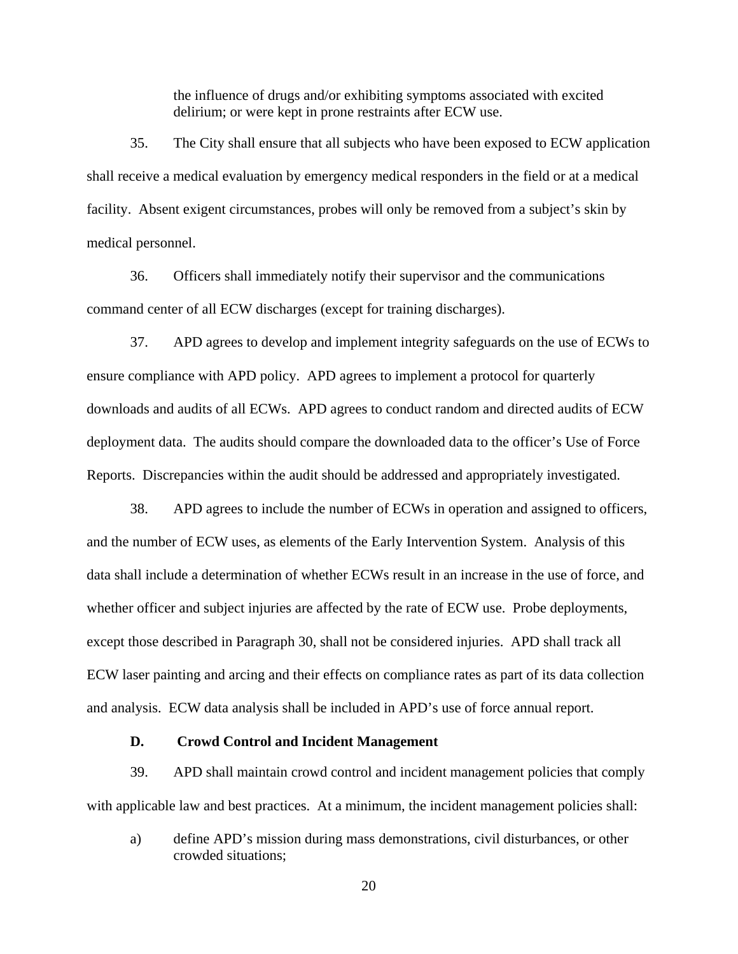the influence of drugs and/or exhibiting symptoms associated with excited delirium; or were kept in prone restraints after ECW use.

35. The City shall ensure that all subjects who have been exposed to ECW application shall receive a medical evaluation by emergency medical responders in the field or at a medical facility. Absent exigent circumstances, probes will only be removed from a subject's skin by medical personnel.

36. Officers shall immediately notify their supervisor and the communications command center of all ECW discharges (except for training discharges).

37. APD agrees to develop and implement integrity safeguards on the use of ECWs to ensure compliance with APD policy. APD agrees to implement a protocol for quarterly downloads and audits of all ECWs. APD agrees to conduct random and directed audits of ECW deployment data. The audits should compare the downloaded data to the officer's Use of Force Reports. Discrepancies within the audit should be addressed and appropriately investigated.

38. APD agrees to include the number of ECWs in operation and assigned to officers, and the number of ECW uses, as elements of the Early Intervention System. Analysis of this data shall include a determination of whether ECWs result in an increase in the use of force, and whether officer and subject injuries are affected by the rate of ECW use. Probe deployments, except those described in Paragraph 30, shall not be considered injuries. APD shall track all ECW laser painting and arcing and their effects on compliance rates as part of its data collection and analysis. ECW data analysis shall be included in APD's use of force annual report.

### **D. Crowd Control and Incident Management**

39. APD shall maintain crowd control and incident management policies that comply with applicable law and best practices. At a minimum, the incident management policies shall:

a) define APD's mission during mass demonstrations, civil disturbances, or other crowded situations;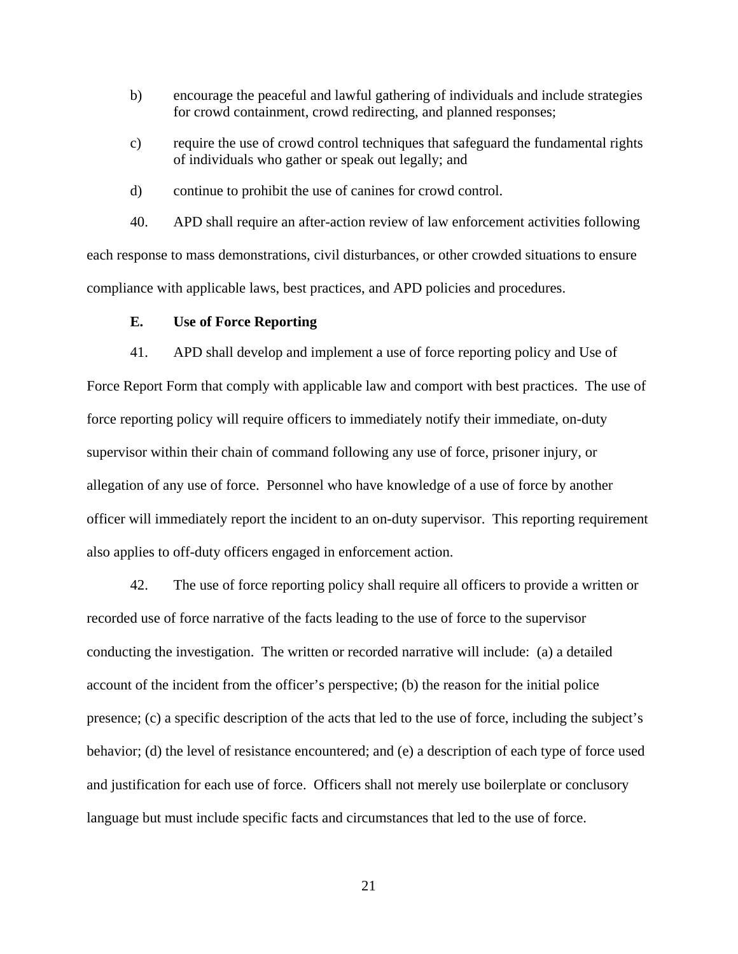- b) encourage the peaceful and lawful gathering of individuals and include strategies for crowd containment, crowd redirecting, and planned responses;
- c) require the use of crowd control techniques that safeguard the fundamental rights of individuals who gather or speak out legally; and
- d) continue to prohibit the use of canines for crowd control.

40. APD shall require an after-action review of law enforcement activities following each response to mass demonstrations, civil disturbances, or other crowded situations to ensure compliance with applicable laws, best practices, and APD policies and procedures.

### **E. Use of Force Reporting**

41. APD shall develop and implement a use of force reporting policy and Use of Force Report Form that comply with applicable law and comport with best practices. The use of force reporting policy will require officers to immediately notify their immediate, on-duty supervisor within their chain of command following any use of force, prisoner injury, or allegation of any use of force. Personnel who have knowledge of a use of force by another officer will immediately report the incident to an on-duty supervisor. This reporting requirement also applies to off-duty officers engaged in enforcement action.

42. The use of force reporting policy shall require all officers to provide a written or recorded use of force narrative of the facts leading to the use of force to the supervisor conducting the investigation. The written or recorded narrative will include: (a) a detailed account of the incident from the officer's perspective; (b) the reason for the initial police presence; (c) a specific description of the acts that led to the use of force, including the subject's behavior; (d) the level of resistance encountered; and (e) a description of each type of force used and justification for each use of force. Officers shall not merely use boilerplate or conclusory language but must include specific facts and circumstances that led to the use of force.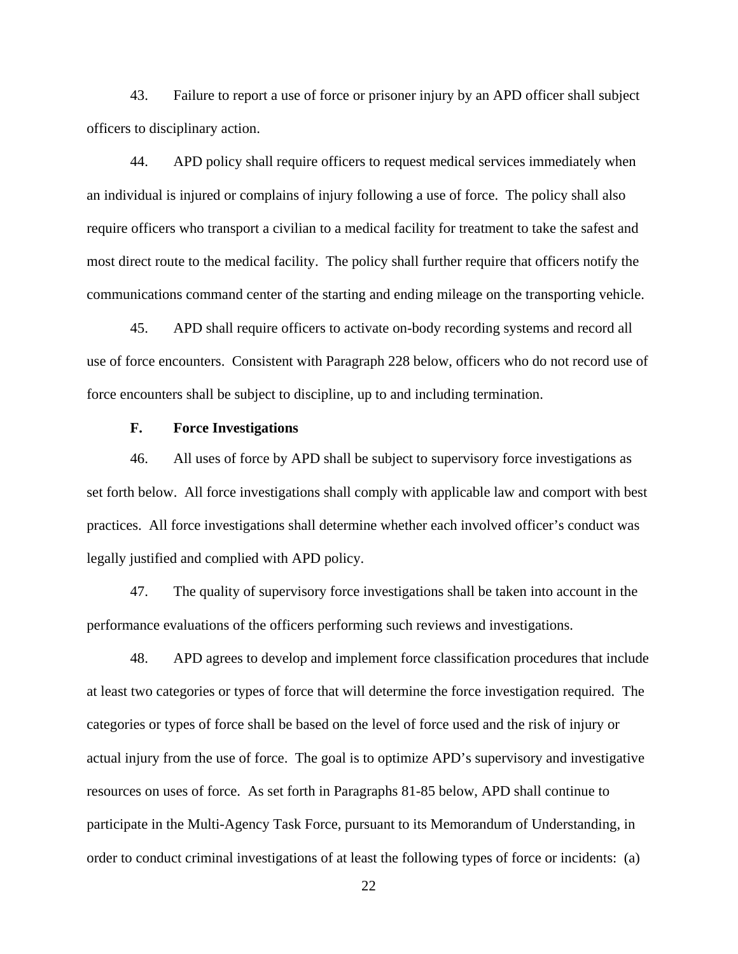43. Failure to report a use of force or prisoner injury by an APD officer shall subject officers to disciplinary action.

44. APD policy shall require officers to request medical services immediately when an individual is injured or complains of injury following a use of force. The policy shall also require officers who transport a civilian to a medical facility for treatment to take the safest and most direct route to the medical facility. The policy shall further require that officers notify the communications command center of the starting and ending mileage on the transporting vehicle.

45. APD shall require officers to activate on-body recording systems and record all use of force encounters. Consistent with Paragraph 228 below, officers who do not record use of force encounters shall be subject to discipline, up to and including termination.

#### **F. Force Investigations**

46. All uses of force by APD shall be subject to supervisory force investigations as set forth below. All force investigations shall comply with applicable law and comport with best practices. All force investigations shall determine whether each involved officer's conduct was legally justified and complied with APD policy.

47. The quality of supervisory force investigations shall be taken into account in the performance evaluations of the officers performing such reviews and investigations.

48. APD agrees to develop and implement force classification procedures that include at least two categories or types of force that will determine the force investigation required. The categories or types of force shall be based on the level of force used and the risk of injury or actual injury from the use of force. The goal is to optimize APD's supervisory and investigative resources on uses of force. As set forth in Paragraphs 81-85 below, APD shall continue to participate in the Multi-Agency Task Force, pursuant to its Memorandum of Understanding, in order to conduct criminal investigations of at least the following types of force or incidents: (a)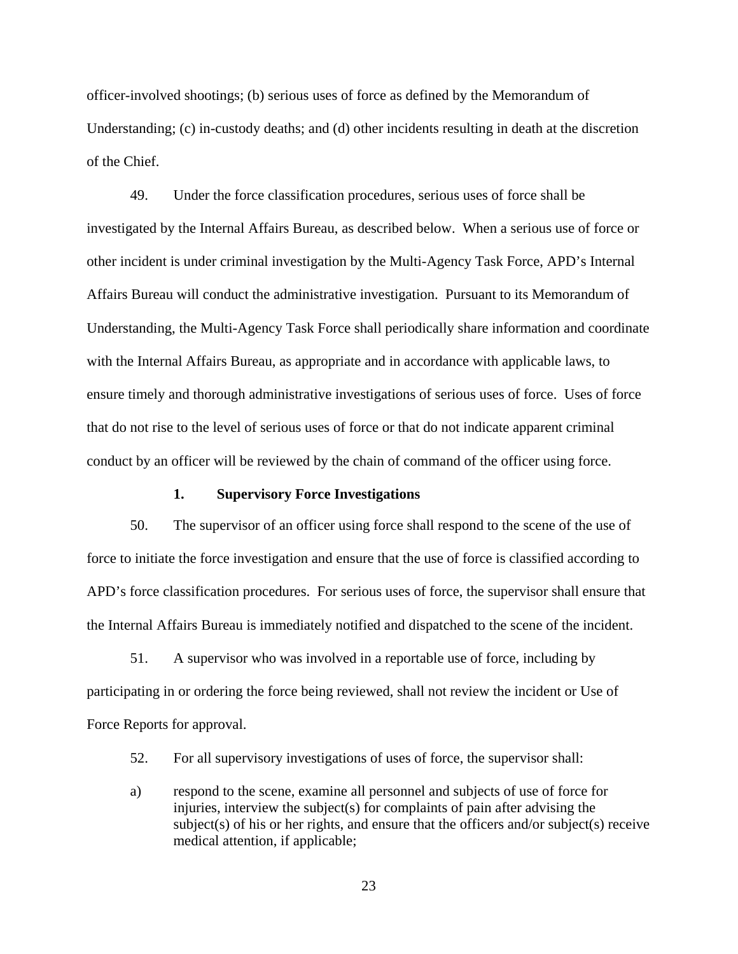officer-involved shootings; (b) serious uses of force as defined by the Memorandum of Understanding; (c) in-custody deaths; and (d) other incidents resulting in death at the discretion of the Chief.

49. Under the force classification procedures, serious uses of force shall be investigated by the Internal Affairs Bureau, as described below. When a serious use of force or other incident is under criminal investigation by the Multi-Agency Task Force, APD's Internal Affairs Bureau will conduct the administrative investigation. Pursuant to its Memorandum of Understanding, the Multi-Agency Task Force shall periodically share information and coordinate with the Internal Affairs Bureau, as appropriate and in accordance with applicable laws, to ensure timely and thorough administrative investigations of serious uses of force. Uses of force that do not rise to the level of serious uses of force or that do not indicate apparent criminal conduct by an officer will be reviewed by the chain of command of the officer using force.

#### **1. Supervisory Force Investigations**

50. The supervisor of an officer using force shall respond to the scene of the use of force to initiate the force investigation and ensure that the use of force is classified according to APD's force classification procedures. For serious uses of force, the supervisor shall ensure that the Internal Affairs Bureau is immediately notified and dispatched to the scene of the incident.

51. A supervisor who was involved in a reportable use of force, including by participating in or ordering the force being reviewed, shall not review the incident or Use of Force Reports for approval.

52. For all supervisory investigations of uses of force, the supervisor shall:

a) respond to the scene, examine all personnel and subjects of use of force for injuries, interview the subject(s) for complaints of pain after advising the subject(s) of his or her rights, and ensure that the officers and/or subject(s) receive medical attention, if applicable;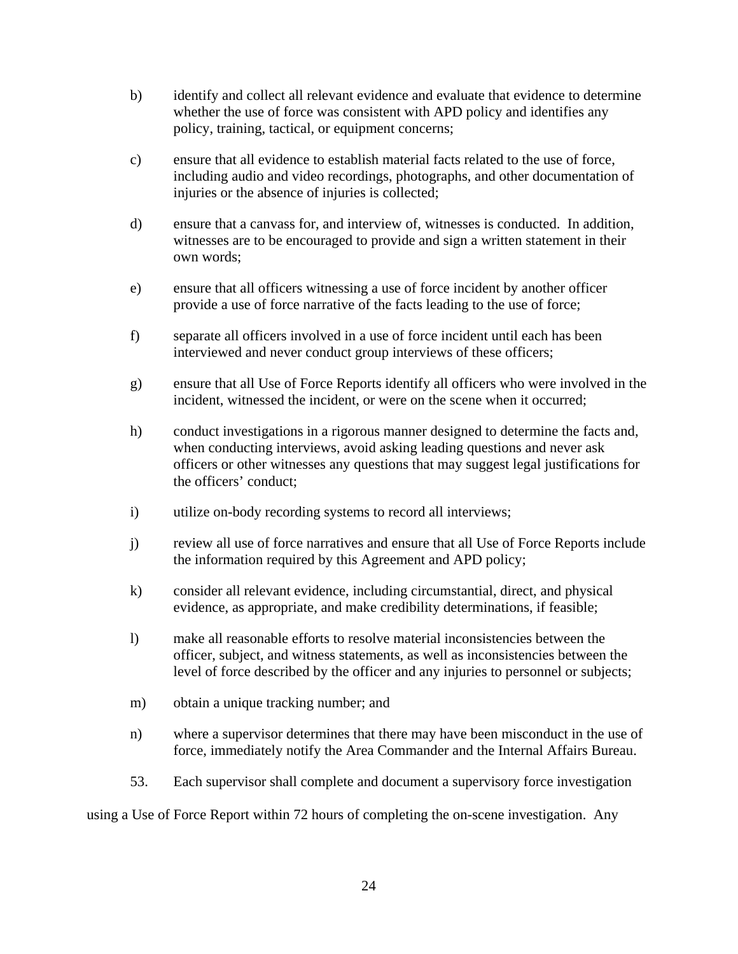- b) identify and collect all relevant evidence and evaluate that evidence to determine whether the use of force was consistent with APD policy and identifies any policy, training, tactical, or equipment concerns;
- c) ensure that all evidence to establish material facts related to the use of force, including audio and video recordings, photographs, and other documentation of injuries or the absence of injuries is collected;
- d) ensure that a canvass for, and interview of, witnesses is conducted. In addition, witnesses are to be encouraged to provide and sign a written statement in their own words;
- e) ensure that all officers witnessing a use of force incident by another officer provide a use of force narrative of the facts leading to the use of force;
- f) separate all officers involved in a use of force incident until each has been interviewed and never conduct group interviews of these officers;
- g) ensure that all Use of Force Reports identify all officers who were involved in the incident, witnessed the incident, or were on the scene when it occurred;
- h) conduct investigations in a rigorous manner designed to determine the facts and, when conducting interviews, avoid asking leading questions and never ask officers or other witnesses any questions that may suggest legal justifications for the officers' conduct;
- i) utilize on-body recording systems to record all interviews;
- j) review all use of force narratives and ensure that all Use of Force Reports include the information required by this Agreement and APD policy;
- k) consider all relevant evidence, including circumstantial, direct, and physical evidence, as appropriate, and make credibility determinations, if feasible;
- l) make all reasonable efforts to resolve material inconsistencies between the officer, subject, and witness statements, as well as inconsistencies between the level of force described by the officer and any injuries to personnel or subjects;
- m) obtain a unique tracking number; and
- n) where a supervisor determines that there may have been misconduct in the use of force, immediately notify the Area Commander and the Internal Affairs Bureau.
- 53. Each supervisor shall complete and document a supervisory force investigation

using a Use of Force Report within 72 hours of completing the on-scene investigation. Any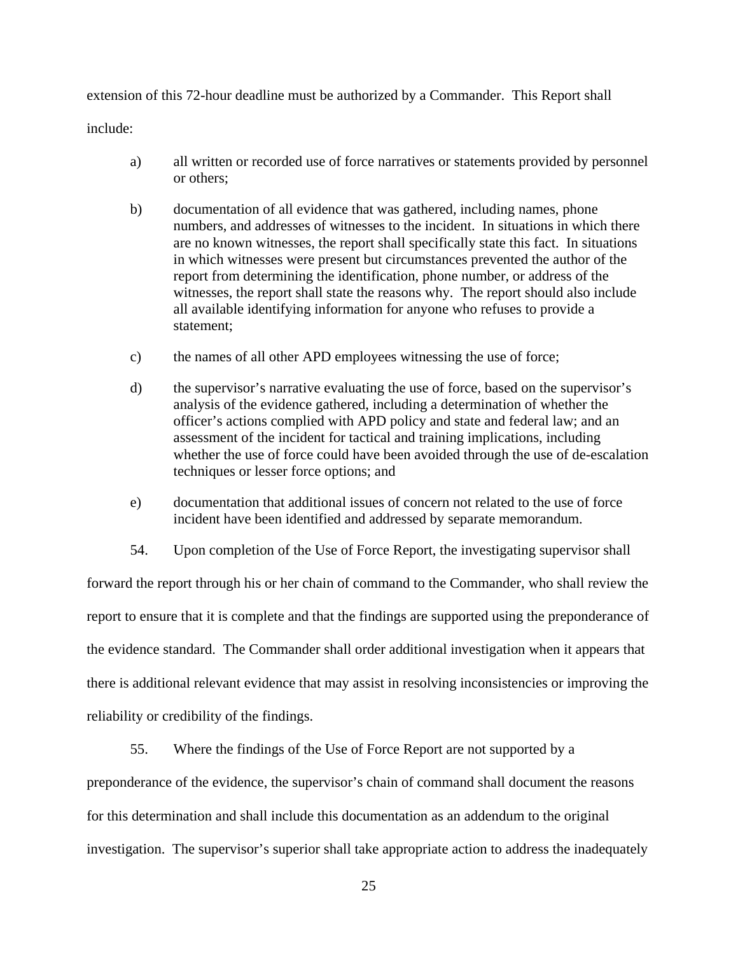extension of this 72-hour deadline must be authorized by a Commander. This Report shall

include:

- a) all written or recorded use of force narratives or statements provided by personnel or others;
- b) documentation of all evidence that was gathered, including names, phone numbers, and addresses of witnesses to the incident. In situations in which there are no known witnesses, the report shall specifically state this fact. In situations in which witnesses were present but circumstances prevented the author of the report from determining the identification, phone number, or address of the witnesses, the report shall state the reasons why. The report should also include all available identifying information for anyone who refuses to provide a statement;
- c) the names of all other APD employees witnessing the use of force;
- d) the supervisor's narrative evaluating the use of force, based on the supervisor's analysis of the evidence gathered, including a determination of whether the officer's actions complied with APD policy and state and federal law; and an assessment of the incident for tactical and training implications, including whether the use of force could have been avoided through the use of de-escalation techniques or lesser force options; and
- e) documentation that additional issues of concern not related to the use of force incident have been identified and addressed by separate memorandum.
- 54. Upon completion of the Use of Force Report, the investigating supervisor shall

forward the report through his or her chain of command to the Commander, who shall review the report to ensure that it is complete and that the findings are supported using the preponderance of the evidence standard. The Commander shall order additional investigation when it appears that there is additional relevant evidence that may assist in resolving inconsistencies or improving the reliability or credibility of the findings.

# 55. Where the findings of the Use of Force Report are not supported by a

preponderance of the evidence, the supervisor's chain of command shall document the reasons for this determination and shall include this documentation as an addendum to the original investigation. The supervisor's superior shall take appropriate action to address the inadequately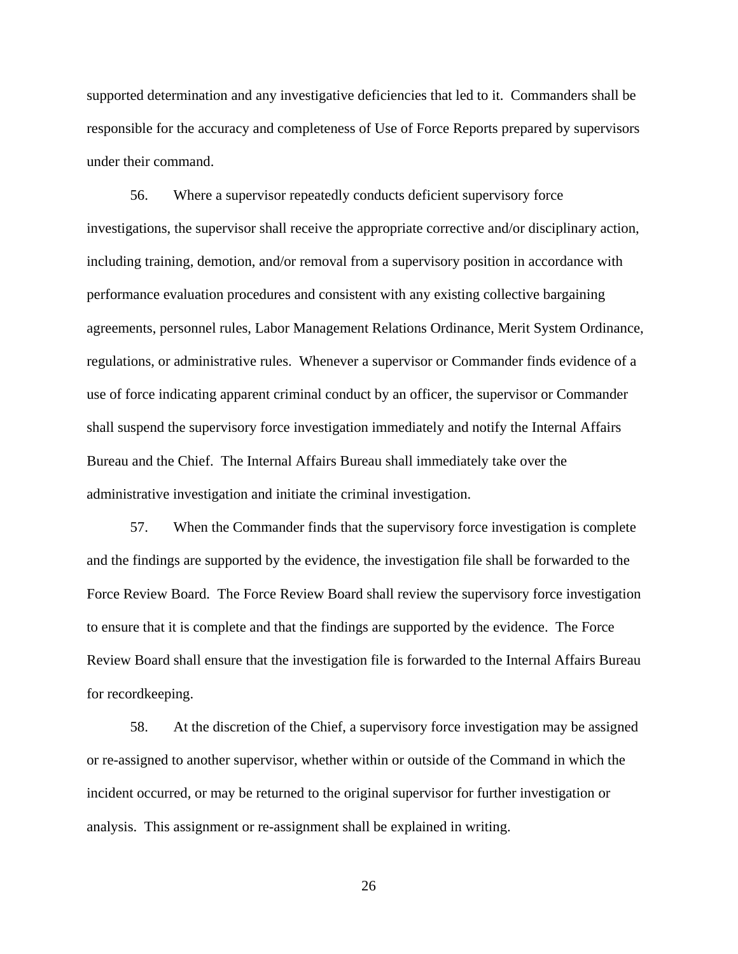supported determination and any investigative deficiencies that led to it. Commanders shall be responsible for the accuracy and completeness of Use of Force Reports prepared by supervisors under their command.

56. Where a supervisor repeatedly conducts deficient supervisory force investigations, the supervisor shall receive the appropriate corrective and/or disciplinary action, including training, demotion, and/or removal from a supervisory position in accordance with performance evaluation procedures and consistent with any existing collective bargaining agreements, personnel rules, Labor Management Relations Ordinance, Merit System Ordinance, regulations, or administrative rules. Whenever a supervisor or Commander finds evidence of a use of force indicating apparent criminal conduct by an officer, the supervisor or Commander shall suspend the supervisory force investigation immediately and notify the Internal Affairs Bureau and the Chief. The Internal Affairs Bureau shall immediately take over the administrative investigation and initiate the criminal investigation.

57. When the Commander finds that the supervisory force investigation is complete and the findings are supported by the evidence, the investigation file shall be forwarded to the Force Review Board. The Force Review Board shall review the supervisory force investigation to ensure that it is complete and that the findings are supported by the evidence. The Force Review Board shall ensure that the investigation file is forwarded to the Internal Affairs Bureau for recordkeeping.

58. At the discretion of the Chief, a supervisory force investigation may be assigned or re-assigned to another supervisor, whether within or outside of the Command in which the incident occurred, or may be returned to the original supervisor for further investigation or analysis. This assignment or re-assignment shall be explained in writing.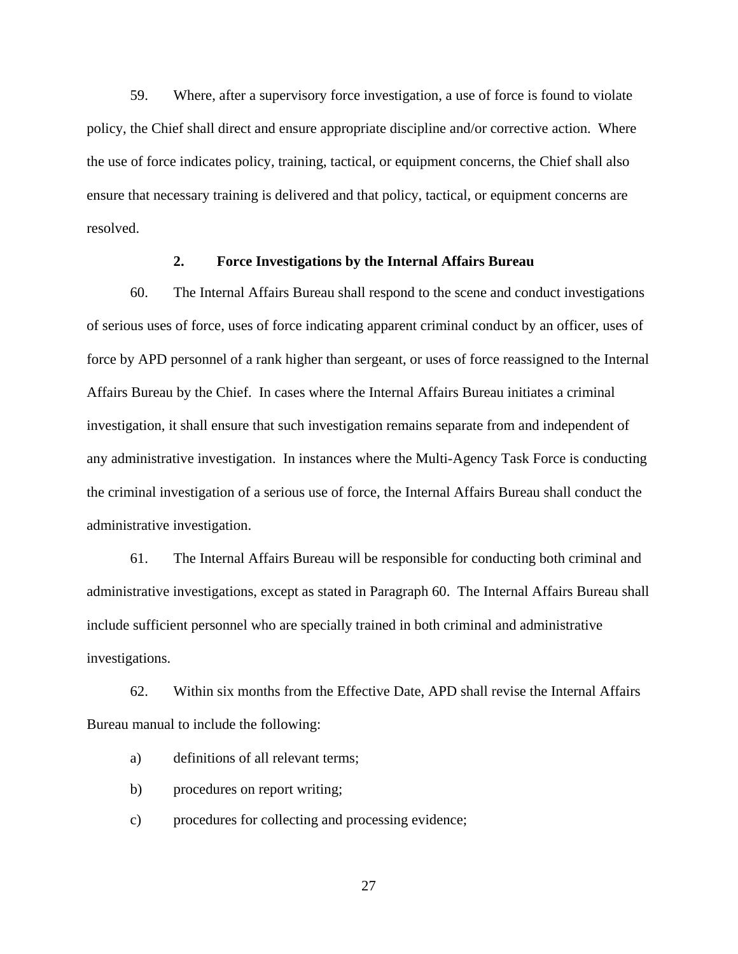59. Where, after a supervisory force investigation, a use of force is found to violate policy, the Chief shall direct and ensure appropriate discipline and/or corrective action. Where the use of force indicates policy, training, tactical, or equipment concerns, the Chief shall also ensure that necessary training is delivered and that policy, tactical, or equipment concerns are resolved.

#### **2. Force Investigations by the Internal Affairs Bureau**

60. The Internal Affairs Bureau shall respond to the scene and conduct investigations of serious uses of force, uses of force indicating apparent criminal conduct by an officer, uses of force by APD personnel of a rank higher than sergeant, or uses of force reassigned to the Internal Affairs Bureau by the Chief. In cases where the Internal Affairs Bureau initiates a criminal investigation, it shall ensure that such investigation remains separate from and independent of any administrative investigation. In instances where the Multi-Agency Task Force is conducting the criminal investigation of a serious use of force, the Internal Affairs Bureau shall conduct the administrative investigation.

61. The Internal Affairs Bureau will be responsible for conducting both criminal and administrative investigations, except as stated in Paragraph 60. The Internal Affairs Bureau shall include sufficient personnel who are specially trained in both criminal and administrative investigations.

62. Within six months from the Effective Date, APD shall revise the Internal Affairs Bureau manual to include the following:

- a) definitions of all relevant terms;
- b) procedures on report writing;
- c) procedures for collecting and processing evidence;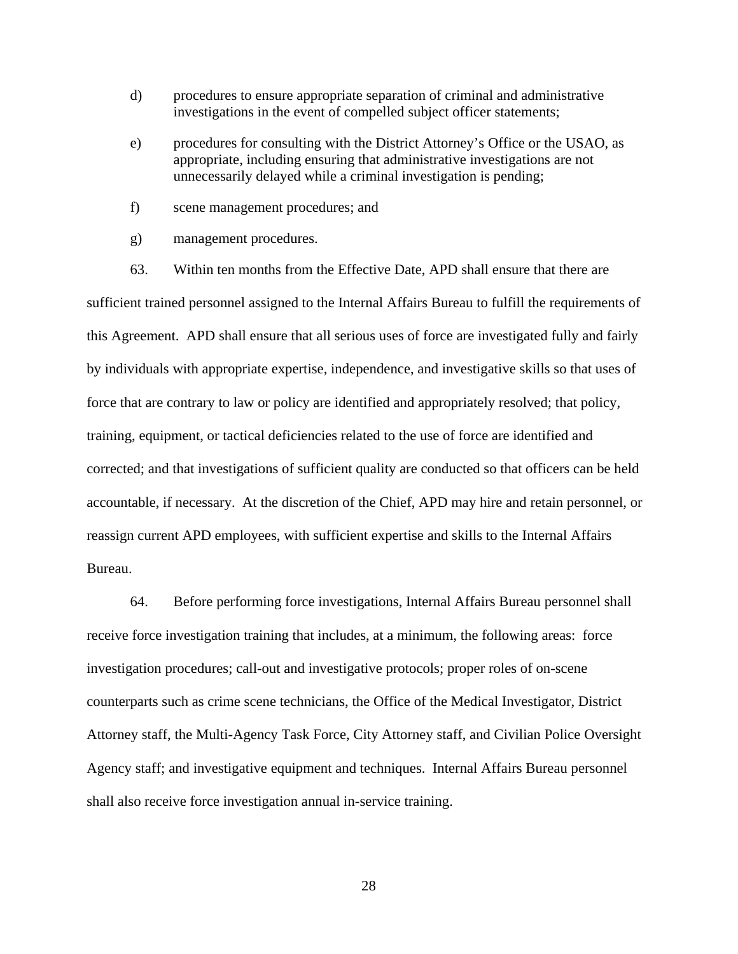- d) procedures to ensure appropriate separation of criminal and administrative investigations in the event of compelled subject officer statements;
- e) procedures for consulting with the District Attorney's Office or the USAO, as appropriate, including ensuring that administrative investigations are not unnecessarily delayed while a criminal investigation is pending;
- f) scene management procedures; and
- g) management procedures.
- 63. Within ten months from the Effective Date, APD shall ensure that there are

sufficient trained personnel assigned to the Internal Affairs Bureau to fulfill the requirements of this Agreement. APD shall ensure that all serious uses of force are investigated fully and fairly by individuals with appropriate expertise, independence, and investigative skills so that uses of force that are contrary to law or policy are identified and appropriately resolved; that policy, training, equipment, or tactical deficiencies related to the use of force are identified and corrected; and that investigations of sufficient quality are conducted so that officers can be held accountable, if necessary. At the discretion of the Chief, APD may hire and retain personnel, or reassign current APD employees, with sufficient expertise and skills to the Internal Affairs Bureau.

64. Before performing force investigations, Internal Affairs Bureau personnel shall receive force investigation training that includes, at a minimum, the following areas: force investigation procedures; call-out and investigative protocols; proper roles of on-scene counterparts such as crime scene technicians, the Office of the Medical Investigator, District Attorney staff, the Multi-Agency Task Force, City Attorney staff, and Civilian Police Oversight Agency staff; and investigative equipment and techniques. Internal Affairs Bureau personnel shall also receive force investigation annual in-service training.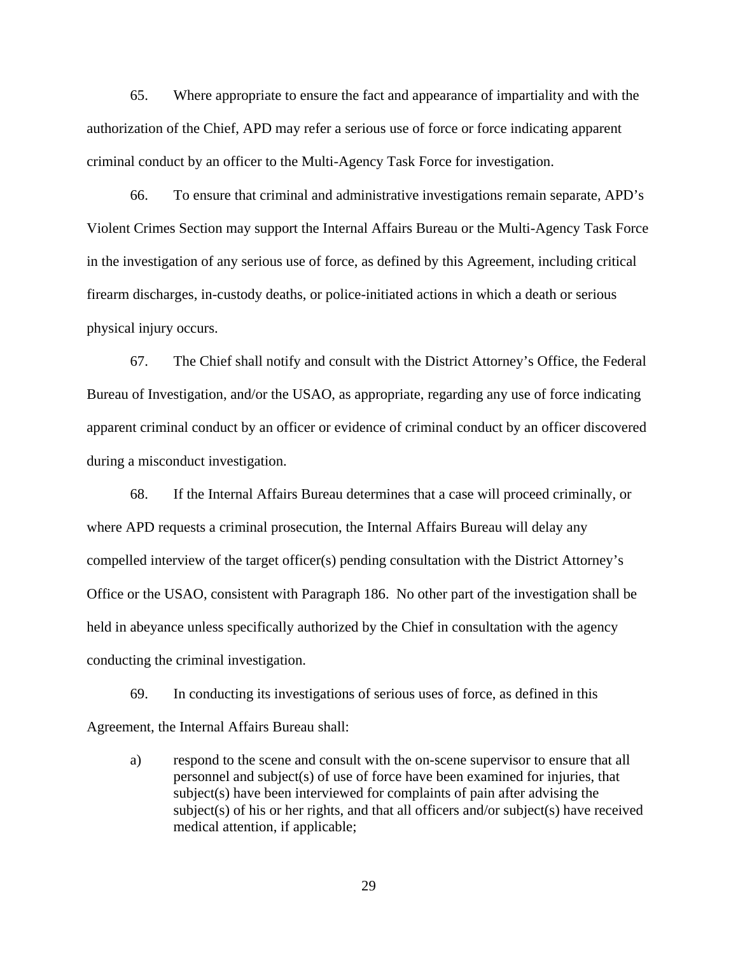65. Where appropriate to ensure the fact and appearance of impartiality and with the authorization of the Chief, APD may refer a serious use of force or force indicating apparent criminal conduct by an officer to the Multi-Agency Task Force for investigation.

66. To ensure that criminal and administrative investigations remain separate, APD's Violent Crimes Section may support the Internal Affairs Bureau or the Multi-Agency Task Force in the investigation of any serious use of force, as defined by this Agreement, including critical firearm discharges, in-custody deaths, or police-initiated actions in which a death or serious physical injury occurs.

67. The Chief shall notify and consult with the District Attorney's Office, the Federal Bureau of Investigation, and/or the USAO, as appropriate, regarding any use of force indicating apparent criminal conduct by an officer or evidence of criminal conduct by an officer discovered during a misconduct investigation.

68. If the Internal Affairs Bureau determines that a case will proceed criminally, or where APD requests a criminal prosecution, the Internal Affairs Bureau will delay any compelled interview of the target officer(s) pending consultation with the District Attorney's Office or the USAO, consistent with Paragraph 186. No other part of the investigation shall be held in abeyance unless specifically authorized by the Chief in consultation with the agency conducting the criminal investigation.

69. In conducting its investigations of serious uses of force, as defined in this Agreement, the Internal Affairs Bureau shall:

a) respond to the scene and consult with the on-scene supervisor to ensure that all personnel and subject(s) of use of force have been examined for injuries, that subject(s) have been interviewed for complaints of pain after advising the subject(s) of his or her rights, and that all officers and/or subject(s) have received medical attention, if applicable;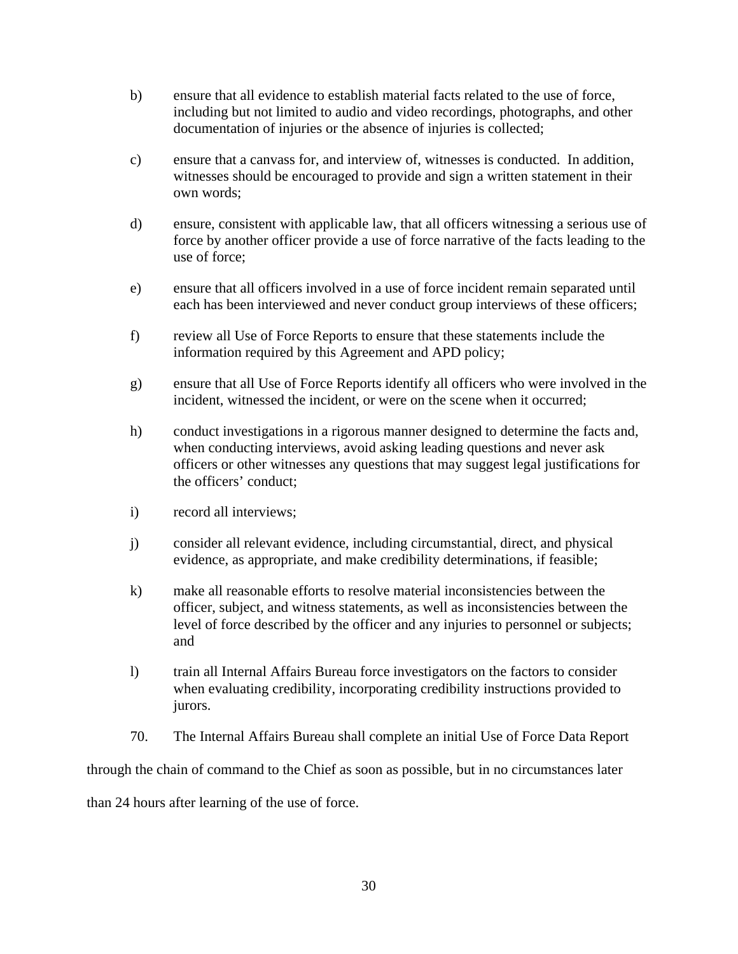- b) ensure that all evidence to establish material facts related to the use of force, including but not limited to audio and video recordings, photographs, and other documentation of injuries or the absence of injuries is collected;
- c) ensure that a canvass for, and interview of, witnesses is conducted. In addition, witnesses should be encouraged to provide and sign a written statement in their own words;
- d) ensure, consistent with applicable law, that all officers witnessing a serious use of force by another officer provide a use of force narrative of the facts leading to the use of force;
- e) ensure that all officers involved in a use of force incident remain separated until each has been interviewed and never conduct group interviews of these officers;
- f) review all Use of Force Reports to ensure that these statements include the information required by this Agreement and APD policy;
- g) ensure that all Use of Force Reports identify all officers who were involved in the incident, witnessed the incident, or were on the scene when it occurred;
- h) conduct investigations in a rigorous manner designed to determine the facts and, when conducting interviews, avoid asking leading questions and never ask officers or other witnesses any questions that may suggest legal justifications for the officers' conduct;
- i) record all interviews;
- j) consider all relevant evidence, including circumstantial, direct, and physical evidence, as appropriate, and make credibility determinations, if feasible;
- k) make all reasonable efforts to resolve material inconsistencies between the officer, subject, and witness statements, as well as inconsistencies between the level of force described by the officer and any injuries to personnel or subjects; and
- l) train all Internal Affairs Bureau force investigators on the factors to consider when evaluating credibility, incorporating credibility instructions provided to jurors.
- 70. The Internal Affairs Bureau shall complete an initial Use of Force Data Report

through the chain of command to the Chief as soon as possible, but in no circumstances later

than 24 hours after learning of the use of force.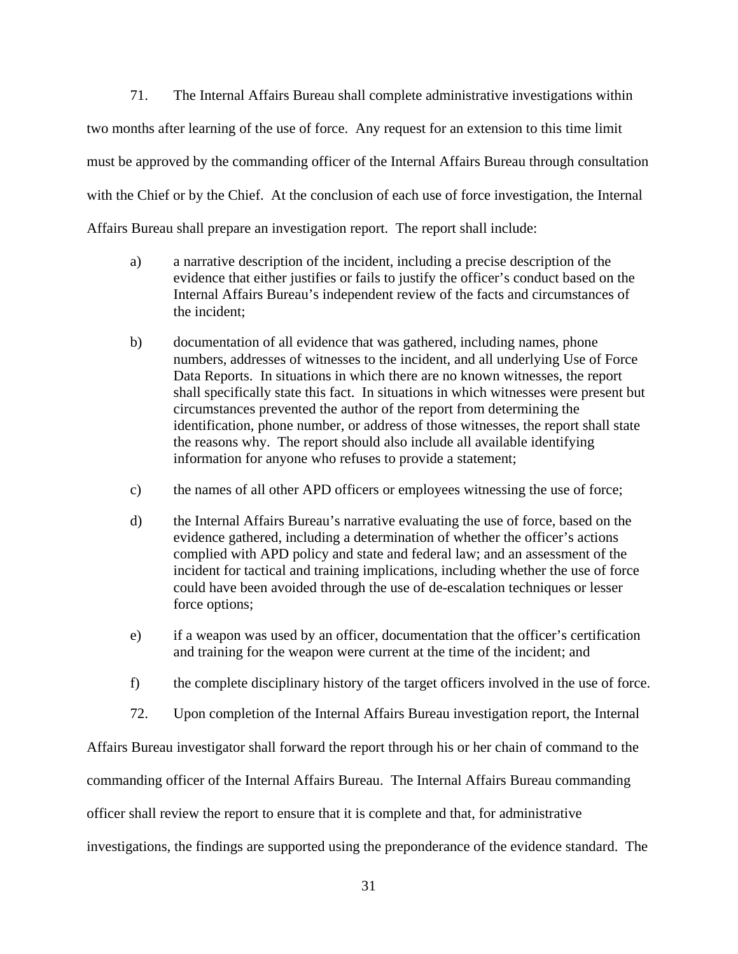71. The Internal Affairs Bureau shall complete administrative investigations within two months after learning of the use of force. Any request for an extension to this time limit must be approved by the commanding officer of the Internal Affairs Bureau through consultation with the Chief or by the Chief. At the conclusion of each use of force investigation, the Internal Affairs Bureau shall prepare an investigation report. The report shall include:

- a) a narrative description of the incident, including a precise description of the evidence that either justifies or fails to justify the officer's conduct based on the Internal Affairs Bureau's independent review of the facts and circumstances of the incident;
- b) documentation of all evidence that was gathered, including names, phone numbers, addresses of witnesses to the incident, and all underlying Use of Force Data Reports. In situations in which there are no known witnesses, the report shall specifically state this fact. In situations in which witnesses were present but circumstances prevented the author of the report from determining the identification, phone number, or address of those witnesses, the report shall state the reasons why. The report should also include all available identifying information for anyone who refuses to provide a statement;
- c) the names of all other APD officers or employees witnessing the use of force;
- d) the Internal Affairs Bureau's narrative evaluating the use of force, based on the evidence gathered, including a determination of whether the officer's actions complied with APD policy and state and federal law; and an assessment of the incident for tactical and training implications, including whether the use of force could have been avoided through the use of de-escalation techniques or lesser force options;
- e) if a weapon was used by an officer, documentation that the officer's certification and training for the weapon were current at the time of the incident; and
- f) the complete disciplinary history of the target officers involved in the use of force.
- 72. Upon completion of the Internal Affairs Bureau investigation report, the Internal

Affairs Bureau investigator shall forward the report through his or her chain of command to the commanding officer of the Internal Affairs Bureau. The Internal Affairs Bureau commanding officer shall review the report to ensure that it is complete and that, for administrative investigations, the findings are supported using the preponderance of the evidence standard. The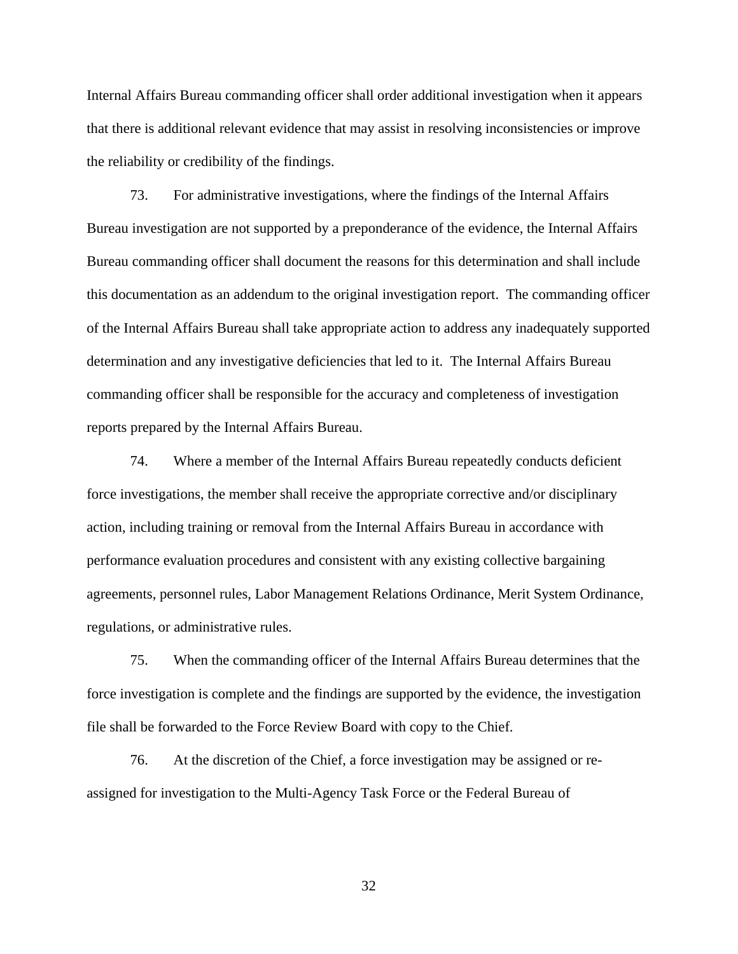Internal Affairs Bureau commanding officer shall order additional investigation when it appears that there is additional relevant evidence that may assist in resolving inconsistencies or improve the reliability or credibility of the findings.

73. For administrative investigations, where the findings of the Internal Affairs Bureau investigation are not supported by a preponderance of the evidence, the Internal Affairs Bureau commanding officer shall document the reasons for this determination and shall include this documentation as an addendum to the original investigation report. The commanding officer of the Internal Affairs Bureau shall take appropriate action to address any inadequately supported determination and any investigative deficiencies that led to it. The Internal Affairs Bureau commanding officer shall be responsible for the accuracy and completeness of investigation reports prepared by the Internal Affairs Bureau.

74. Where a member of the Internal Affairs Bureau repeatedly conducts deficient force investigations, the member shall receive the appropriate corrective and/or disciplinary action, including training or removal from the Internal Affairs Bureau in accordance with performance evaluation procedures and consistent with any existing collective bargaining agreements, personnel rules, Labor Management Relations Ordinance, Merit System Ordinance, regulations, or administrative rules.

75. When the commanding officer of the Internal Affairs Bureau determines that the force investigation is complete and the findings are supported by the evidence, the investigation file shall be forwarded to the Force Review Board with copy to the Chief.

76. At the discretion of the Chief, a force investigation may be assigned or reassigned for investigation to the Multi-Agency Task Force or the Federal Bureau of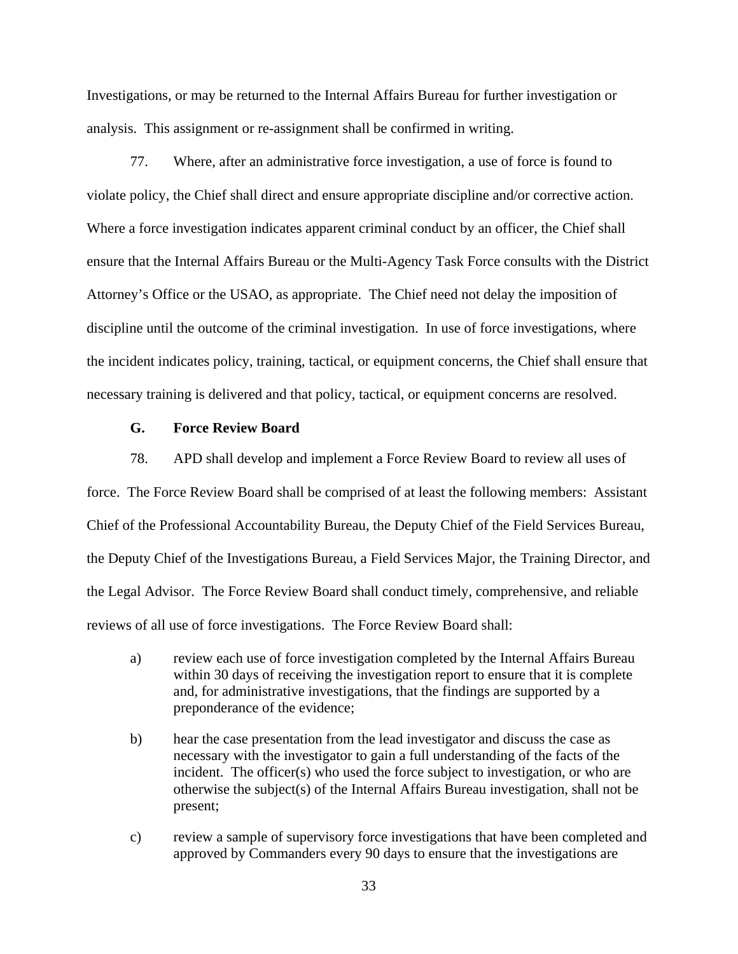Investigations, or may be returned to the Internal Affairs Bureau for further investigation or analysis. This assignment or re-assignment shall be confirmed in writing.

77. Where, after an administrative force investigation, a use of force is found to violate policy, the Chief shall direct and ensure appropriate discipline and/or corrective action. Where a force investigation indicates apparent criminal conduct by an officer, the Chief shall ensure that the Internal Affairs Bureau or the Multi-Agency Task Force consults with the District Attorney's Office or the USAO, as appropriate. The Chief need not delay the imposition of discipline until the outcome of the criminal investigation. In use of force investigations, where the incident indicates policy, training, tactical, or equipment concerns, the Chief shall ensure that necessary training is delivered and that policy, tactical, or equipment concerns are resolved.

#### **G. Force Review Board**

78. APD shall develop and implement a Force Review Board to review all uses of force. The Force Review Board shall be comprised of at least the following members: Assistant Chief of the Professional Accountability Bureau, the Deputy Chief of the Field Services Bureau, the Deputy Chief of the Investigations Bureau, a Field Services Major, the Training Director, and the Legal Advisor. The Force Review Board shall conduct timely, comprehensive, and reliable reviews of all use of force investigations. The Force Review Board shall:

- a) review each use of force investigation completed by the Internal Affairs Bureau within 30 days of receiving the investigation report to ensure that it is complete and, for administrative investigations, that the findings are supported by a preponderance of the evidence;
- b) hear the case presentation from the lead investigator and discuss the case as necessary with the investigator to gain a full understanding of the facts of the incident. The officer(s) who used the force subject to investigation, or who are otherwise the subject(s) of the Internal Affairs Bureau investigation, shall not be present;
- c) review a sample of supervisory force investigations that have been completed and approved by Commanders every 90 days to ensure that the investigations are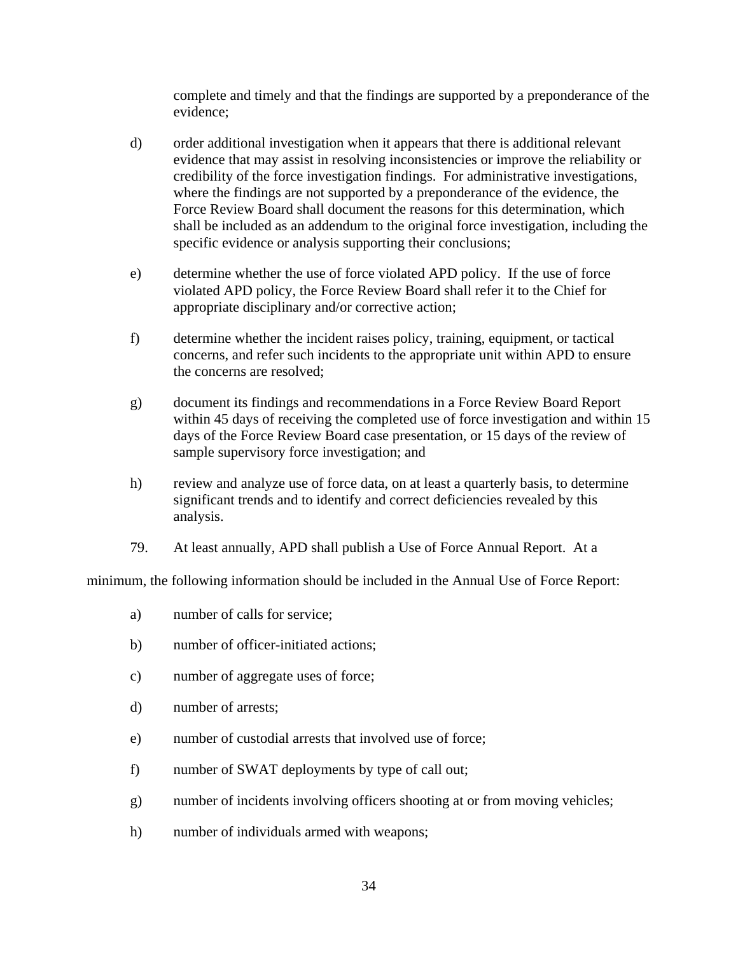complete and timely and that the findings are supported by a preponderance of the evidence;

- d) order additional investigation when it appears that there is additional relevant evidence that may assist in resolving inconsistencies or improve the reliability or credibility of the force investigation findings. For administrative investigations, where the findings are not supported by a preponderance of the evidence, the Force Review Board shall document the reasons for this determination, which shall be included as an addendum to the original force investigation, including the specific evidence or analysis supporting their conclusions;
- e) determine whether the use of force violated APD policy. If the use of force violated APD policy, the Force Review Board shall refer it to the Chief for appropriate disciplinary and/or corrective action;
- f) determine whether the incident raises policy, training, equipment, or tactical concerns, and refer such incidents to the appropriate unit within APD to ensure the concerns are resolved;
- g) document its findings and recommendations in a Force Review Board Report within 45 days of receiving the completed use of force investigation and within 15 days of the Force Review Board case presentation, or 15 days of the review of sample supervisory force investigation; and
- h) review and analyze use of force data, on at least a quarterly basis, to determine significant trends and to identify and correct deficiencies revealed by this analysis.
- 79. At least annually, APD shall publish a Use of Force Annual Report. At a

minimum, the following information should be included in the Annual Use of Force Report:

- a) number of calls for service;
- b) number of officer-initiated actions;
- c) number of aggregate uses of force;
- d) number of arrests;
- e) number of custodial arrests that involved use of force;
- f) number of SWAT deployments by type of call out;
- g) number of incidents involving officers shooting at or from moving vehicles;
- h) number of individuals armed with weapons;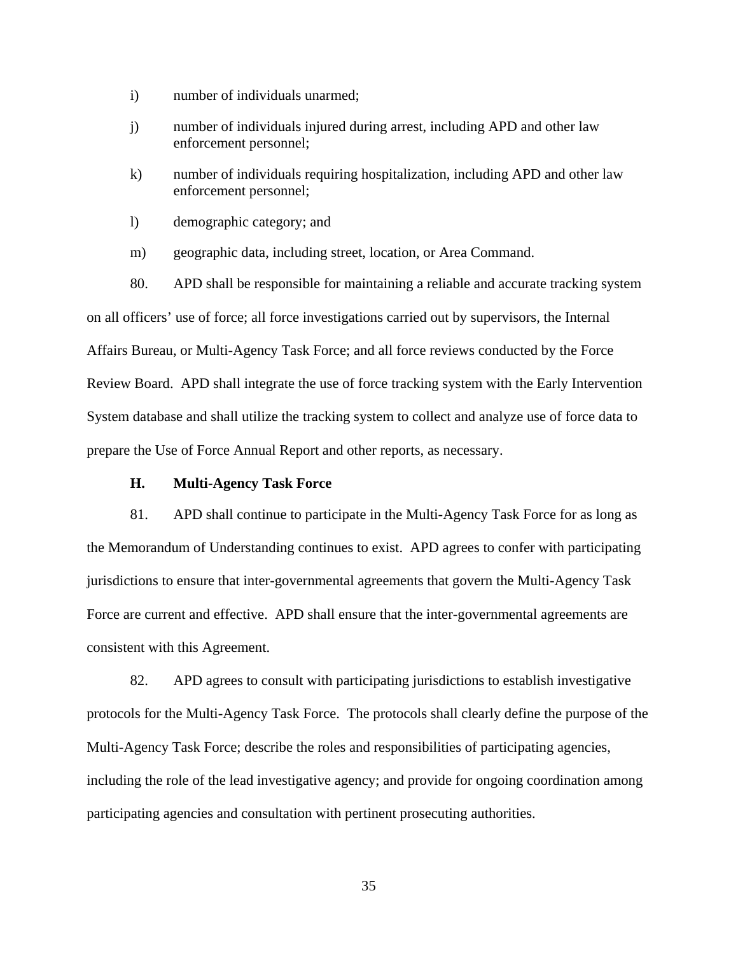- i) number of individuals unarmed;
- j) number of individuals injured during arrest, including APD and other law enforcement personnel;
- k) number of individuals requiring hospitalization, including APD and other law enforcement personnel;
- l) demographic category; and
- m) geographic data, including street, location, or Area Command.

80. APD shall be responsible for maintaining a reliable and accurate tracking system on all officers' use of force; all force investigations carried out by supervisors, the Internal Affairs Bureau, or Multi-Agency Task Force; and all force reviews conducted by the Force Review Board. APD shall integrate the use of force tracking system with the Early Intervention System database and shall utilize the tracking system to collect and analyze use of force data to prepare the Use of Force Annual Report and other reports, as necessary.

### **H. Multi-Agency Task Force**

81. APD shall continue to participate in the Multi-Agency Task Force for as long as the Memorandum of Understanding continues to exist. APD agrees to confer with participating jurisdictions to ensure that inter-governmental agreements that govern the Multi-Agency Task Force are current and effective. APD shall ensure that the inter-governmental agreements are consistent with this Agreement.

82. APD agrees to consult with participating jurisdictions to establish investigative protocols for the Multi-Agency Task Force. The protocols shall clearly define the purpose of the Multi-Agency Task Force; describe the roles and responsibilities of participating agencies, including the role of the lead investigative agency; and provide for ongoing coordination among participating agencies and consultation with pertinent prosecuting authorities.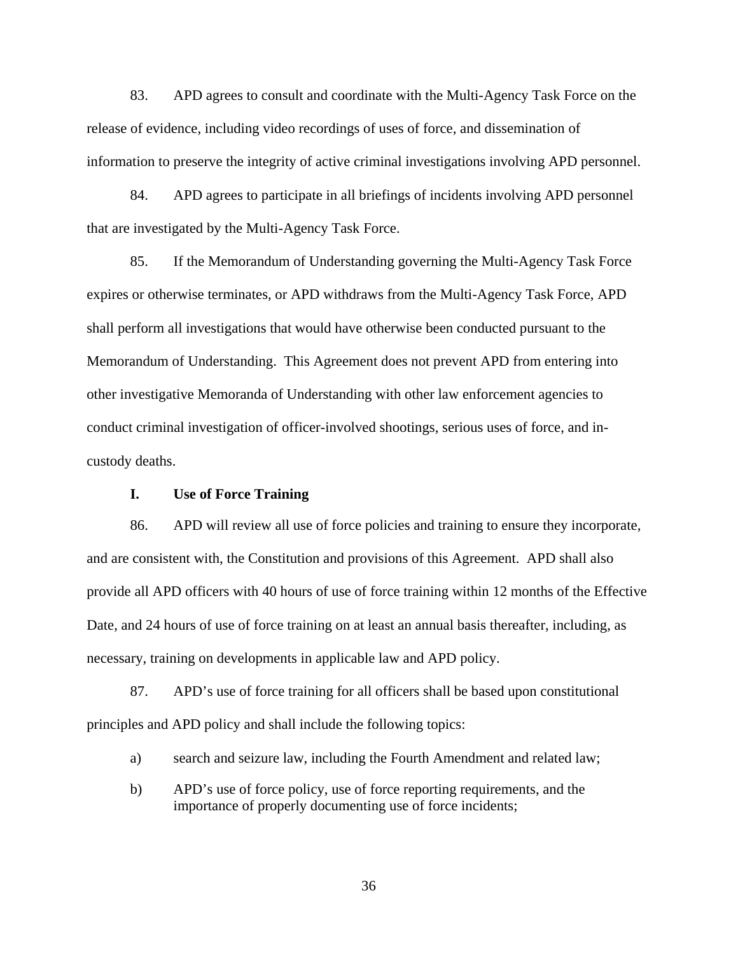83. APD agrees to consult and coordinate with the Multi-Agency Task Force on the release of evidence, including video recordings of uses of force, and dissemination of information to preserve the integrity of active criminal investigations involving APD personnel.

84. APD agrees to participate in all briefings of incidents involving APD personnel that are investigated by the Multi-Agency Task Force.

85. If the Memorandum of Understanding governing the Multi-Agency Task Force expires or otherwise terminates, or APD withdraws from the Multi-Agency Task Force, APD shall perform all investigations that would have otherwise been conducted pursuant to the Memorandum of Understanding. This Agreement does not prevent APD from entering into other investigative Memoranda of Understanding with other law enforcement agencies to conduct criminal investigation of officer-involved shootings, serious uses of force, and incustody deaths.

### **I. Use of Force Training**

86. APD will review all use of force policies and training to ensure they incorporate, and are consistent with, the Constitution and provisions of this Agreement. APD shall also provide all APD officers with 40 hours of use of force training within 12 months of the Effective Date, and 24 hours of use of force training on at least an annual basis thereafter, including, as necessary, training on developments in applicable law and APD policy.

87. APD's use of force training for all officers shall be based upon constitutional principles and APD policy and shall include the following topics:

- a) search and seizure law, including the Fourth Amendment and related law;
- b) APD's use of force policy, use of force reporting requirements, and the importance of properly documenting use of force incidents;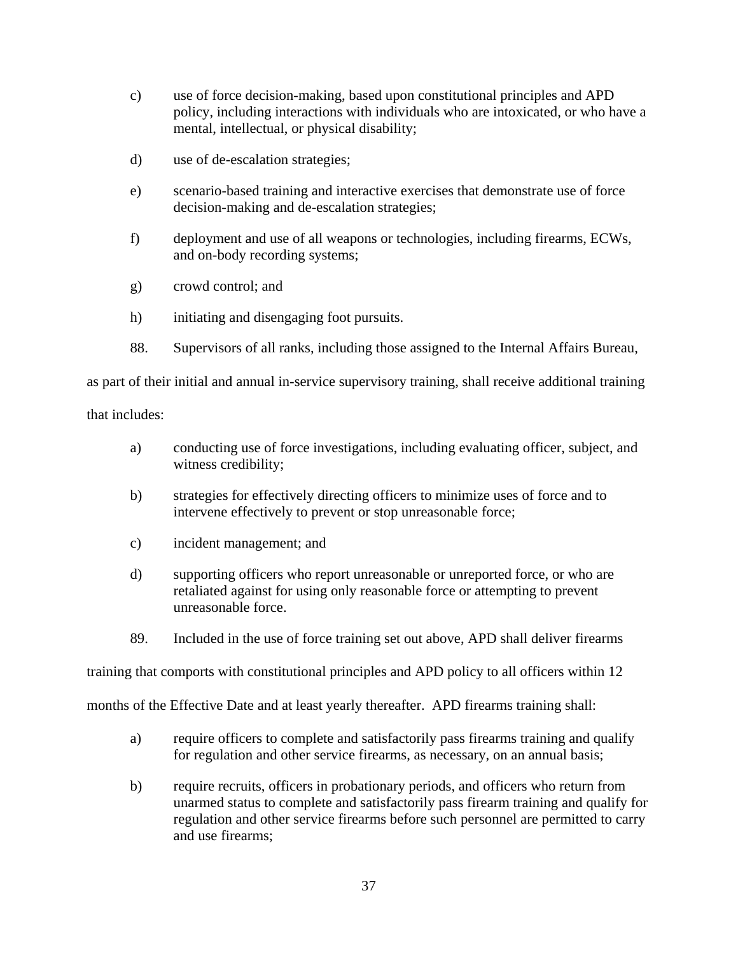- c) use of force decision-making, based upon constitutional principles and APD policy, including interactions with individuals who are intoxicated, or who have a mental, intellectual, or physical disability;
- d) use of de-escalation strategies;
- e) scenario-based training and interactive exercises that demonstrate use of force decision-making and de-escalation strategies;
- f) deployment and use of all weapons or technologies, including firearms, ECWs, and on-body recording systems;
- g) crowd control; and
- h) initiating and disengaging foot pursuits.
- 88. Supervisors of all ranks, including those assigned to the Internal Affairs Bureau,

as part of their initial and annual in-service supervisory training, shall receive additional training

that includes:

- a) conducting use of force investigations, including evaluating officer, subject, and witness credibility;
- b) strategies for effectively directing officers to minimize uses of force and to intervene effectively to prevent or stop unreasonable force;
- c) incident management; and
- d) supporting officers who report unreasonable or unreported force, or who are retaliated against for using only reasonable force or attempting to prevent unreasonable force.
- 89. Included in the use of force training set out above, APD shall deliver firearms

training that comports with constitutional principles and APD policy to all officers within 12

months of the Effective Date and at least yearly thereafter. APD firearms training shall:

- a) require officers to complete and satisfactorily pass firearms training and qualify for regulation and other service firearms, as necessary, on an annual basis;
- b) require recruits, officers in probationary periods, and officers who return from unarmed status to complete and satisfactorily pass firearm training and qualify for regulation and other service firearms before such personnel are permitted to carry and use firearms;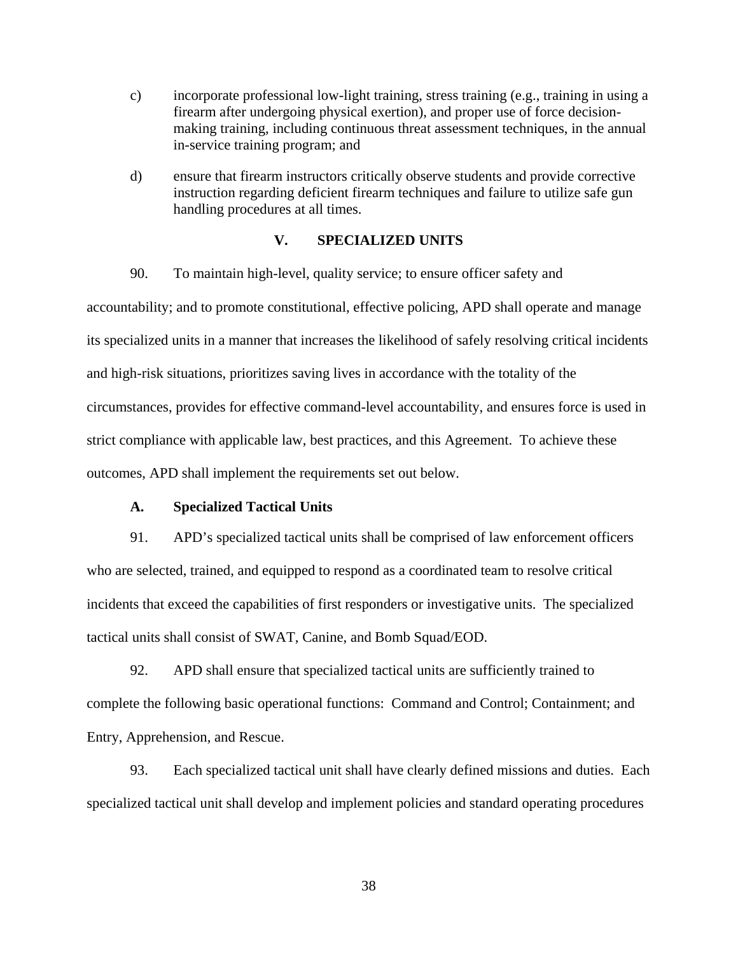- c) incorporate professional low-light training, stress training (e.g., training in using a firearm after undergoing physical exertion), and proper use of force decisionmaking training, including continuous threat assessment techniques, in the annual in-service training program; and
- d) ensure that firearm instructors critically observe students and provide corrective instruction regarding deficient firearm techniques and failure to utilize safe gun handling procedures at all times.

# **V. SPECIALIZED UNITS**

# 90. To maintain high-level, quality service; to ensure officer safety and

accountability; and to promote constitutional, effective policing, APD shall operate and manage its specialized units in a manner that increases the likelihood of safely resolving critical incidents and high-risk situations, prioritizes saving lives in accordance with the totality of the circumstances, provides for effective command-level accountability, and ensures force is used in strict compliance with applicable law, best practices, and this Agreement. To achieve these outcomes, APD shall implement the requirements set out below.

# **A. Specialized Tactical Units**

91. APD's specialized tactical units shall be comprised of law enforcement officers who are selected, trained, and equipped to respond as a coordinated team to resolve critical incidents that exceed the capabilities of first responders or investigative units. The specialized tactical units shall consist of SWAT, Canine, and Bomb Squad/EOD.

92. APD shall ensure that specialized tactical units are sufficiently trained to complete the following basic operational functions: Command and Control; Containment; and Entry, Apprehension, and Rescue.

93. Each specialized tactical unit shall have clearly defined missions and duties. Each specialized tactical unit shall develop and implement policies and standard operating procedures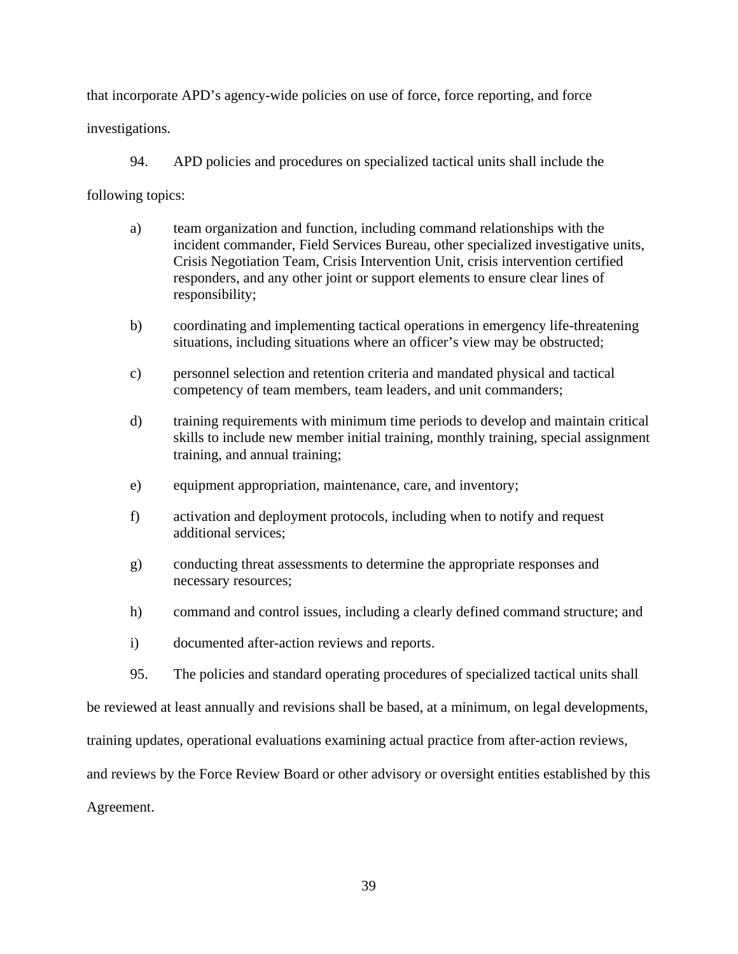that incorporate APD's agency-wide policies on use of force, force reporting, and force

investigations.

94. APD policies and procedures on specialized tactical units shall include the

following topics:

- a) team organization and function, including command relationships with the incident commander, Field Services Bureau, other specialized investigative units, Crisis Negotiation Team, Crisis Intervention Unit, crisis intervention certified responders, and any other joint or support elements to ensure clear lines of responsibility;
- b) coordinating and implementing tactical operations in emergency life-threatening situations, including situations where an officer's view may be obstructed;
- c) personnel selection and retention criteria and mandated physical and tactical competency of team members, team leaders, and unit commanders;
- d) training requirements with minimum time periods to develop and maintain critical skills to include new member initial training, monthly training, special assignment training, and annual training;
- e) equipment appropriation, maintenance, care, and inventory;
- f) activation and deployment protocols, including when to notify and request additional services;
- g) conducting threat assessments to determine the appropriate responses and necessary resources;
- h) command and control issues, including a clearly defined command structure; and
- i) documented after-action reviews and reports.
- 95. The policies and standard operating procedures of specialized tactical units shall

be reviewed at least annually and revisions shall be based, at a minimum, on legal developments,

training updates, operational evaluations examining actual practice from after-action reviews,

and reviews by the Force Review Board or other advisory or oversight entities established by this

Agreement.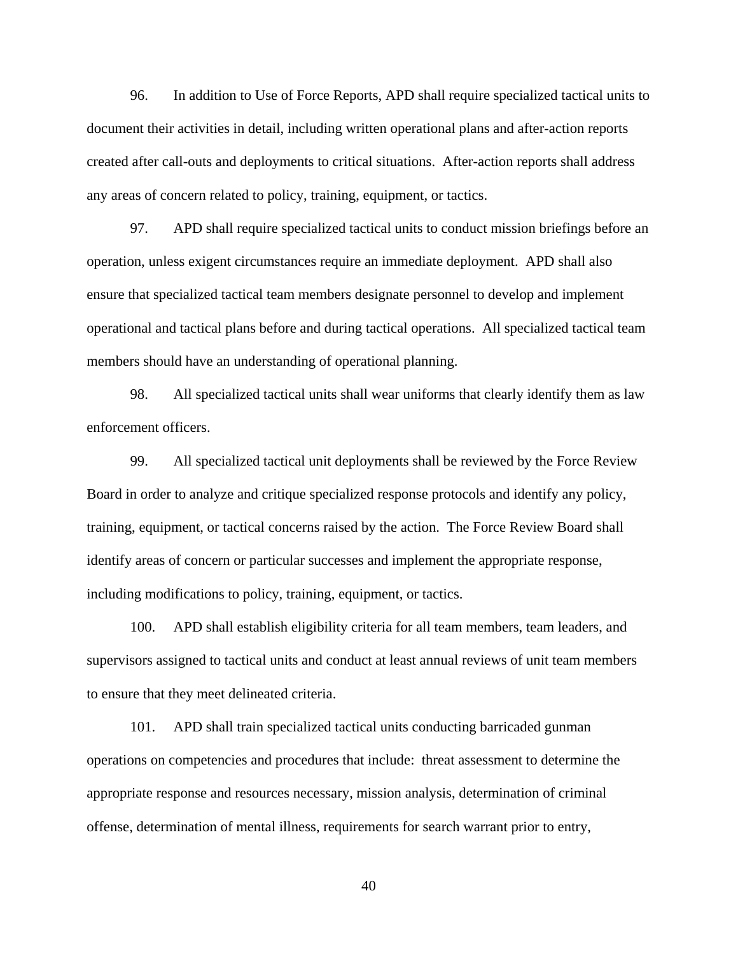96. In addition to Use of Force Reports, APD shall require specialized tactical units to document their activities in detail, including written operational plans and after-action reports created after call-outs and deployments to critical situations. After-action reports shall address any areas of concern related to policy, training, equipment, or tactics.

97. APD shall require specialized tactical units to conduct mission briefings before an operation, unless exigent circumstances require an immediate deployment. APD shall also ensure that specialized tactical team members designate personnel to develop and implement operational and tactical plans before and during tactical operations. All specialized tactical team members should have an understanding of operational planning.

98. All specialized tactical units shall wear uniforms that clearly identify them as law enforcement officers.

99. All specialized tactical unit deployments shall be reviewed by the Force Review Board in order to analyze and critique specialized response protocols and identify any policy, training, equipment, or tactical concerns raised by the action. The Force Review Board shall identify areas of concern or particular successes and implement the appropriate response, including modifications to policy, training, equipment, or tactics.

100. APD shall establish eligibility criteria for all team members, team leaders, and supervisors assigned to tactical units and conduct at least annual reviews of unit team members to ensure that they meet delineated criteria.

101. APD shall train specialized tactical units conducting barricaded gunman operations on competencies and procedures that include: threat assessment to determine the appropriate response and resources necessary, mission analysis, determination of criminal offense, determination of mental illness, requirements for search warrant prior to entry,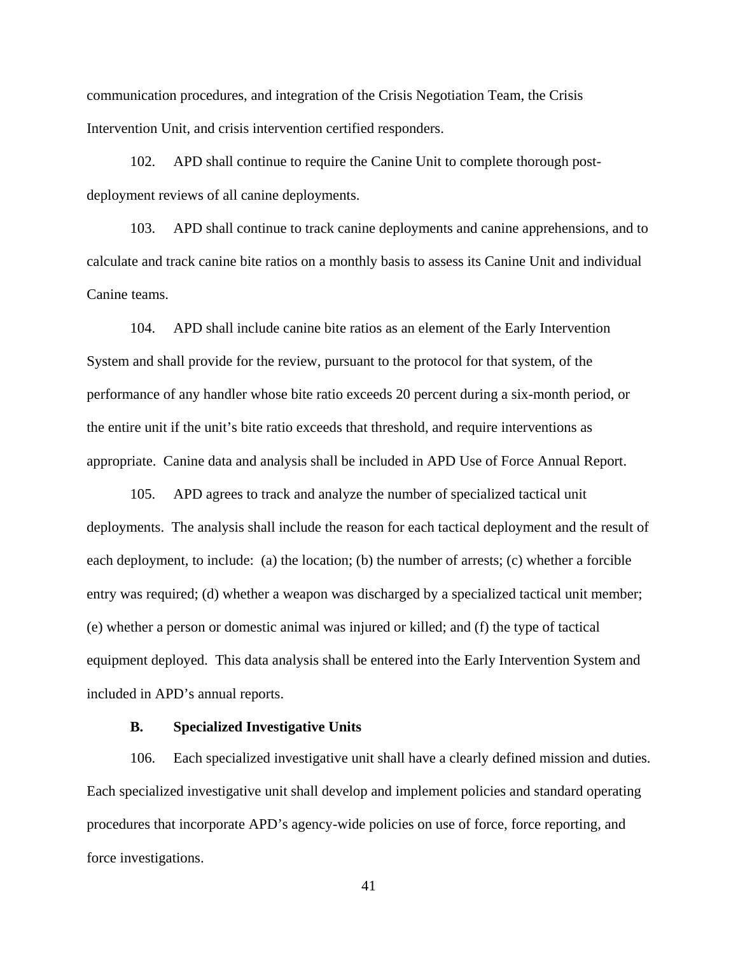communication procedures, and integration of the Crisis Negotiation Team, the Crisis Intervention Unit, and crisis intervention certified responders.

102. APD shall continue to require the Canine Unit to complete thorough postdeployment reviews of all canine deployments.

103. APD shall continue to track canine deployments and canine apprehensions, and to calculate and track canine bite ratios on a monthly basis to assess its Canine Unit and individual Canine teams.

104. APD shall include canine bite ratios as an element of the Early Intervention System and shall provide for the review, pursuant to the protocol for that system, of the performance of any handler whose bite ratio exceeds 20 percent during a six-month period, or the entire unit if the unit's bite ratio exceeds that threshold, and require interventions as appropriate. Canine data and analysis shall be included in APD Use of Force Annual Report.

105. APD agrees to track and analyze the number of specialized tactical unit deployments. The analysis shall include the reason for each tactical deployment and the result of each deployment, to include: (a) the location; (b) the number of arrests; (c) whether a forcible entry was required; (d) whether a weapon was discharged by a specialized tactical unit member; (e) whether a person or domestic animal was injured or killed; and (f) the type of tactical equipment deployed. This data analysis shall be entered into the Early Intervention System and included in APD's annual reports.

## **B. Specialized Investigative Units**

106. Each specialized investigative unit shall have a clearly defined mission and duties. Each specialized investigative unit shall develop and implement policies and standard operating procedures that incorporate APD's agency-wide policies on use of force, force reporting, and force investigations.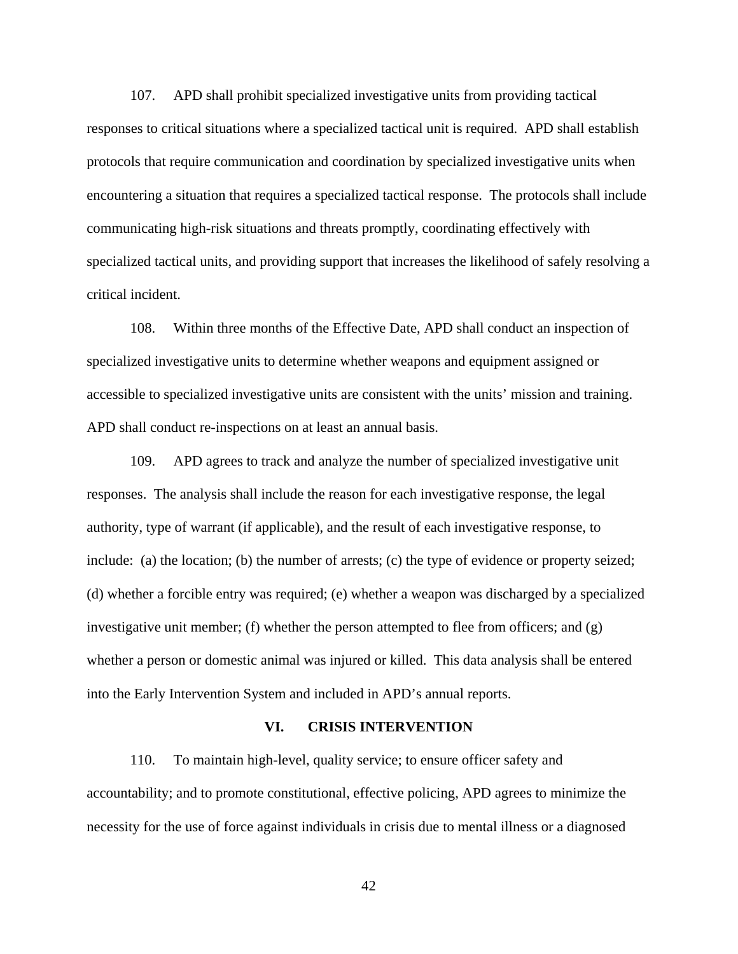107. APD shall prohibit specialized investigative units from providing tactical responses to critical situations where a specialized tactical unit is required. APD shall establish protocols that require communication and coordination by specialized investigative units when encountering a situation that requires a specialized tactical response. The protocols shall include communicating high-risk situations and threats promptly, coordinating effectively with specialized tactical units, and providing support that increases the likelihood of safely resolving a critical incident.

108. Within three months of the Effective Date, APD shall conduct an inspection of specialized investigative units to determine whether weapons and equipment assigned or accessible to specialized investigative units are consistent with the units' mission and training. APD shall conduct re-inspections on at least an annual basis.

109. APD agrees to track and analyze the number of specialized investigative unit responses. The analysis shall include the reason for each investigative response, the legal authority, type of warrant (if applicable), and the result of each investigative response, to include: (a) the location; (b) the number of arrests; (c) the type of evidence or property seized; (d) whether a forcible entry was required; (e) whether a weapon was discharged by a specialized investigative unit member; (f) whether the person attempted to flee from officers; and  $(g)$ whether a person or domestic animal was injured or killed. This data analysis shall be entered into the Early Intervention System and included in APD's annual reports.

#### **VI. CRISIS INTERVENTION**

110. To maintain high-level, quality service; to ensure officer safety and accountability; and to promote constitutional, effective policing, APD agrees to minimize the necessity for the use of force against individuals in crisis due to mental illness or a diagnosed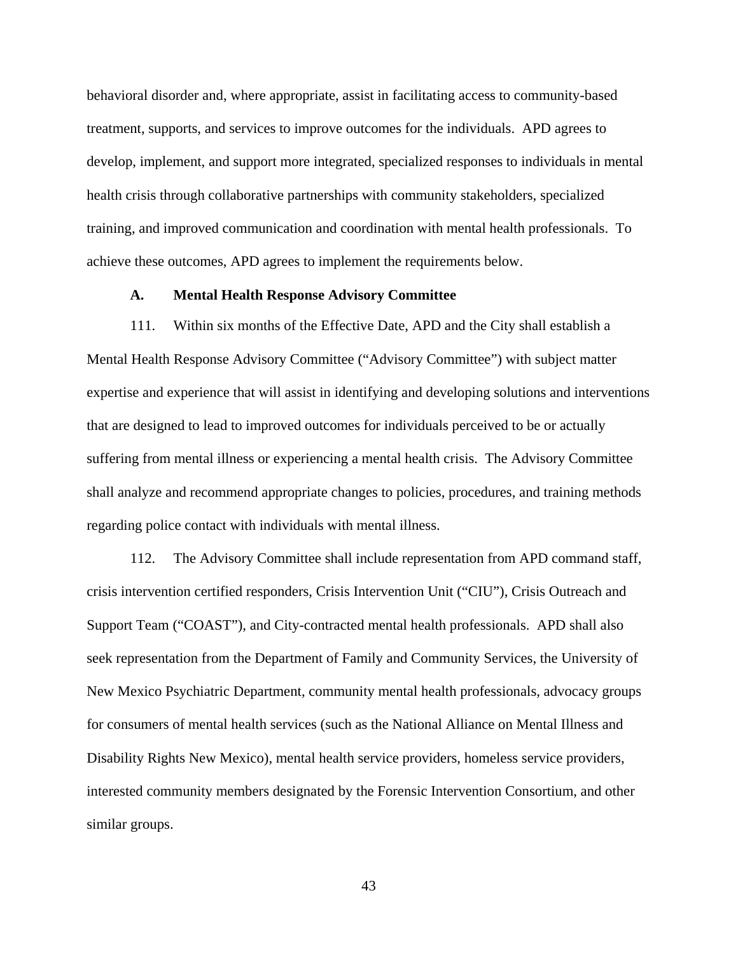behavioral disorder and, where appropriate, assist in facilitating access to community-based treatment, supports, and services to improve outcomes for the individuals. APD agrees to develop, implement, and support more integrated, specialized responses to individuals in mental health crisis through collaborative partnerships with community stakeholders, specialized training, and improved communication and coordination with mental health professionals. To achieve these outcomes, APD agrees to implement the requirements below.

### **A. Mental Health Response Advisory Committee**

111. Within six months of the Effective Date, APD and the City shall establish a Mental Health Response Advisory Committee ("Advisory Committee") with subject matter expertise and experience that will assist in identifying and developing solutions and interventions that are designed to lead to improved outcomes for individuals perceived to be or actually suffering from mental illness or experiencing a mental health crisis. The Advisory Committee shall analyze and recommend appropriate changes to policies, procedures, and training methods regarding police contact with individuals with mental illness.

112. The Advisory Committee shall include representation from APD command staff, crisis intervention certified responders, Crisis Intervention Unit ("CIU"), Crisis Outreach and Support Team ("COAST"), and City-contracted mental health professionals. APD shall also seek representation from the Department of Family and Community Services, the University of New Mexico Psychiatric Department, community mental health professionals, advocacy groups for consumers of mental health services (such as the National Alliance on Mental Illness and Disability Rights New Mexico), mental health service providers, homeless service providers, interested community members designated by the Forensic Intervention Consortium, and other similar groups.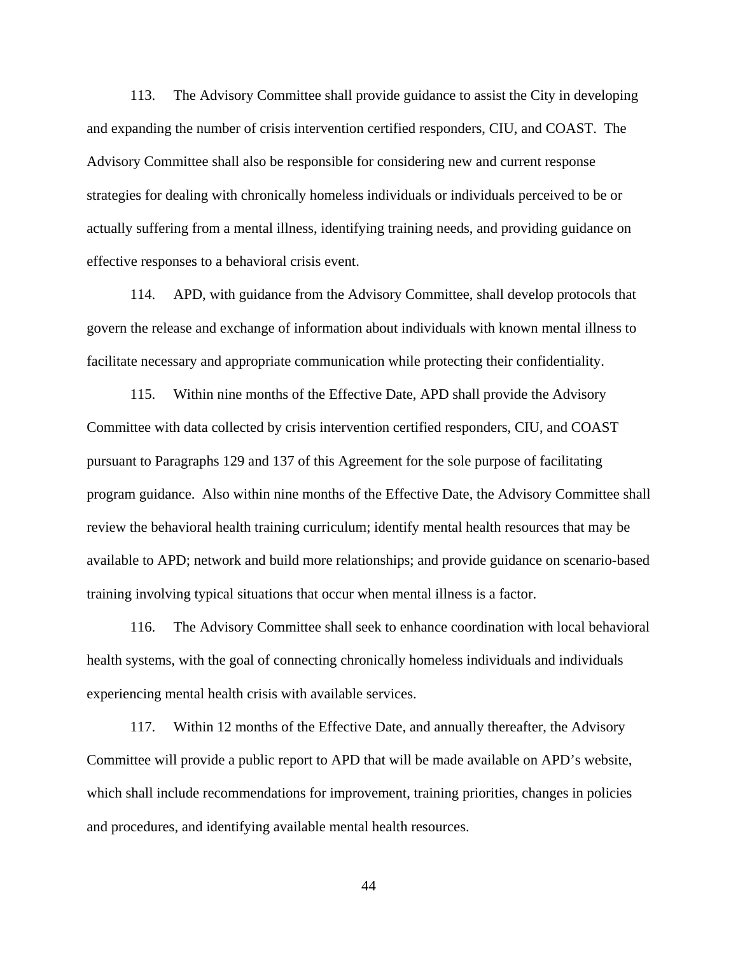113. The Advisory Committee shall provide guidance to assist the City in developing and expanding the number of crisis intervention certified responders, CIU, and COAST. The Advisory Committee shall also be responsible for considering new and current response strategies for dealing with chronically homeless individuals or individuals perceived to be or actually suffering from a mental illness, identifying training needs, and providing guidance on effective responses to a behavioral crisis event.

114. APD, with guidance from the Advisory Committee, shall develop protocols that govern the release and exchange of information about individuals with known mental illness to facilitate necessary and appropriate communication while protecting their confidentiality.

115. Within nine months of the Effective Date, APD shall provide the Advisory Committee with data collected by crisis intervention certified responders, CIU, and COAST pursuant to Paragraphs 129 and 137 of this Agreement for the sole purpose of facilitating program guidance. Also within nine months of the Effective Date, the Advisory Committee shall review the behavioral health training curriculum; identify mental health resources that may be available to APD; network and build more relationships; and provide guidance on scenario-based training involving typical situations that occur when mental illness is a factor.

116. The Advisory Committee shall seek to enhance coordination with local behavioral health systems, with the goal of connecting chronically homeless individuals and individuals experiencing mental health crisis with available services.

117. Within 12 months of the Effective Date, and annually thereafter, the Advisory Committee will provide a public report to APD that will be made available on APD's website, which shall include recommendations for improvement, training priorities, changes in policies and procedures, and identifying available mental health resources.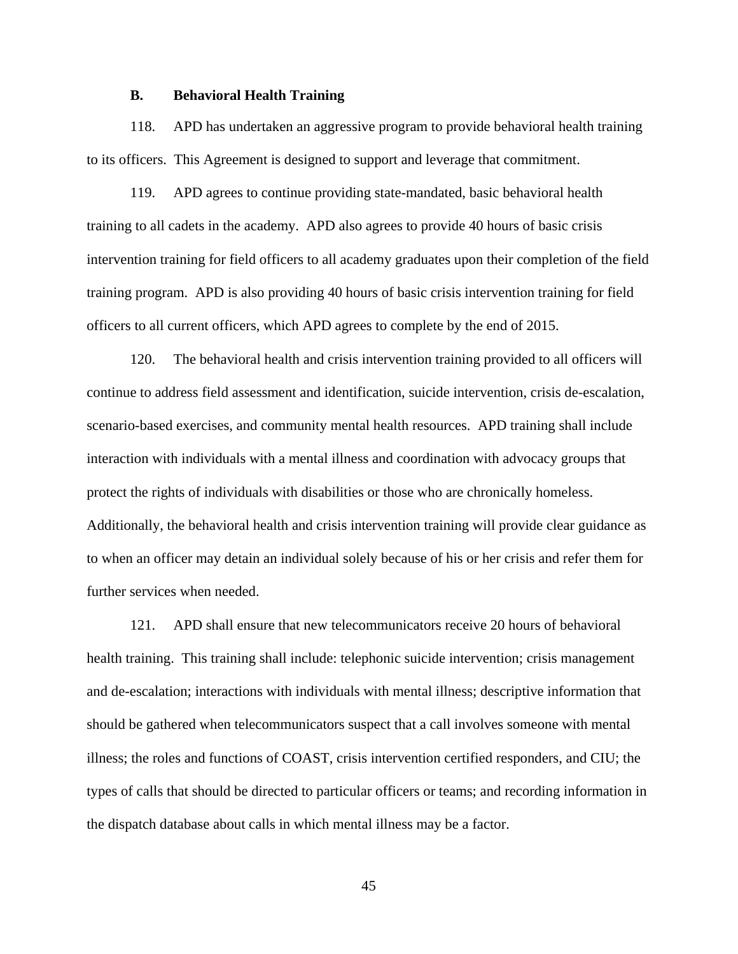# **B. Behavioral Health Training**

118. APD has undertaken an aggressive program to provide behavioral health training to its officers. This Agreement is designed to support and leverage that commitment.

119. APD agrees to continue providing state-mandated, basic behavioral health training to all cadets in the academy. APD also agrees to provide 40 hours of basic crisis intervention training for field officers to all academy graduates upon their completion of the field training program. APD is also providing 40 hours of basic crisis intervention training for field officers to all current officers, which APD agrees to complete by the end of 2015.

120. The behavioral health and crisis intervention training provided to all officers will continue to address field assessment and identification, suicide intervention, crisis de-escalation, scenario-based exercises, and community mental health resources. APD training shall include interaction with individuals with a mental illness and coordination with advocacy groups that protect the rights of individuals with disabilities or those who are chronically homeless. Additionally, the behavioral health and crisis intervention training will provide clear guidance as to when an officer may detain an individual solely because of his or her crisis and refer them for further services when needed.

121. APD shall ensure that new telecommunicators receive 20 hours of behavioral health training. This training shall include: telephonic suicide intervention; crisis management and de-escalation; interactions with individuals with mental illness; descriptive information that should be gathered when telecommunicators suspect that a call involves someone with mental illness; the roles and functions of COAST, crisis intervention certified responders, and CIU; the types of calls that should be directed to particular officers or teams; and recording information in the dispatch database about calls in which mental illness may be a factor.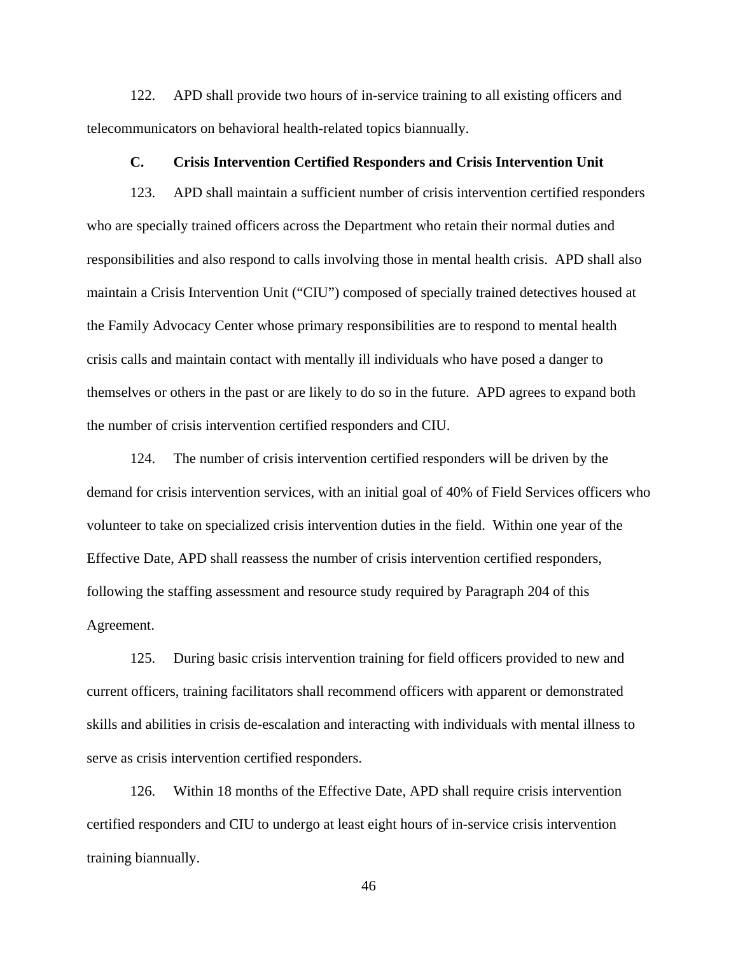122. APD shall provide two hours of in-service training to all existing officers and telecommunicators on behavioral health-related topics biannually.

## **C. Crisis Intervention Certified Responders and Crisis Intervention Unit**

123. APD shall maintain a sufficient number of crisis intervention certified responders who are specially trained officers across the Department who retain their normal duties and responsibilities and also respond to calls involving those in mental health crisis. APD shall also maintain a Crisis Intervention Unit ("CIU") composed of specially trained detectives housed at the Family Advocacy Center whose primary responsibilities are to respond to mental health crisis calls and maintain contact with mentally ill individuals who have posed a danger to themselves or others in the past or are likely to do so in the future. APD agrees to expand both the number of crisis intervention certified responders and CIU.

124. The number of crisis intervention certified responders will be driven by the demand for crisis intervention services, with an initial goal of 40% of Field Services officers who volunteer to take on specialized crisis intervention duties in the field. Within one year of the Effective Date, APD shall reassess the number of crisis intervention certified responders, following the staffing assessment and resource study required by Paragraph 204 of this Agreement.

125. During basic crisis intervention training for field officers provided to new and current officers, training facilitators shall recommend officers with apparent or demonstrated skills and abilities in crisis de-escalation and interacting with individuals with mental illness to serve as crisis intervention certified responders.

126. Within 18 months of the Effective Date, APD shall require crisis intervention certified responders and CIU to undergo at least eight hours of in-service crisis intervention training biannually.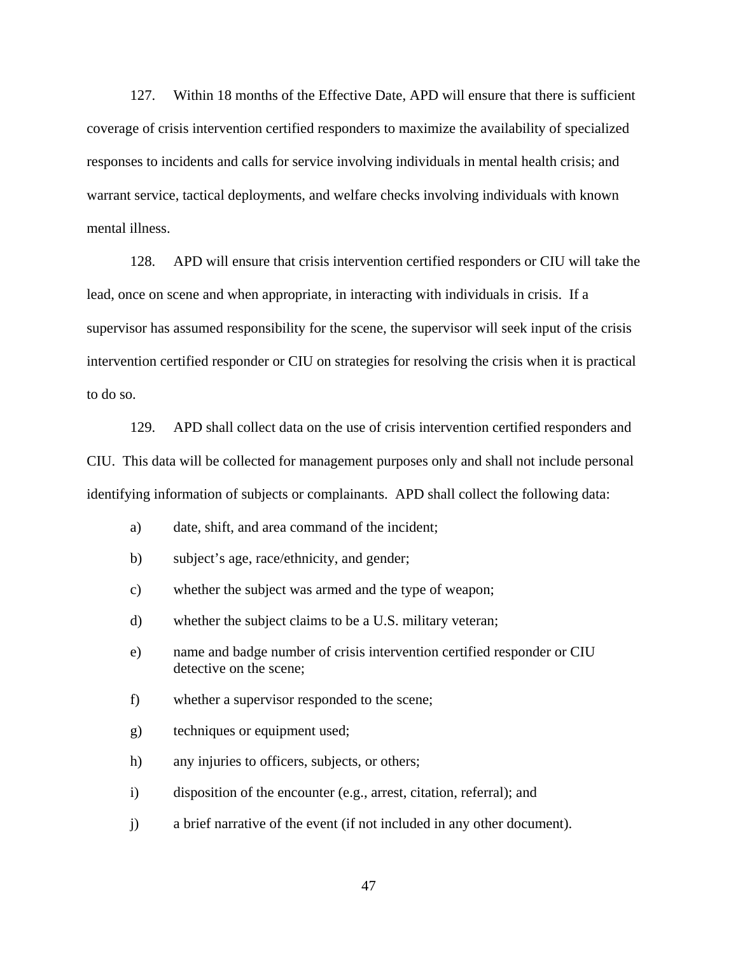127. Within 18 months of the Effective Date, APD will ensure that there is sufficient coverage of crisis intervention certified responders to maximize the availability of specialized responses to incidents and calls for service involving individuals in mental health crisis; and warrant service, tactical deployments, and welfare checks involving individuals with known mental illness.

128. APD will ensure that crisis intervention certified responders or CIU will take the lead, once on scene and when appropriate, in interacting with individuals in crisis. If a supervisor has assumed responsibility for the scene, the supervisor will seek input of the crisis intervention certified responder or CIU on strategies for resolving the crisis when it is practical to do so.

129. APD shall collect data on the use of crisis intervention certified responders and CIU. This data will be collected for management purposes only and shall not include personal identifying information of subjects or complainants. APD shall collect the following data:

- a) date, shift, and area command of the incident;
- b) subject's age, race/ethnicity, and gender;
- c) whether the subject was armed and the type of weapon;
- d) whether the subject claims to be a U.S. military veteran;
- e) name and badge number of crisis intervention certified responder or CIU detective on the scene;
- f) whether a supervisor responded to the scene;
- g) techniques or equipment used;
- h) any injuries to officers, subjects, or others;
- i) disposition of the encounter (e.g., arrest, citation, referral); and
- j) a brief narrative of the event (if not included in any other document).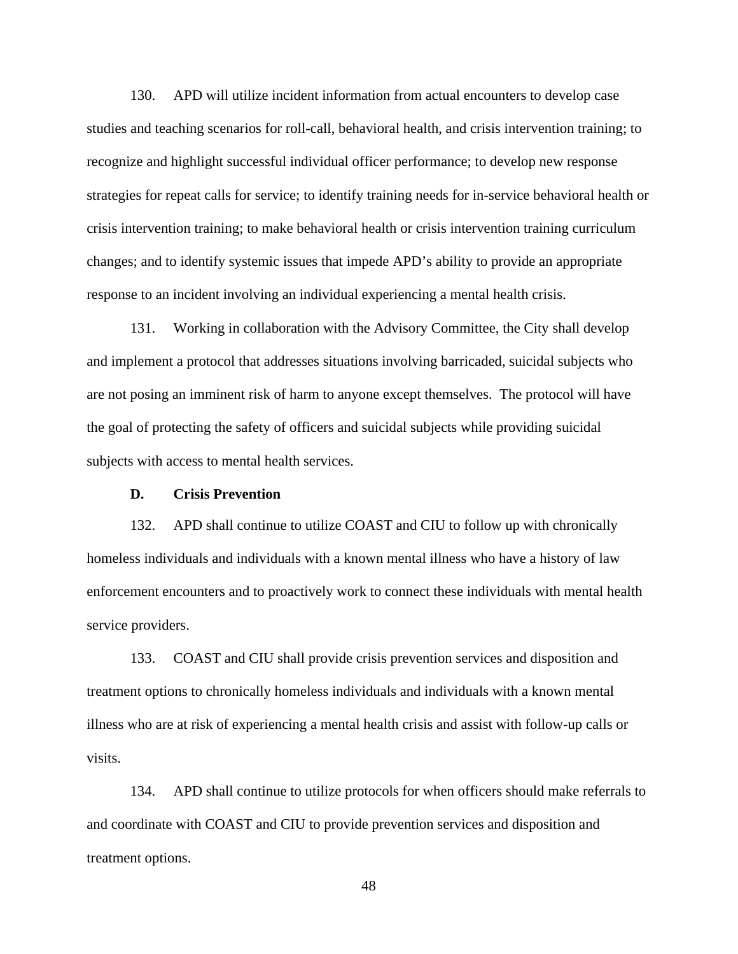130. APD will utilize incident information from actual encounters to develop case studies and teaching scenarios for roll-call, behavioral health, and crisis intervention training; to recognize and highlight successful individual officer performance; to develop new response strategies for repeat calls for service; to identify training needs for in-service behavioral health or crisis intervention training; to make behavioral health or crisis intervention training curriculum changes; and to identify systemic issues that impede APD's ability to provide an appropriate response to an incident involving an individual experiencing a mental health crisis.

131. Working in collaboration with the Advisory Committee, the City shall develop and implement a protocol that addresses situations involving barricaded, suicidal subjects who are not posing an imminent risk of harm to anyone except themselves. The protocol will have the goal of protecting the safety of officers and suicidal subjects while providing suicidal subjects with access to mental health services.

### **D. Crisis Prevention**

132. APD shall continue to utilize COAST and CIU to follow up with chronically homeless individuals and individuals with a known mental illness who have a history of law enforcement encounters and to proactively work to connect these individuals with mental health service providers.

133. COAST and CIU shall provide crisis prevention services and disposition and treatment options to chronically homeless individuals and individuals with a known mental illness who are at risk of experiencing a mental health crisis and assist with follow-up calls or visits.

134. APD shall continue to utilize protocols for when officers should make referrals to and coordinate with COAST and CIU to provide prevention services and disposition and treatment options.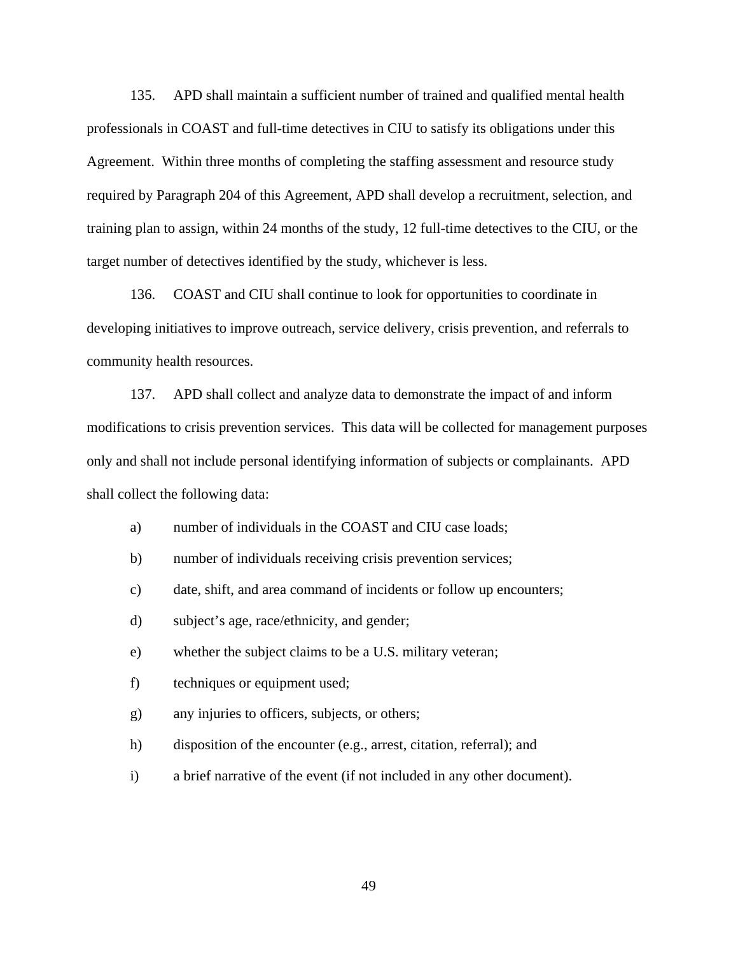135. APD shall maintain a sufficient number of trained and qualified mental health professionals in COAST and full-time detectives in CIU to satisfy its obligations under this Agreement. Within three months of completing the staffing assessment and resource study required by Paragraph 204 of this Agreement, APD shall develop a recruitment, selection, and training plan to assign, within 24 months of the study, 12 full-time detectives to the CIU, or the target number of detectives identified by the study, whichever is less.

136. COAST and CIU shall continue to look for opportunities to coordinate in developing initiatives to improve outreach, service delivery, crisis prevention, and referrals to community health resources.

137. APD shall collect and analyze data to demonstrate the impact of and inform modifications to crisis prevention services. This data will be collected for management purposes only and shall not include personal identifying information of subjects or complainants. APD shall collect the following data:

- a) number of individuals in the COAST and CIU case loads;
- b) number of individuals receiving crisis prevention services;
- c) date, shift, and area command of incidents or follow up encounters;
- d) subject's age, race/ethnicity, and gender;
- e) whether the subject claims to be a U.S. military veteran;
- f) techniques or equipment used;
- g) any injuries to officers, subjects, or others;
- h) disposition of the encounter (e.g., arrest, citation, referral); and
- i) a brief narrative of the event (if not included in any other document).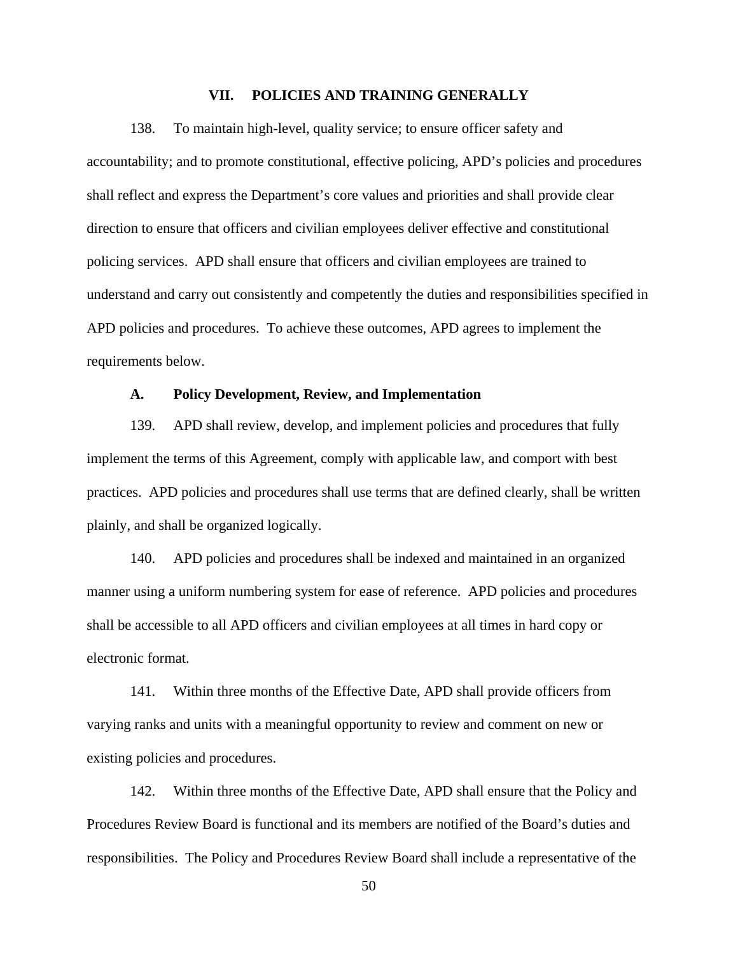#### **VII. POLICIES AND TRAINING GENERALLY**

138. To maintain high-level, quality service; to ensure officer safety and accountability; and to promote constitutional, effective policing, APD's policies and procedures shall reflect and express the Department's core values and priorities and shall provide clear direction to ensure that officers and civilian employees deliver effective and constitutional policing services. APD shall ensure that officers and civilian employees are trained to understand and carry out consistently and competently the duties and responsibilities specified in APD policies and procedures. To achieve these outcomes, APD agrees to implement the requirements below.

## **A. Policy Development, Review, and Implementation**

139. APD shall review, develop, and implement policies and procedures that fully implement the terms of this Agreement, comply with applicable law, and comport with best practices. APD policies and procedures shall use terms that are defined clearly, shall be written plainly, and shall be organized logically.

140. APD policies and procedures shall be indexed and maintained in an organized manner using a uniform numbering system for ease of reference. APD policies and procedures shall be accessible to all APD officers and civilian employees at all times in hard copy or electronic format.

141. Within three months of the Effective Date, APD shall provide officers from varying ranks and units with a meaningful opportunity to review and comment on new or existing policies and procedures.

142. Within three months of the Effective Date, APD shall ensure that the Policy and Procedures Review Board is functional and its members are notified of the Board's duties and responsibilities. The Policy and Procedures Review Board shall include a representative of the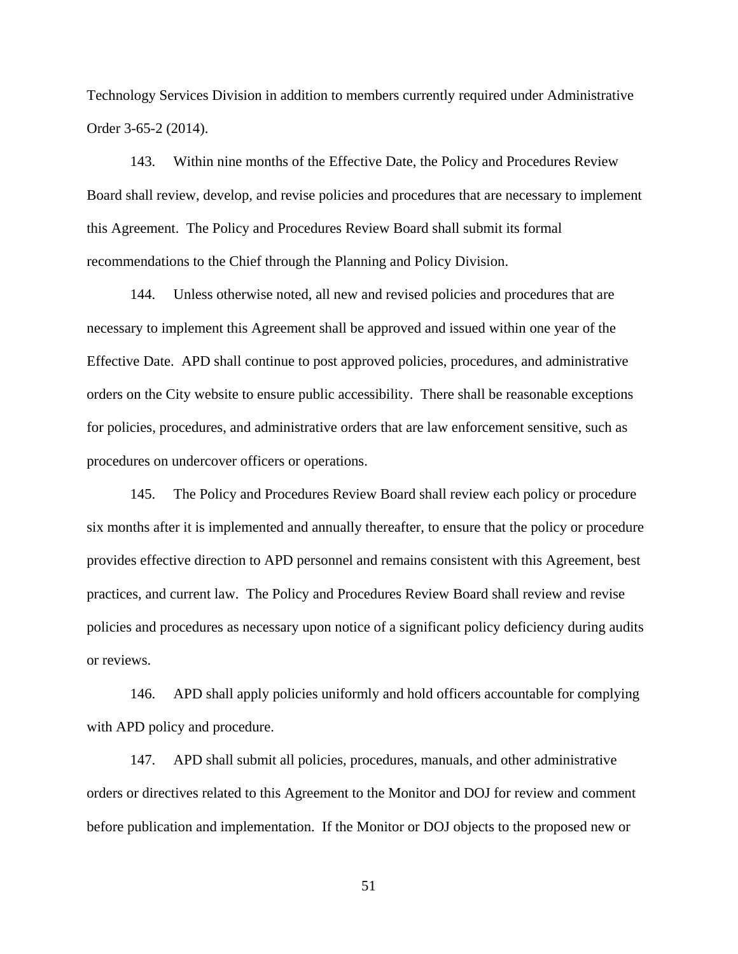Technology Services Division in addition to members currently required under Administrative Order 3-65-2 (2014).

143. Within nine months of the Effective Date, the Policy and Procedures Review Board shall review, develop, and revise policies and procedures that are necessary to implement this Agreement. The Policy and Procedures Review Board shall submit its formal recommendations to the Chief through the Planning and Policy Division.

144. Unless otherwise noted, all new and revised policies and procedures that are necessary to implement this Agreement shall be approved and issued within one year of the Effective Date. APD shall continue to post approved policies, procedures, and administrative orders on the City website to ensure public accessibility. There shall be reasonable exceptions for policies, procedures, and administrative orders that are law enforcement sensitive, such as procedures on undercover officers or operations.

145. The Policy and Procedures Review Board shall review each policy or procedure six months after it is implemented and annually thereafter, to ensure that the policy or procedure provides effective direction to APD personnel and remains consistent with this Agreement, best practices, and current law. The Policy and Procedures Review Board shall review and revise policies and procedures as necessary upon notice of a significant policy deficiency during audits or reviews.

146. APD shall apply policies uniformly and hold officers accountable for complying with APD policy and procedure.

147. APD shall submit all policies, procedures, manuals, and other administrative orders or directives related to this Agreement to the Monitor and DOJ for review and comment before publication and implementation. If the Monitor or DOJ objects to the proposed new or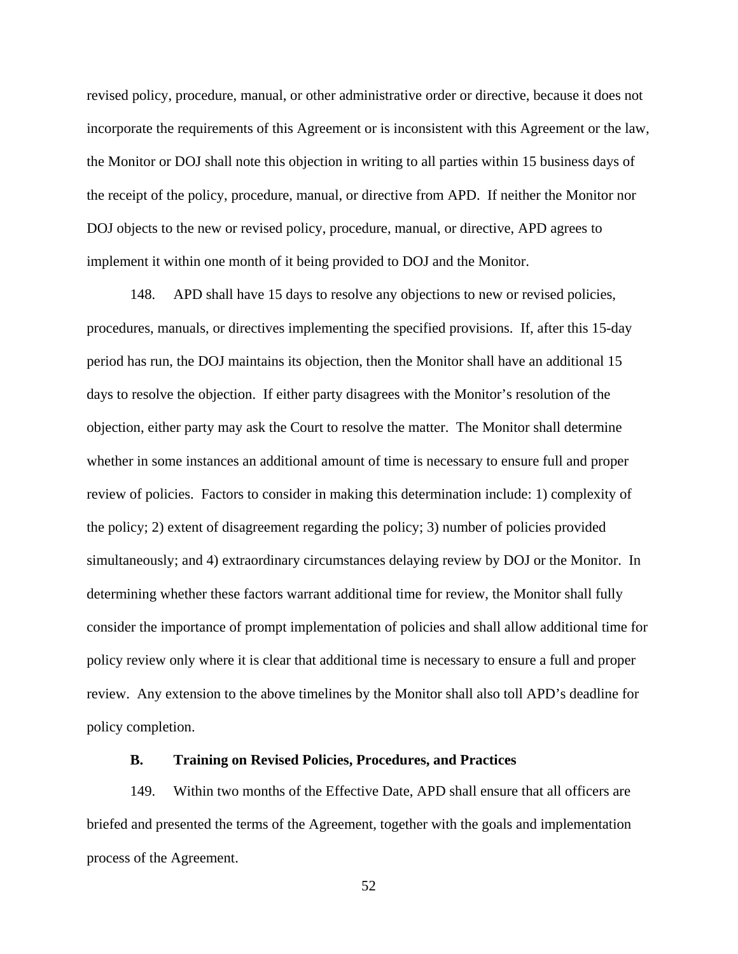revised policy, procedure, manual, or other administrative order or directive, because it does not incorporate the requirements of this Agreement or is inconsistent with this Agreement or the law, the Monitor or DOJ shall note this objection in writing to all parties within 15 business days of the receipt of the policy, procedure, manual, or directive from APD. If neither the Monitor nor DOJ objects to the new or revised policy, procedure, manual, or directive, APD agrees to implement it within one month of it being provided to DOJ and the Monitor.

148. APD shall have 15 days to resolve any objections to new or revised policies, procedures, manuals, or directives implementing the specified provisions. If, after this 15-day period has run, the DOJ maintains its objection, then the Monitor shall have an additional 15 days to resolve the objection. If either party disagrees with the Monitor's resolution of the objection, either party may ask the Court to resolve the matter. The Monitor shall determine whether in some instances an additional amount of time is necessary to ensure full and proper review of policies. Factors to consider in making this determination include: 1) complexity of the policy; 2) extent of disagreement regarding the policy; 3) number of policies provided simultaneously; and 4) extraordinary circumstances delaying review by DOJ or the Monitor. In determining whether these factors warrant additional time for review, the Monitor shall fully consider the importance of prompt implementation of policies and shall allow additional time for policy review only where it is clear that additional time is necessary to ensure a full and proper review. Any extension to the above timelines by the Monitor shall also toll APD's deadline for policy completion.

### **B. Training on Revised Policies, Procedures, and Practices**

149. Within two months of the Effective Date, APD shall ensure that all officers are briefed and presented the terms of the Agreement, together with the goals and implementation process of the Agreement.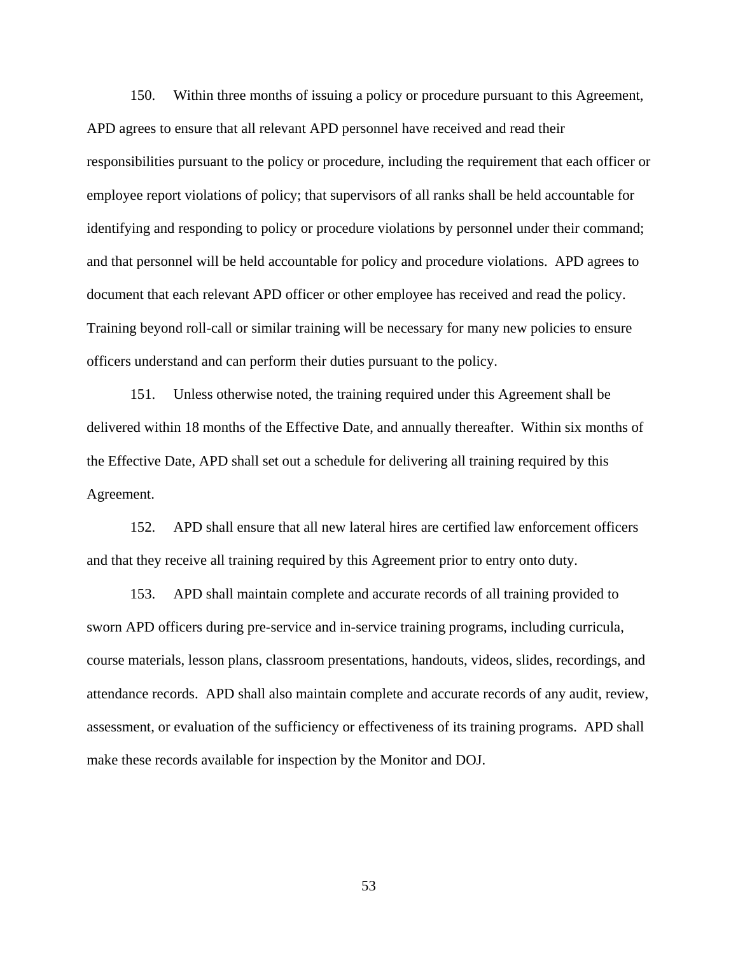150. Within three months of issuing a policy or procedure pursuant to this Agreement, APD agrees to ensure that all relevant APD personnel have received and read their responsibilities pursuant to the policy or procedure, including the requirement that each officer or employee report violations of policy; that supervisors of all ranks shall be held accountable for identifying and responding to policy or procedure violations by personnel under their command; and that personnel will be held accountable for policy and procedure violations. APD agrees to document that each relevant APD officer or other employee has received and read the policy. Training beyond roll-call or similar training will be necessary for many new policies to ensure officers understand and can perform their duties pursuant to the policy.

151. Unless otherwise noted, the training required under this Agreement shall be delivered within 18 months of the Effective Date, and annually thereafter. Within six months of the Effective Date, APD shall set out a schedule for delivering all training required by this Agreement.

152. APD shall ensure that all new lateral hires are certified law enforcement officers and that they receive all training required by this Agreement prior to entry onto duty.

153. APD shall maintain complete and accurate records of all training provided to sworn APD officers during pre-service and in-service training programs, including curricula, course materials, lesson plans, classroom presentations, handouts, videos, slides, recordings, and attendance records. APD shall also maintain complete and accurate records of any audit, review, assessment, or evaluation of the sufficiency or effectiveness of its training programs. APD shall make these records available for inspection by the Monitor and DOJ.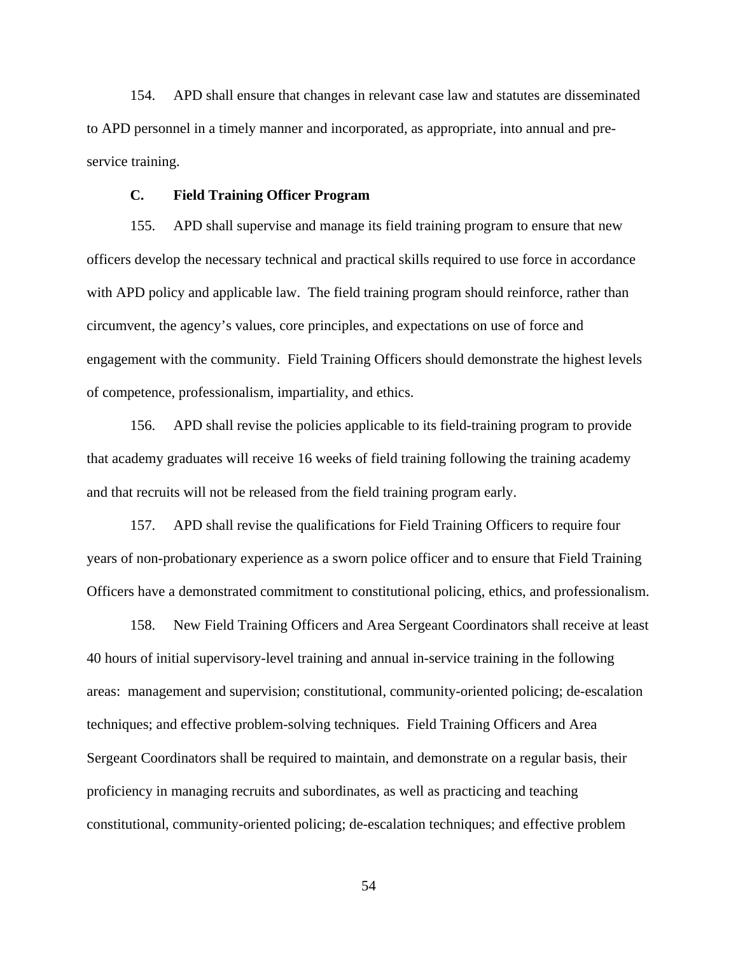154. APD shall ensure that changes in relevant case law and statutes are disseminated to APD personnel in a timely manner and incorporated, as appropriate, into annual and preservice training.

### **C. Field Training Officer Program**

155. APD shall supervise and manage its field training program to ensure that new officers develop the necessary technical and practical skills required to use force in accordance with APD policy and applicable law. The field training program should reinforce, rather than circumvent, the agency's values, core principles, and expectations on use of force and engagement with the community. Field Training Officers should demonstrate the highest levels of competence, professionalism, impartiality, and ethics.

156. APD shall revise the policies applicable to its field-training program to provide that academy graduates will receive 16 weeks of field training following the training academy and that recruits will not be released from the field training program early.

157. APD shall revise the qualifications for Field Training Officers to require four years of non-probationary experience as a sworn police officer and to ensure that Field Training Officers have a demonstrated commitment to constitutional policing, ethics, and professionalism.

158. New Field Training Officers and Area Sergeant Coordinators shall receive at least 40 hours of initial supervisory-level training and annual in-service training in the following areas: management and supervision; constitutional, community-oriented policing; de-escalation techniques; and effective problem-solving techniques. Field Training Officers and Area Sergeant Coordinators shall be required to maintain, and demonstrate on a regular basis, their proficiency in managing recruits and subordinates, as well as practicing and teaching constitutional, community-oriented policing; de-escalation techniques; and effective problem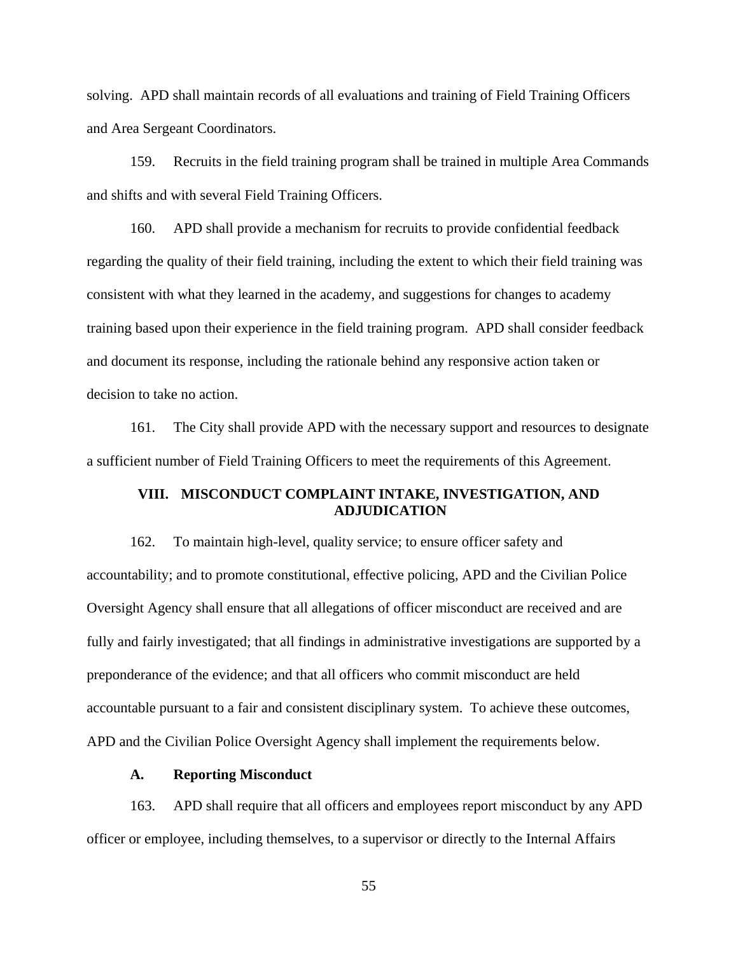solving. APD shall maintain records of all evaluations and training of Field Training Officers and Area Sergeant Coordinators.

159. Recruits in the field training program shall be trained in multiple Area Commands and shifts and with several Field Training Officers.

160. APD shall provide a mechanism for recruits to provide confidential feedback regarding the quality of their field training, including the extent to which their field training was consistent with what they learned in the academy, and suggestions for changes to academy training based upon their experience in the field training program. APD shall consider feedback and document its response, including the rationale behind any responsive action taken or decision to take no action.

161. The City shall provide APD with the necessary support and resources to designate a sufficient number of Field Training Officers to meet the requirements of this Agreement.

# **VIII. MISCONDUCT COMPLAINT INTAKE, INVESTIGATION, AND ADJUDICATION**

162. To maintain high-level, quality service; to ensure officer safety and accountability; and to promote constitutional, effective policing, APD and the Civilian Police Oversight Agency shall ensure that all allegations of officer misconduct are received and are fully and fairly investigated; that all findings in administrative investigations are supported by a preponderance of the evidence; and that all officers who commit misconduct are held accountable pursuant to a fair and consistent disciplinary system. To achieve these outcomes, APD and the Civilian Police Oversight Agency shall implement the requirements below.

# **A. Reporting Misconduct**

163. APD shall require that all officers and employees report misconduct by any APD officer or employee, including themselves, to a supervisor or directly to the Internal Affairs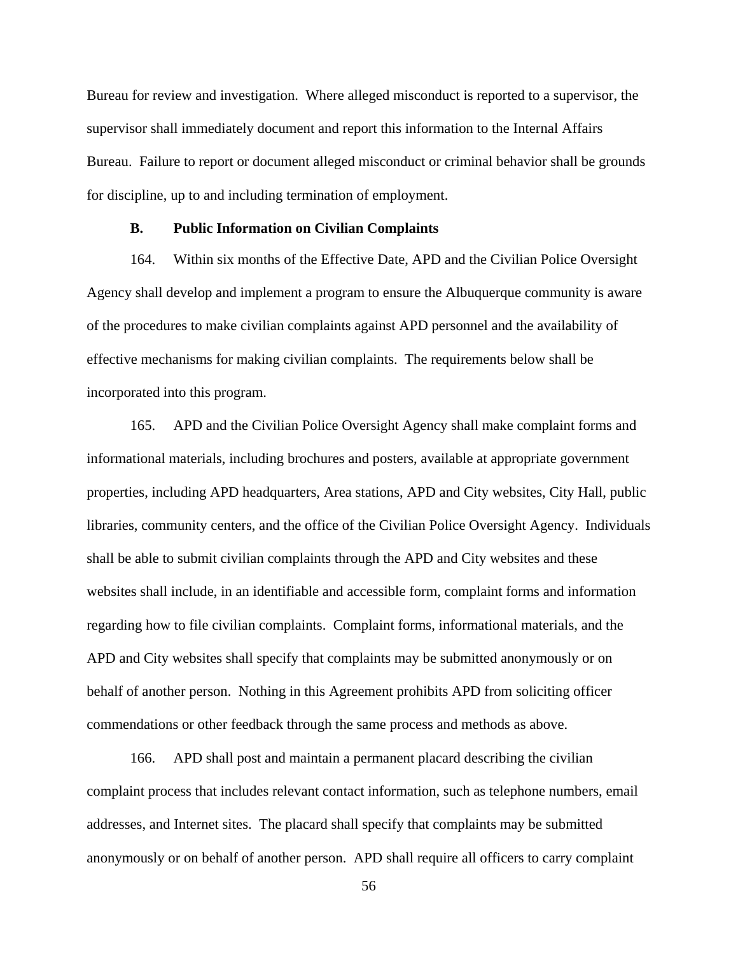Bureau for review and investigation. Where alleged misconduct is reported to a supervisor, the supervisor shall immediately document and report this information to the Internal Affairs Bureau. Failure to report or document alleged misconduct or criminal behavior shall be grounds for discipline, up to and including termination of employment.

# **B. Public Information on Civilian Complaints**

164. Within six months of the Effective Date, APD and the Civilian Police Oversight Agency shall develop and implement a program to ensure the Albuquerque community is aware of the procedures to make civilian complaints against APD personnel and the availability of effective mechanisms for making civilian complaints. The requirements below shall be incorporated into this program.

165. APD and the Civilian Police Oversight Agency shall make complaint forms and informational materials, including brochures and posters, available at appropriate government properties, including APD headquarters, Area stations, APD and City websites, City Hall, public libraries, community centers, and the office of the Civilian Police Oversight Agency. Individuals shall be able to submit civilian complaints through the APD and City websites and these websites shall include, in an identifiable and accessible form, complaint forms and information regarding how to file civilian complaints. Complaint forms, informational materials, and the APD and City websites shall specify that complaints may be submitted anonymously or on behalf of another person. Nothing in this Agreement prohibits APD from soliciting officer commendations or other feedback through the same process and methods as above.

166. APD shall post and maintain a permanent placard describing the civilian complaint process that includes relevant contact information, such as telephone numbers, email addresses, and Internet sites. The placard shall specify that complaints may be submitted anonymously or on behalf of another person. APD shall require all officers to carry complaint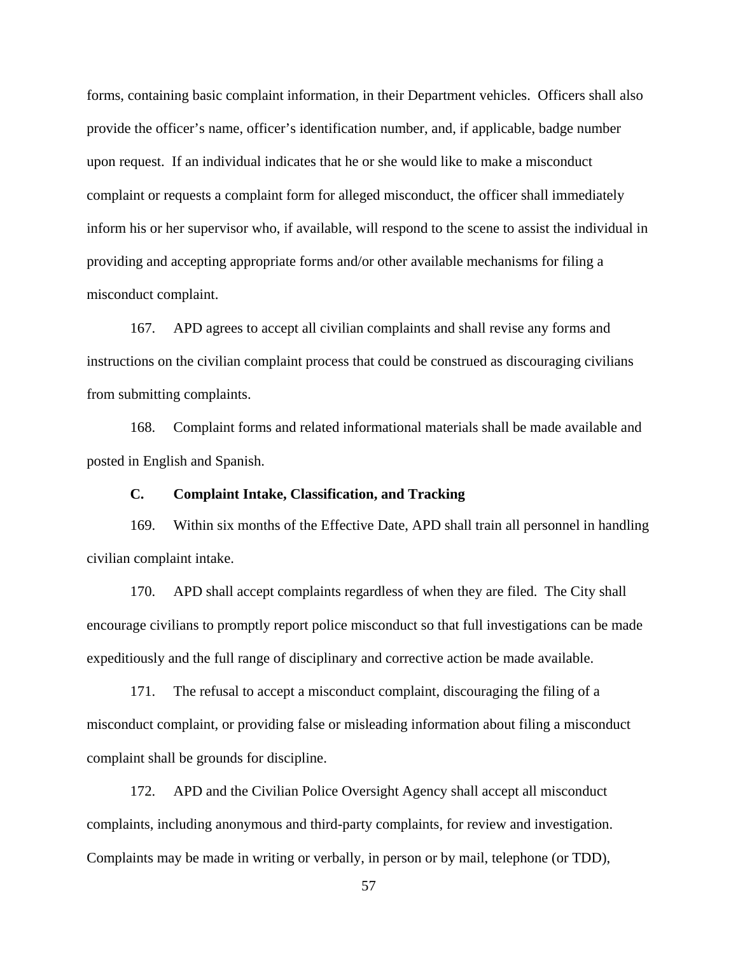forms, containing basic complaint information, in their Department vehicles. Officers shall also provide the officer's name, officer's identification number, and, if applicable, badge number upon request. If an individual indicates that he or she would like to make a misconduct complaint or requests a complaint form for alleged misconduct, the officer shall immediately inform his or her supervisor who, if available, will respond to the scene to assist the individual in providing and accepting appropriate forms and/or other available mechanisms for filing a misconduct complaint.

167. APD agrees to accept all civilian complaints and shall revise any forms and instructions on the civilian complaint process that could be construed as discouraging civilians from submitting complaints.

168. Complaint forms and related informational materials shall be made available and posted in English and Spanish.

# **C. Complaint Intake, Classification, and Tracking**

169. Within six months of the Effective Date, APD shall train all personnel in handling civilian complaint intake.

170. APD shall accept complaints regardless of when they are filed. The City shall encourage civilians to promptly report police misconduct so that full investigations can be made expeditiously and the full range of disciplinary and corrective action be made available.

171. The refusal to accept a misconduct complaint, discouraging the filing of a misconduct complaint, or providing false or misleading information about filing a misconduct complaint shall be grounds for discipline.

172. APD and the Civilian Police Oversight Agency shall accept all misconduct complaints, including anonymous and third-party complaints, for review and investigation. Complaints may be made in writing or verbally, in person or by mail, telephone (or TDD),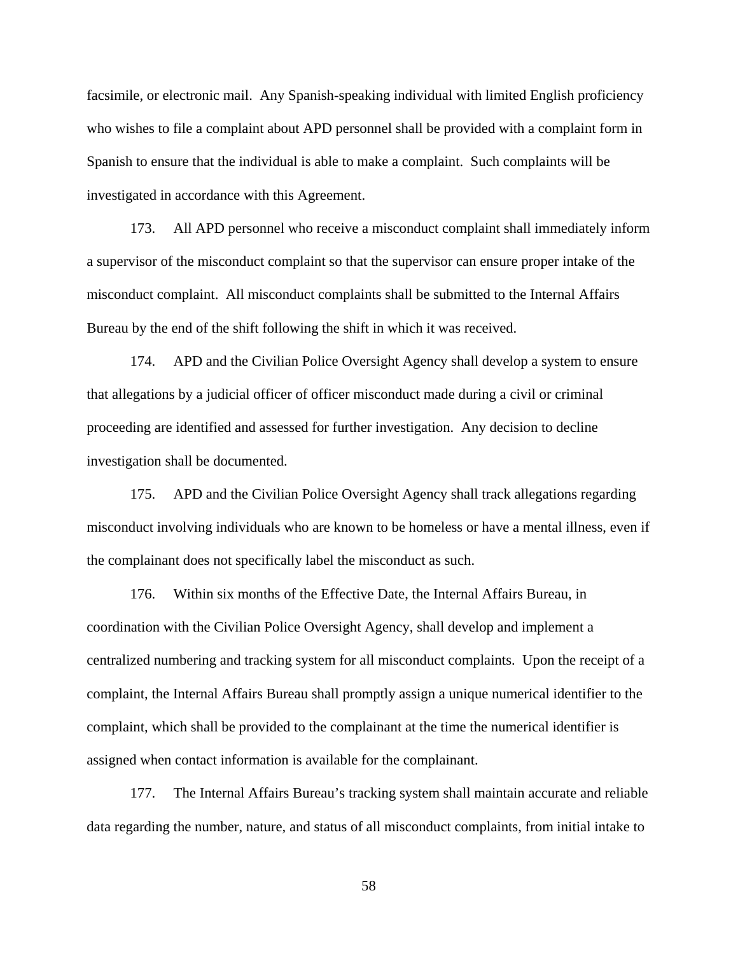facsimile, or electronic mail. Any Spanish-speaking individual with limited English proficiency who wishes to file a complaint about APD personnel shall be provided with a complaint form in Spanish to ensure that the individual is able to make a complaint. Such complaints will be investigated in accordance with this Agreement.

173. All APD personnel who receive a misconduct complaint shall immediately inform a supervisor of the misconduct complaint so that the supervisor can ensure proper intake of the misconduct complaint. All misconduct complaints shall be submitted to the Internal Affairs Bureau by the end of the shift following the shift in which it was received.

174. APD and the Civilian Police Oversight Agency shall develop a system to ensure that allegations by a judicial officer of officer misconduct made during a civil or criminal proceeding are identified and assessed for further investigation. Any decision to decline investigation shall be documented.

175. APD and the Civilian Police Oversight Agency shall track allegations regarding misconduct involving individuals who are known to be homeless or have a mental illness, even if the complainant does not specifically label the misconduct as such.

176. Within six months of the Effective Date, the Internal Affairs Bureau, in coordination with the Civilian Police Oversight Agency, shall develop and implement a centralized numbering and tracking system for all misconduct complaints. Upon the receipt of a complaint, the Internal Affairs Bureau shall promptly assign a unique numerical identifier to the complaint, which shall be provided to the complainant at the time the numerical identifier is assigned when contact information is available for the complainant.

177. The Internal Affairs Bureau's tracking system shall maintain accurate and reliable data regarding the number, nature, and status of all misconduct complaints, from initial intake to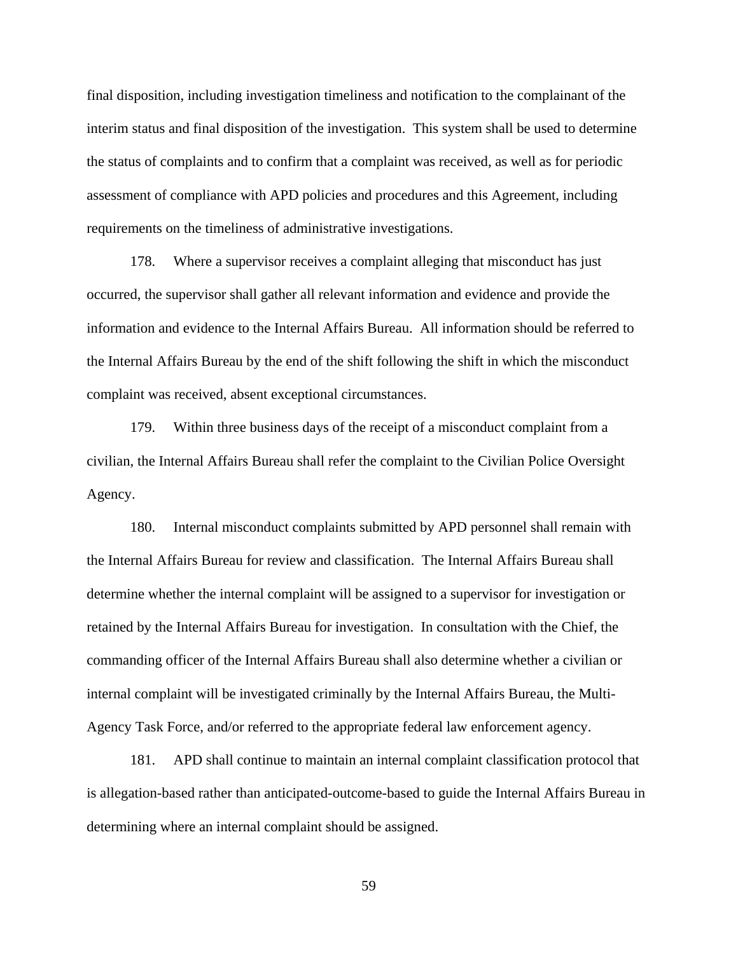final disposition, including investigation timeliness and notification to the complainant of the interim status and final disposition of the investigation. This system shall be used to determine the status of complaints and to confirm that a complaint was received, as well as for periodic assessment of compliance with APD policies and procedures and this Agreement, including requirements on the timeliness of administrative investigations.

178. Where a supervisor receives a complaint alleging that misconduct has just occurred, the supervisor shall gather all relevant information and evidence and provide the information and evidence to the Internal Affairs Bureau. All information should be referred to the Internal Affairs Bureau by the end of the shift following the shift in which the misconduct complaint was received, absent exceptional circumstances.

179. Within three business days of the receipt of a misconduct complaint from a civilian, the Internal Affairs Bureau shall refer the complaint to the Civilian Police Oversight Agency.

180. Internal misconduct complaints submitted by APD personnel shall remain with the Internal Affairs Bureau for review and classification. The Internal Affairs Bureau shall determine whether the internal complaint will be assigned to a supervisor for investigation or retained by the Internal Affairs Bureau for investigation. In consultation with the Chief, the commanding officer of the Internal Affairs Bureau shall also determine whether a civilian or internal complaint will be investigated criminally by the Internal Affairs Bureau, the Multi-Agency Task Force, and/or referred to the appropriate federal law enforcement agency.

181. APD shall continue to maintain an internal complaint classification protocol that is allegation-based rather than anticipated-outcome-based to guide the Internal Affairs Bureau in determining where an internal complaint should be assigned.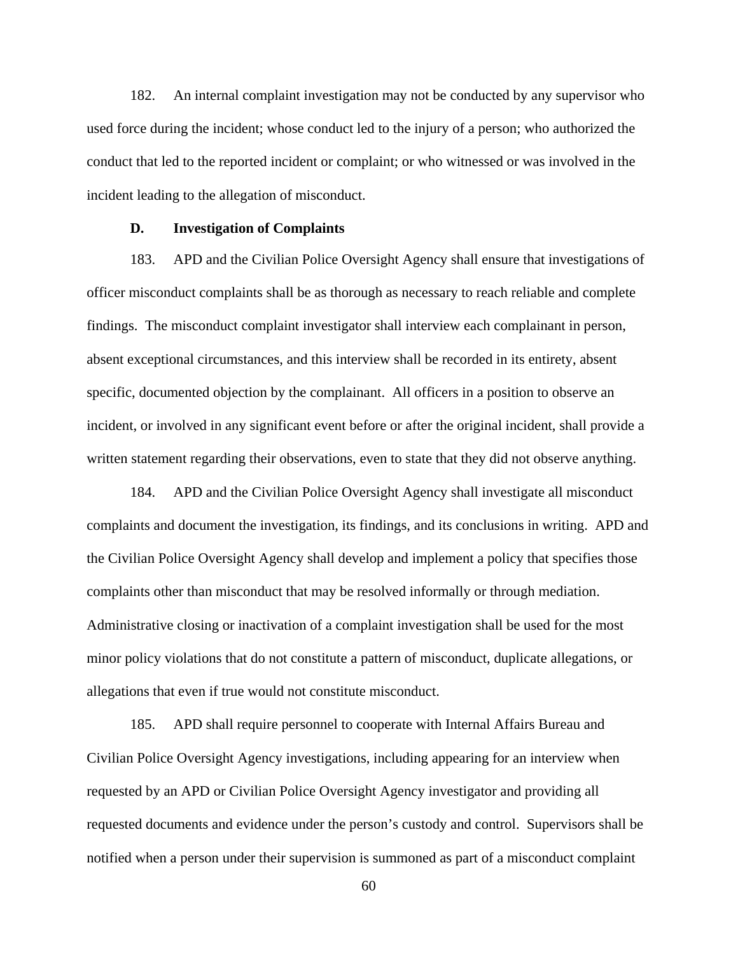182. An internal complaint investigation may not be conducted by any supervisor who used force during the incident; whose conduct led to the injury of a person; who authorized the conduct that led to the reported incident or complaint; or who witnessed or was involved in the incident leading to the allegation of misconduct.

#### **D. Investigation of Complaints**

183. APD and the Civilian Police Oversight Agency shall ensure that investigations of officer misconduct complaints shall be as thorough as necessary to reach reliable and complete findings. The misconduct complaint investigator shall interview each complainant in person, absent exceptional circumstances, and this interview shall be recorded in its entirety, absent specific, documented objection by the complainant. All officers in a position to observe an incident, or involved in any significant event before or after the original incident, shall provide a written statement regarding their observations, even to state that they did not observe anything.

184. APD and the Civilian Police Oversight Agency shall investigate all misconduct complaints and document the investigation, its findings, and its conclusions in writing. APD and the Civilian Police Oversight Agency shall develop and implement a policy that specifies those complaints other than misconduct that may be resolved informally or through mediation. Administrative closing or inactivation of a complaint investigation shall be used for the most minor policy violations that do not constitute a pattern of misconduct, duplicate allegations, or allegations that even if true would not constitute misconduct.

185. APD shall require personnel to cooperate with Internal Affairs Bureau and Civilian Police Oversight Agency investigations, including appearing for an interview when requested by an APD or Civilian Police Oversight Agency investigator and providing all requested documents and evidence under the person's custody and control. Supervisors shall be notified when a person under their supervision is summoned as part of a misconduct complaint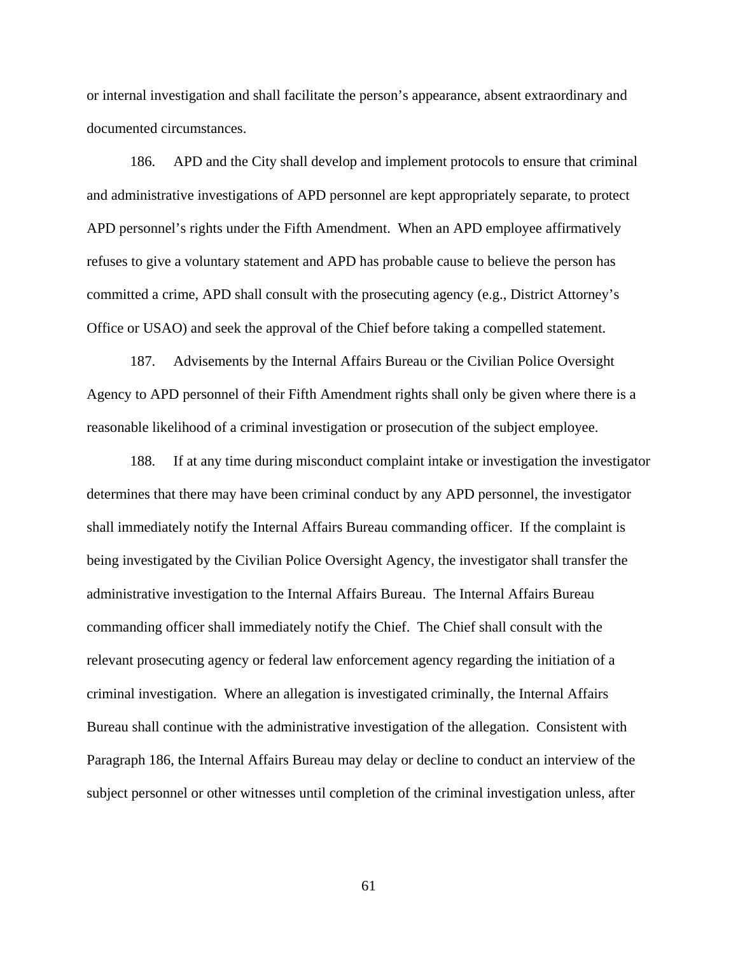or internal investigation and shall facilitate the person's appearance, absent extraordinary and documented circumstances.

186. APD and the City shall develop and implement protocols to ensure that criminal and administrative investigations of APD personnel are kept appropriately separate, to protect APD personnel's rights under the Fifth Amendment. When an APD employee affirmatively refuses to give a voluntary statement and APD has probable cause to believe the person has committed a crime, APD shall consult with the prosecuting agency (e.g., District Attorney's Office or USAO) and seek the approval of the Chief before taking a compelled statement.

187. Advisements by the Internal Affairs Bureau or the Civilian Police Oversight Agency to APD personnel of their Fifth Amendment rights shall only be given where there is a reasonable likelihood of a criminal investigation or prosecution of the subject employee.

188. If at any time during misconduct complaint intake or investigation the investigator determines that there may have been criminal conduct by any APD personnel, the investigator shall immediately notify the Internal Affairs Bureau commanding officer. If the complaint is being investigated by the Civilian Police Oversight Agency, the investigator shall transfer the administrative investigation to the Internal Affairs Bureau. The Internal Affairs Bureau commanding officer shall immediately notify the Chief. The Chief shall consult with the relevant prosecuting agency or federal law enforcement agency regarding the initiation of a criminal investigation. Where an allegation is investigated criminally, the Internal Affairs Bureau shall continue with the administrative investigation of the allegation. Consistent with Paragraph 186, the Internal Affairs Bureau may delay or decline to conduct an interview of the subject personnel or other witnesses until completion of the criminal investigation unless, after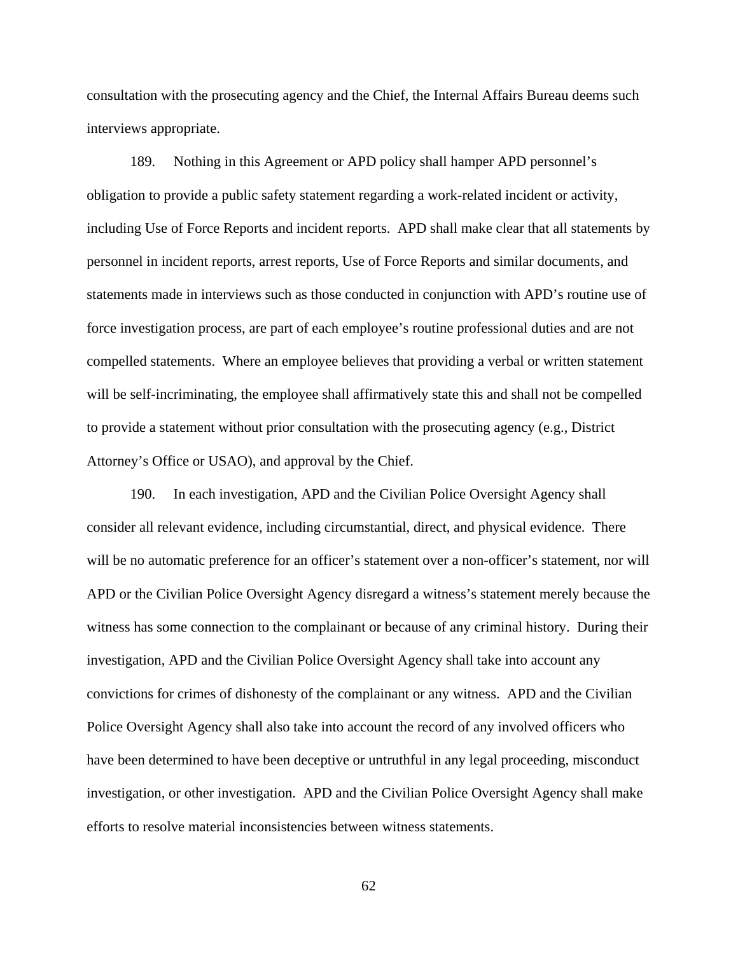consultation with the prosecuting agency and the Chief, the Internal Affairs Bureau deems such interviews appropriate.

189. Nothing in this Agreement or APD policy shall hamper APD personnel's obligation to provide a public safety statement regarding a work-related incident or activity, including Use of Force Reports and incident reports. APD shall make clear that all statements by personnel in incident reports, arrest reports, Use of Force Reports and similar documents, and statements made in interviews such as those conducted in conjunction with APD's routine use of force investigation process, are part of each employee's routine professional duties and are not compelled statements. Where an employee believes that providing a verbal or written statement will be self-incriminating, the employee shall affirmatively state this and shall not be compelled to provide a statement without prior consultation with the prosecuting agency (e.g., District Attorney's Office or USAO), and approval by the Chief.

190. In each investigation, APD and the Civilian Police Oversight Agency shall consider all relevant evidence, including circumstantial, direct, and physical evidence. There will be no automatic preference for an officer's statement over a non-officer's statement, nor will APD or the Civilian Police Oversight Agency disregard a witness's statement merely because the witness has some connection to the complainant or because of any criminal history. During their investigation, APD and the Civilian Police Oversight Agency shall take into account any convictions for crimes of dishonesty of the complainant or any witness. APD and the Civilian Police Oversight Agency shall also take into account the record of any involved officers who have been determined to have been deceptive or untruthful in any legal proceeding, misconduct investigation, or other investigation. APD and the Civilian Police Oversight Agency shall make efforts to resolve material inconsistencies between witness statements.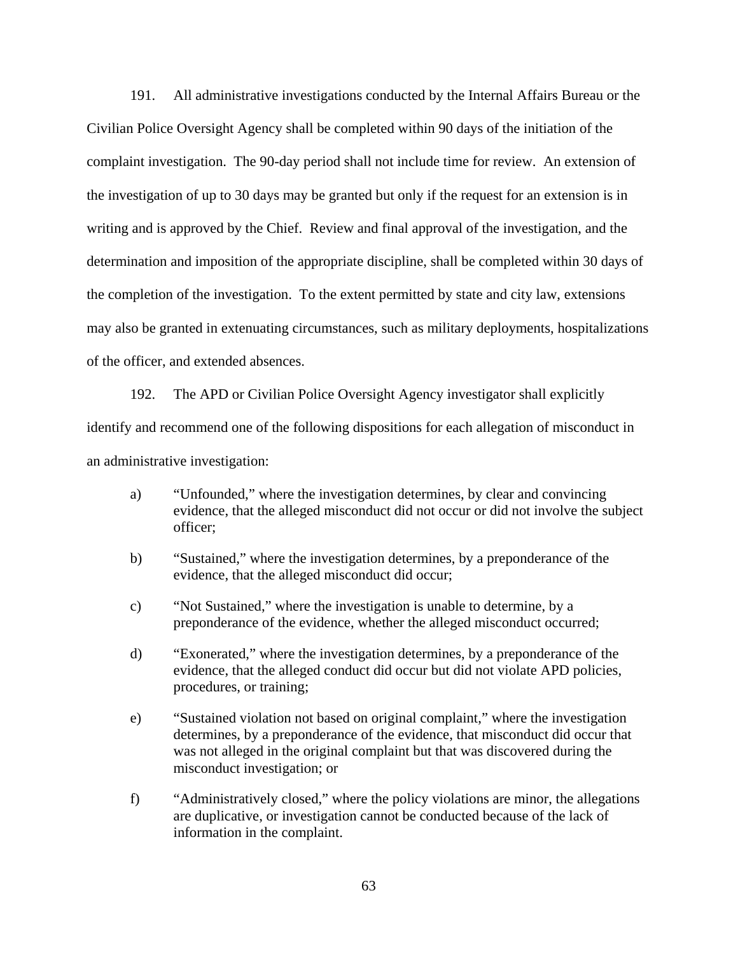191. All administrative investigations conducted by the Internal Affairs Bureau or the Civilian Police Oversight Agency shall be completed within 90 days of the initiation of the complaint investigation. The 90-day period shall not include time for review. An extension of the investigation of up to 30 days may be granted but only if the request for an extension is in writing and is approved by the Chief. Review and final approval of the investigation, and the determination and imposition of the appropriate discipline, shall be completed within 30 days of the completion of the investigation. To the extent permitted by state and city law, extensions may also be granted in extenuating circumstances, such as military deployments, hospitalizations of the officer, and extended absences.

192. The APD or Civilian Police Oversight Agency investigator shall explicitly identify and recommend one of the following dispositions for each allegation of misconduct in an administrative investigation:

- a) "Unfounded," where the investigation determines, by clear and convincing evidence, that the alleged misconduct did not occur or did not involve the subject officer;
- b) "Sustained," where the investigation determines, by a preponderance of the evidence, that the alleged misconduct did occur;
- c) "Not Sustained," where the investigation is unable to determine, by a preponderance of the evidence, whether the alleged misconduct occurred;
- d) "Exonerated," where the investigation determines, by a preponderance of the evidence, that the alleged conduct did occur but did not violate APD policies, procedures, or training;
- e) "Sustained violation not based on original complaint," where the investigation determines, by a preponderance of the evidence, that misconduct did occur that was not alleged in the original complaint but that was discovered during the misconduct investigation; or
- f) "Administratively closed," where the policy violations are minor, the allegations are duplicative, or investigation cannot be conducted because of the lack of information in the complaint.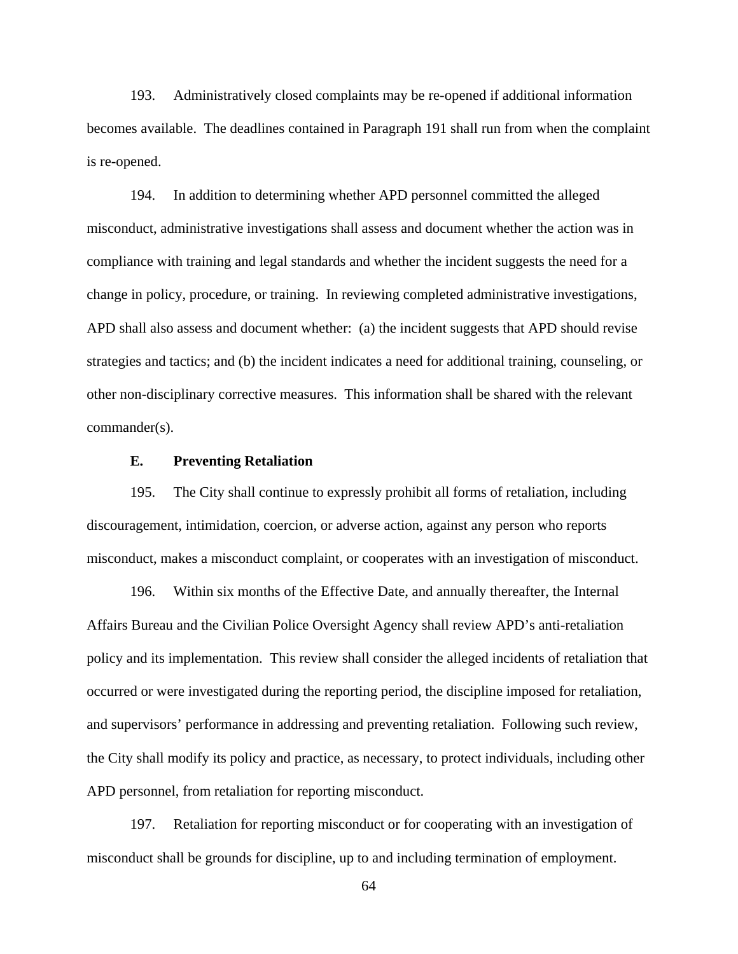193. Administratively closed complaints may be re-opened if additional information becomes available. The deadlines contained in Paragraph 191 shall run from when the complaint is re-opened.

194. In addition to determining whether APD personnel committed the alleged misconduct, administrative investigations shall assess and document whether the action was in compliance with training and legal standards and whether the incident suggests the need for a change in policy, procedure, or training. In reviewing completed administrative investigations, APD shall also assess and document whether: (a) the incident suggests that APD should revise strategies and tactics; and (b) the incident indicates a need for additional training, counseling, or other non-disciplinary corrective measures. This information shall be shared with the relevant commander(s).

## **E. Preventing Retaliation**

195. The City shall continue to expressly prohibit all forms of retaliation, including discouragement, intimidation, coercion, or adverse action, against any person who reports misconduct, makes a misconduct complaint, or cooperates with an investigation of misconduct.

196. Within six months of the Effective Date, and annually thereafter, the Internal Affairs Bureau and the Civilian Police Oversight Agency shall review APD's anti-retaliation policy and its implementation. This review shall consider the alleged incidents of retaliation that occurred or were investigated during the reporting period, the discipline imposed for retaliation, and supervisors' performance in addressing and preventing retaliation. Following such review, the City shall modify its policy and practice, as necessary, to protect individuals, including other APD personnel, from retaliation for reporting misconduct.

197. Retaliation for reporting misconduct or for cooperating with an investigation of misconduct shall be grounds for discipline, up to and including termination of employment.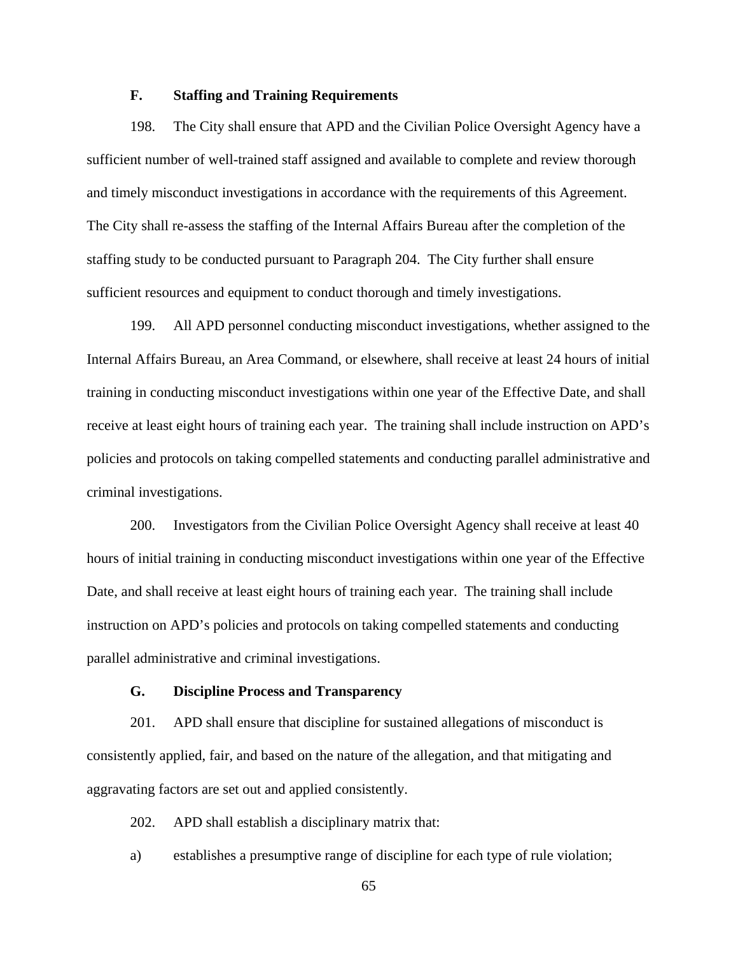## **F. Staffing and Training Requirements**

198. The City shall ensure that APD and the Civilian Police Oversight Agency have a sufficient number of well-trained staff assigned and available to complete and review thorough and timely misconduct investigations in accordance with the requirements of this Agreement. The City shall re-assess the staffing of the Internal Affairs Bureau after the completion of the staffing study to be conducted pursuant to Paragraph 204. The City further shall ensure sufficient resources and equipment to conduct thorough and timely investigations.

199. All APD personnel conducting misconduct investigations, whether assigned to the Internal Affairs Bureau, an Area Command, or elsewhere, shall receive at least 24 hours of initial training in conducting misconduct investigations within one year of the Effective Date, and shall receive at least eight hours of training each year. The training shall include instruction on APD's policies and protocols on taking compelled statements and conducting parallel administrative and criminal investigations.

200. Investigators from the Civilian Police Oversight Agency shall receive at least 40 hours of initial training in conducting misconduct investigations within one year of the Effective Date, and shall receive at least eight hours of training each year. The training shall include instruction on APD's policies and protocols on taking compelled statements and conducting parallel administrative and criminal investigations.

# **G. Discipline Process and Transparency**

201. APD shall ensure that discipline for sustained allegations of misconduct is consistently applied, fair, and based on the nature of the allegation, and that mitigating and aggravating factors are set out and applied consistently.

202. APD shall establish a disciplinary matrix that:

a) establishes a presumptive range of discipline for each type of rule violation;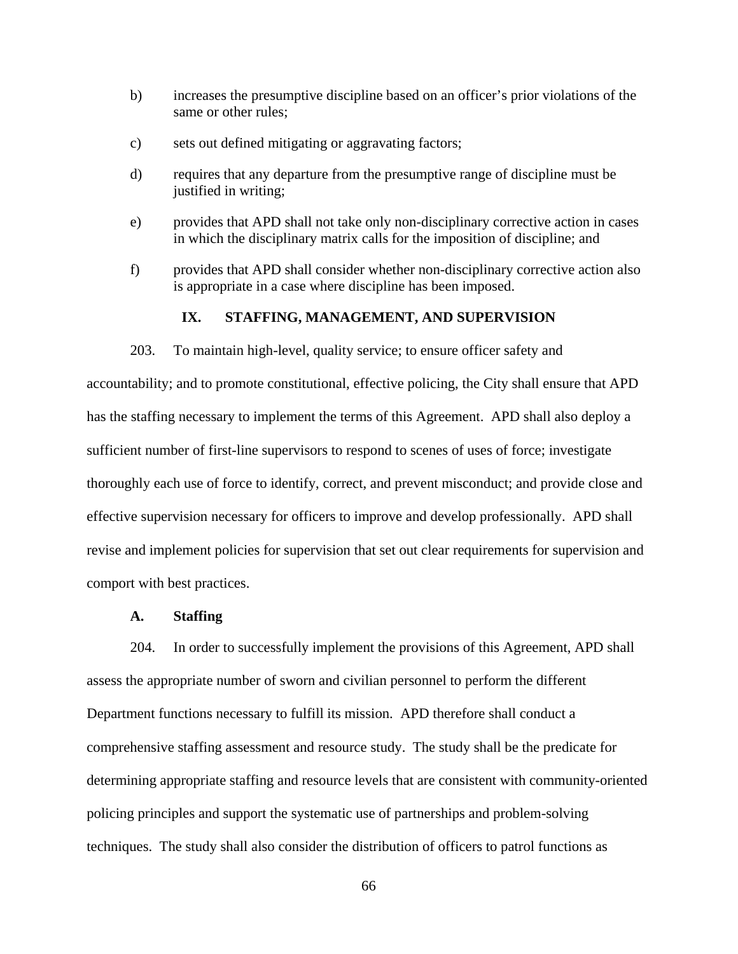- b) increases the presumptive discipline based on an officer's prior violations of the same or other rules;
- c) sets out defined mitigating or aggravating factors;
- d) requires that any departure from the presumptive range of discipline must be justified in writing;
- e) provides that APD shall not take only non-disciplinary corrective action in cases in which the disciplinary matrix calls for the imposition of discipline; and
- f) provides that APD shall consider whether non-disciplinary corrective action also is appropriate in a case where discipline has been imposed.

## **IX. STAFFING, MANAGEMENT, AND SUPERVISION**

203. To maintain high-level, quality service; to ensure officer safety and accountability; and to promote constitutional, effective policing, the City shall ensure that APD has the staffing necessary to implement the terms of this Agreement. APD shall also deploy a sufficient number of first-line supervisors to respond to scenes of uses of force; investigate thoroughly each use of force to identify, correct, and prevent misconduct; and provide close and effective supervision necessary for officers to improve and develop professionally. APD shall revise and implement policies for supervision that set out clear requirements for supervision and comport with best practices.

# **A. Staffing**

204. In order to successfully implement the provisions of this Agreement, APD shall assess the appropriate number of sworn and civilian personnel to perform the different Department functions necessary to fulfill its mission. APD therefore shall conduct a comprehensive staffing assessment and resource study. The study shall be the predicate for determining appropriate staffing and resource levels that are consistent with community-oriented policing principles and support the systematic use of partnerships and problem-solving techniques. The study shall also consider the distribution of officers to patrol functions as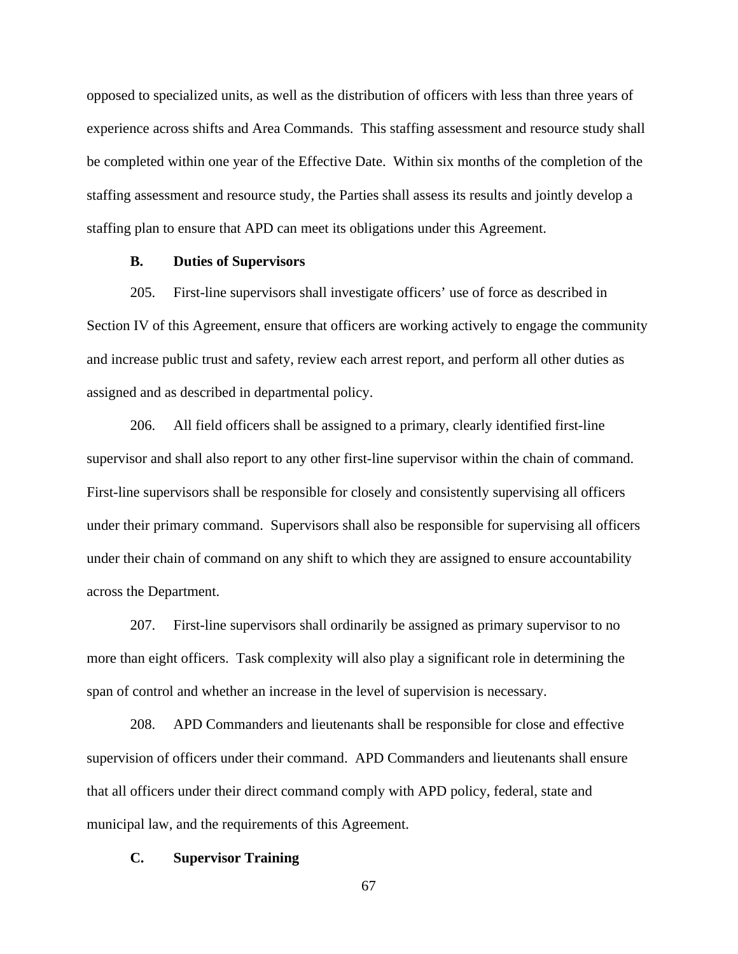opposed to specialized units, as well as the distribution of officers with less than three years of experience across shifts and Area Commands. This staffing assessment and resource study shall be completed within one year of the Effective Date. Within six months of the completion of the staffing assessment and resource study, the Parties shall assess its results and jointly develop a staffing plan to ensure that APD can meet its obligations under this Agreement.

## **B. Duties of Supervisors**

205. First-line supervisors shall investigate officers' use of force as described in Section IV of this Agreement, ensure that officers are working actively to engage the community and increase public trust and safety, review each arrest report, and perform all other duties as assigned and as described in departmental policy.

206. All field officers shall be assigned to a primary, clearly identified first-line supervisor and shall also report to any other first-line supervisor within the chain of command. First-line supervisors shall be responsible for closely and consistently supervising all officers under their primary command. Supervisors shall also be responsible for supervising all officers under their chain of command on any shift to which they are assigned to ensure accountability across the Department.

207. First-line supervisors shall ordinarily be assigned as primary supervisor to no more than eight officers. Task complexity will also play a significant role in determining the span of control and whether an increase in the level of supervision is necessary.

208. APD Commanders and lieutenants shall be responsible for close and effective supervision of officers under their command. APD Commanders and lieutenants shall ensure that all officers under their direct command comply with APD policy, federal, state and municipal law, and the requirements of this Agreement.

## **C. Supervisor Training**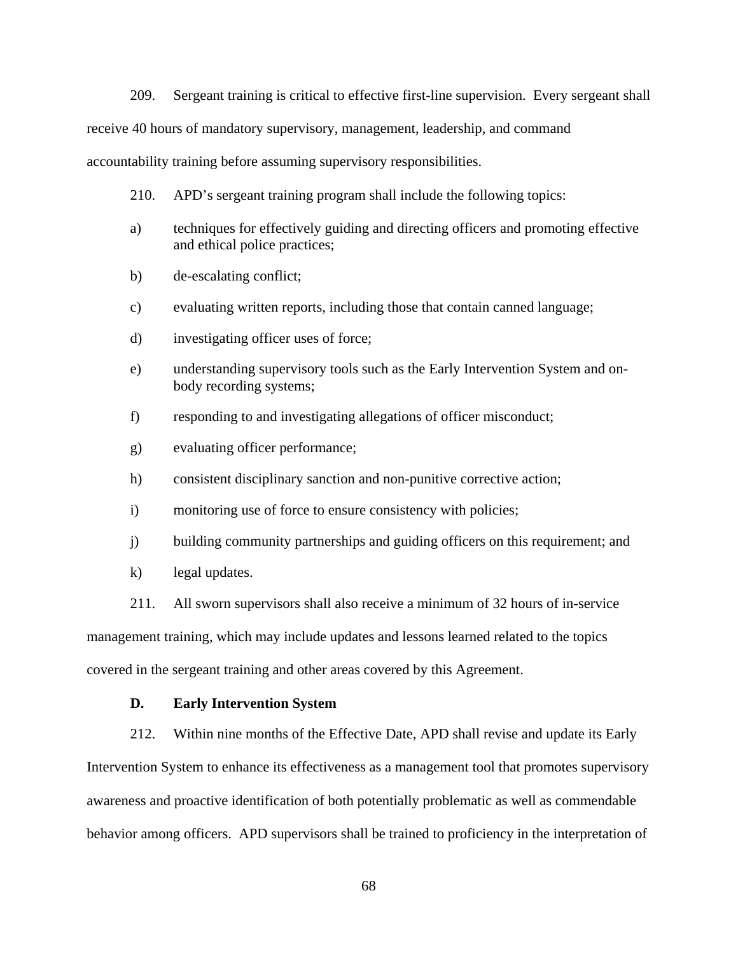209. Sergeant training is critical to effective first-line supervision. Every sergeant shall

receive 40 hours of mandatory supervisory, management, leadership, and command

accountability training before assuming supervisory responsibilities.

- 210. APD's sergeant training program shall include the following topics:
- a) techniques for effectively guiding and directing officers and promoting effective and ethical police practices;
- b) de-escalating conflict;
- c) evaluating written reports, including those that contain canned language;
- d) investigating officer uses of force;
- e) understanding supervisory tools such as the Early Intervention System and onbody recording systems;
- f) responding to and investigating allegations of officer misconduct;
- g) evaluating officer performance;
- h) consistent disciplinary sanction and non-punitive corrective action;
- i) monitoring use of force to ensure consistency with policies;
- j) building community partnerships and guiding officers on this requirement; and
- k) legal updates.
- 211. All sworn supervisors shall also receive a minimum of 32 hours of in-service

management training, which may include updates and lessons learned related to the topics

covered in the sergeant training and other areas covered by this Agreement.

## **D. Early Intervention System**

212. Within nine months of the Effective Date, APD shall revise and update its Early Intervention System to enhance its effectiveness as a management tool that promotes supervisory awareness and proactive identification of both potentially problematic as well as commendable behavior among officers. APD supervisors shall be trained to proficiency in the interpretation of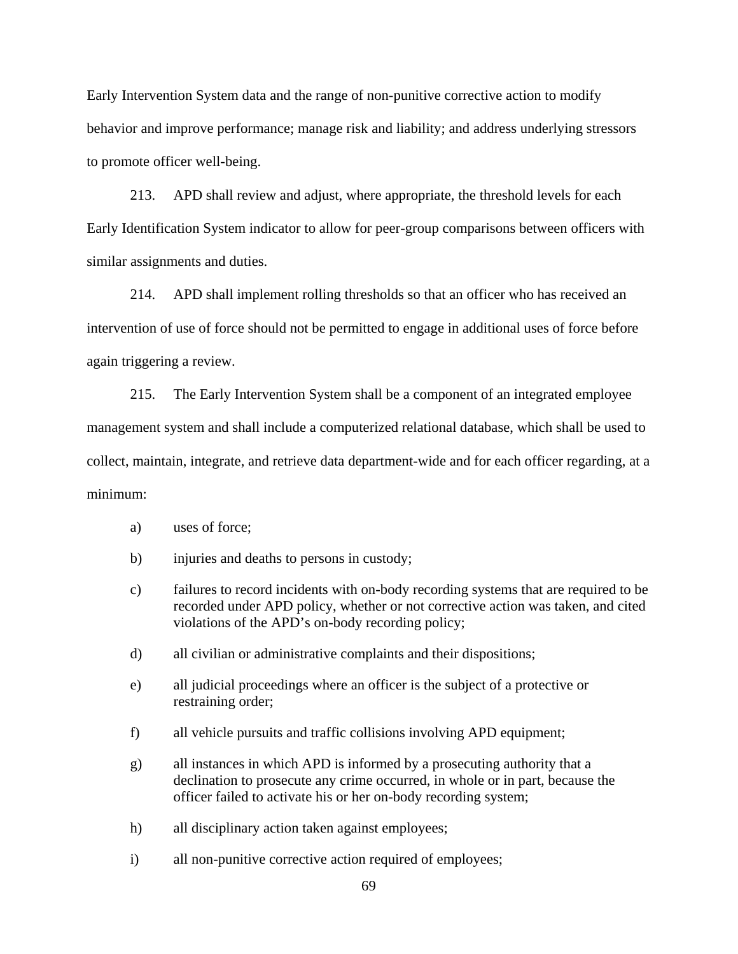Early Intervention System data and the range of non-punitive corrective action to modify behavior and improve performance; manage risk and liability; and address underlying stressors to promote officer well-being.

213. APD shall review and adjust, where appropriate, the threshold levels for each Early Identification System indicator to allow for peer-group comparisons between officers with similar assignments and duties.

214. APD shall implement rolling thresholds so that an officer who has received an intervention of use of force should not be permitted to engage in additional uses of force before again triggering a review.

215. The Early Intervention System shall be a component of an integrated employee management system and shall include a computerized relational database, which shall be used to collect, maintain, integrate, and retrieve data department-wide and for each officer regarding, at a minimum:

- a) uses of force;
- b) injuries and deaths to persons in custody;
- c) failures to record incidents with on-body recording systems that are required to be recorded under APD policy, whether or not corrective action was taken, and cited violations of the APD's on-body recording policy;
- d) all civilian or administrative complaints and their dispositions;
- e) all judicial proceedings where an officer is the subject of a protective or restraining order;
- f) all vehicle pursuits and traffic collisions involving APD equipment;
- g) all instances in which APD is informed by a prosecuting authority that a declination to prosecute any crime occurred, in whole or in part, because the officer failed to activate his or her on-body recording system;
- h) all disciplinary action taken against employees;
- i) all non-punitive corrective action required of employees;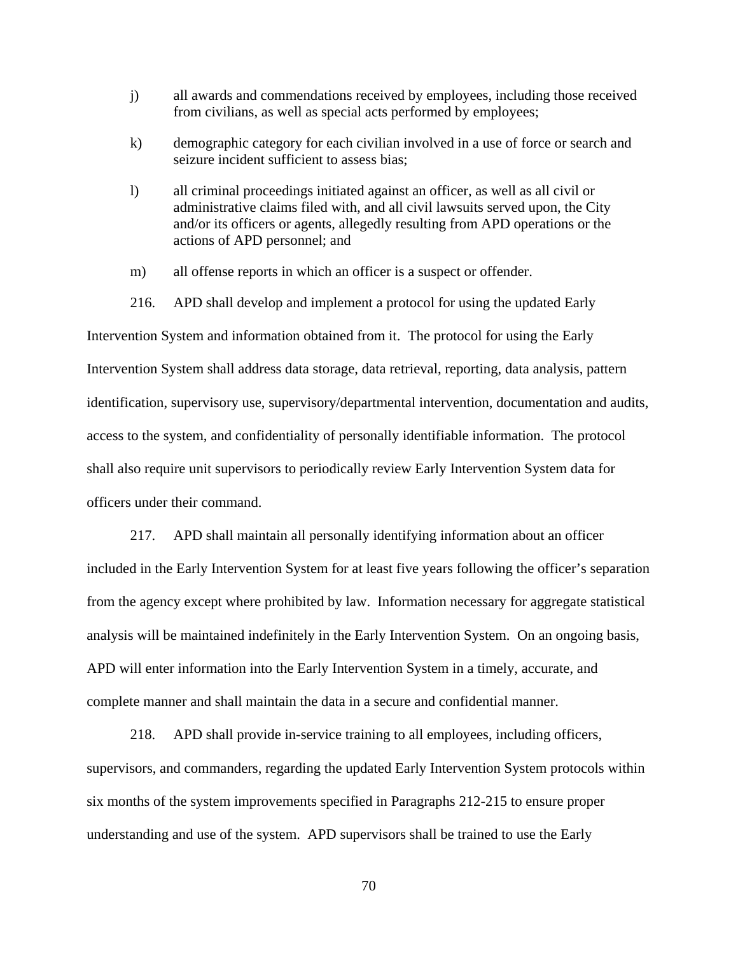- j) all awards and commendations received by employees, including those received from civilians, as well as special acts performed by employees;
- k) demographic category for each civilian involved in a use of force or search and seizure incident sufficient to assess bias;
- l) all criminal proceedings initiated against an officer, as well as all civil or administrative claims filed with, and all civil lawsuits served upon, the City and/or its officers or agents, allegedly resulting from APD operations or the actions of APD personnel; and
- m) all offense reports in which an officer is a suspect or offender.
- 216. APD shall develop and implement a protocol for using the updated Early

Intervention System and information obtained from it. The protocol for using the Early Intervention System shall address data storage, data retrieval, reporting, data analysis, pattern identification, supervisory use, supervisory/departmental intervention, documentation and audits, access to the system, and confidentiality of personally identifiable information. The protocol shall also require unit supervisors to periodically review Early Intervention System data for officers under their command.

217. APD shall maintain all personally identifying information about an officer included in the Early Intervention System for at least five years following the officer's separation from the agency except where prohibited by law. Information necessary for aggregate statistical analysis will be maintained indefinitely in the Early Intervention System. On an ongoing basis, APD will enter information into the Early Intervention System in a timely, accurate, and complete manner and shall maintain the data in a secure and confidential manner.

218. APD shall provide in-service training to all employees, including officers, supervisors, and commanders, regarding the updated Early Intervention System protocols within six months of the system improvements specified in Paragraphs 212-215 to ensure proper understanding and use of the system. APD supervisors shall be trained to use the Early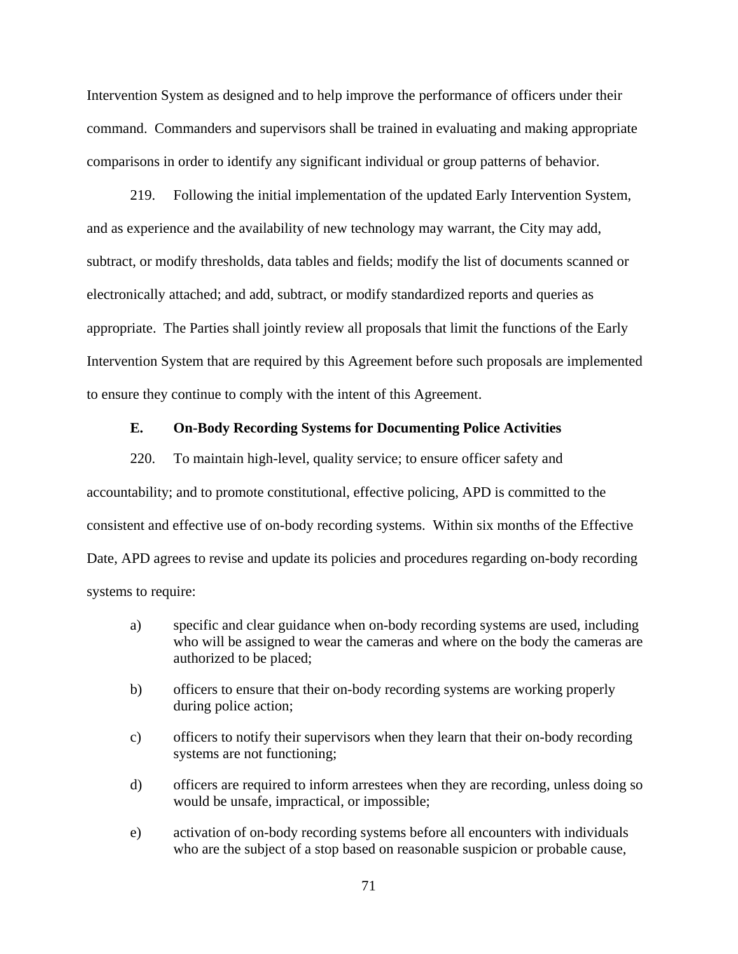Intervention System as designed and to help improve the performance of officers under their command. Commanders and supervisors shall be trained in evaluating and making appropriate comparisons in order to identify any significant individual or group patterns of behavior.

219. Following the initial implementation of the updated Early Intervention System, and as experience and the availability of new technology may warrant, the City may add, subtract, or modify thresholds, data tables and fields; modify the list of documents scanned or electronically attached; and add, subtract, or modify standardized reports and queries as appropriate. The Parties shall jointly review all proposals that limit the functions of the Early Intervention System that are required by this Agreement before such proposals are implemented to ensure they continue to comply with the intent of this Agreement.

## **E. On-Body Recording Systems for Documenting Police Activities**

220. To maintain high-level, quality service; to ensure officer safety and accountability; and to promote constitutional, effective policing, APD is committed to the consistent and effective use of on-body recording systems. Within six months of the Effective Date, APD agrees to revise and update its policies and procedures regarding on-body recording systems to require:

- a) specific and clear guidance when on-body recording systems are used, including who will be assigned to wear the cameras and where on the body the cameras are authorized to be placed;
- b) officers to ensure that their on-body recording systems are working properly during police action;
- c) officers to notify their supervisors when they learn that their on-body recording systems are not functioning;
- d) officers are required to inform arrestees when they are recording, unless doing so would be unsafe, impractical, or impossible;
- e) activation of on-body recording systems before all encounters with individuals who are the subject of a stop based on reasonable suspicion or probable cause,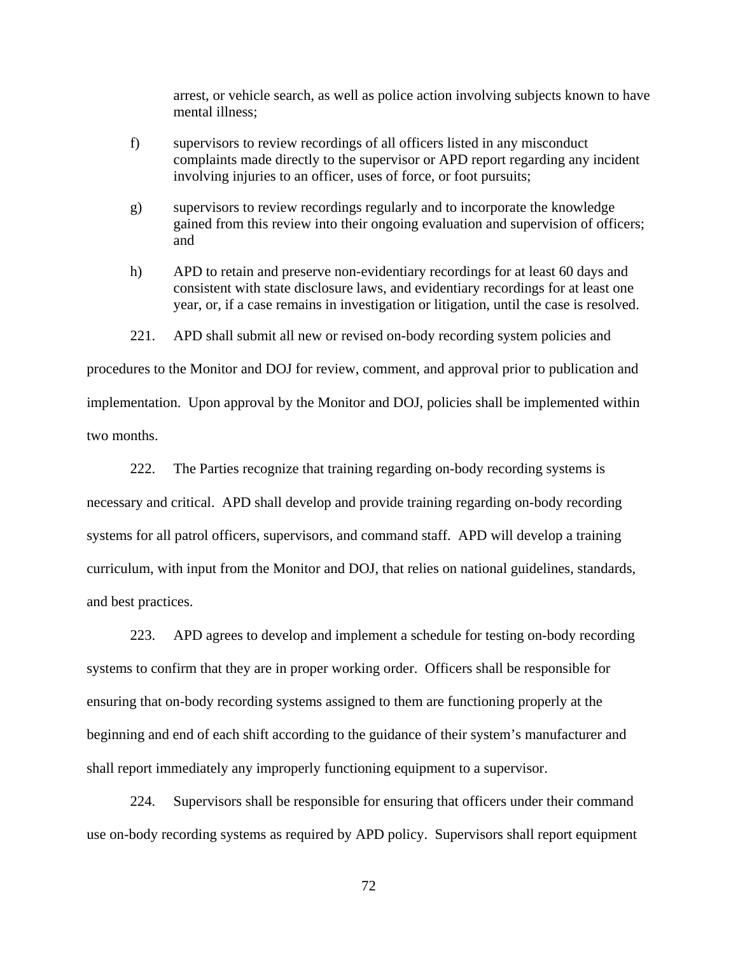arrest, or vehicle search, as well as police action involving subjects known to have mental illness;

- f) supervisors to review recordings of all officers listed in any misconduct complaints made directly to the supervisor or APD report regarding any incident involving injuries to an officer, uses of force, or foot pursuits;
- g) supervisors to review recordings regularly and to incorporate the knowledge gained from this review into their ongoing evaluation and supervision of officers; and
- h) APD to retain and preserve non-evidentiary recordings for at least 60 days and consistent with state disclosure laws, and evidentiary recordings for at least one year, or, if a case remains in investigation or litigation, until the case is resolved.
- 221. APD shall submit all new or revised on-body recording system policies and

procedures to the Monitor and DOJ for review, comment, and approval prior to publication and implementation. Upon approval by the Monitor and DOJ, policies shall be implemented within two months.

222. The Parties recognize that training regarding on-body recording systems is necessary and critical. APD shall develop and provide training regarding on-body recording systems for all patrol officers, supervisors, and command staff. APD will develop a training curriculum, with input from the Monitor and DOJ, that relies on national guidelines, standards, and best practices.

223. APD agrees to develop and implement a schedule for testing on-body recording systems to confirm that they are in proper working order. Officers shall be responsible for ensuring that on-body recording systems assigned to them are functioning properly at the beginning and end of each shift according to the guidance of their system's manufacturer and shall report immediately any improperly functioning equipment to a supervisor.

224. Supervisors shall be responsible for ensuring that officers under their command use on-body recording systems as required by APD policy. Supervisors shall report equipment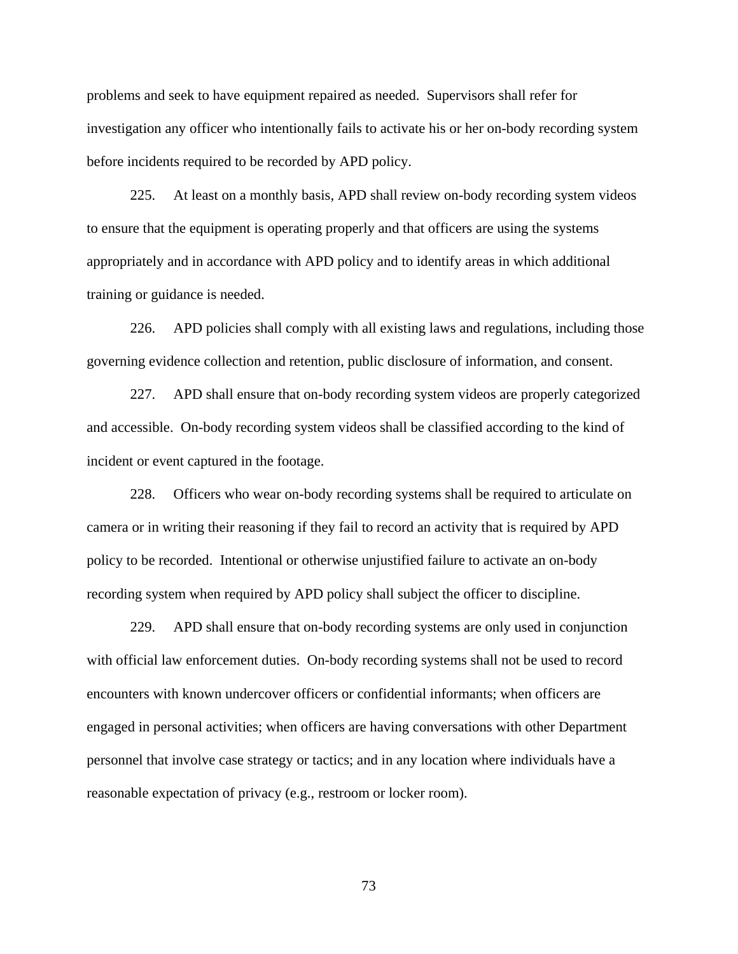problems and seek to have equipment repaired as needed. Supervisors shall refer for investigation any officer who intentionally fails to activate his or her on-body recording system before incidents required to be recorded by APD policy.

225. At least on a monthly basis, APD shall review on-body recording system videos to ensure that the equipment is operating properly and that officers are using the systems appropriately and in accordance with APD policy and to identify areas in which additional training or guidance is needed.

226. APD policies shall comply with all existing laws and regulations, including those governing evidence collection and retention, public disclosure of information, and consent.

227. APD shall ensure that on-body recording system videos are properly categorized and accessible. On-body recording system videos shall be classified according to the kind of incident or event captured in the footage.

228. Officers who wear on-body recording systems shall be required to articulate on camera or in writing their reasoning if they fail to record an activity that is required by APD policy to be recorded. Intentional or otherwise unjustified failure to activate an on-body recording system when required by APD policy shall subject the officer to discipline.

229. APD shall ensure that on-body recording systems are only used in conjunction with official law enforcement duties. On-body recording systems shall not be used to record encounters with known undercover officers or confidential informants; when officers are engaged in personal activities; when officers are having conversations with other Department personnel that involve case strategy or tactics; and in any location where individuals have a reasonable expectation of privacy (e.g., restroom or locker room).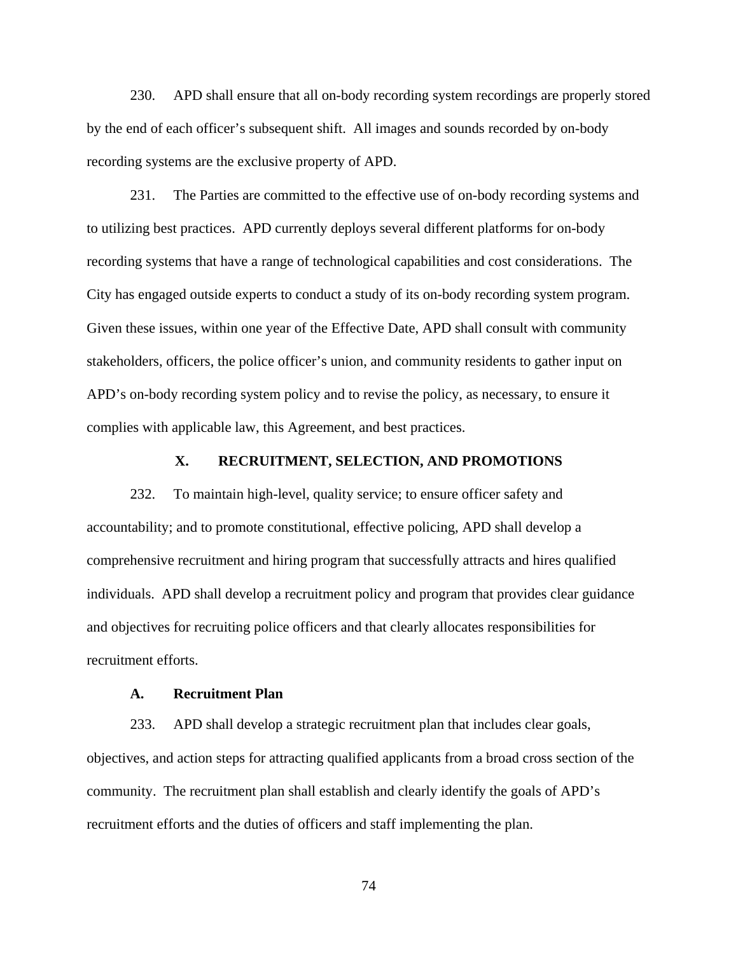230. APD shall ensure that all on-body recording system recordings are properly stored by the end of each officer's subsequent shift. All images and sounds recorded by on-body recording systems are the exclusive property of APD.

231. The Parties are committed to the effective use of on-body recording systems and to utilizing best practices. APD currently deploys several different platforms for on-body recording systems that have a range of technological capabilities and cost considerations. The City has engaged outside experts to conduct a study of its on-body recording system program. Given these issues, within one year of the Effective Date, APD shall consult with community stakeholders, officers, the police officer's union, and community residents to gather input on APD's on-body recording system policy and to revise the policy, as necessary, to ensure it complies with applicable law, this Agreement, and best practices.

### **X. RECRUITMENT, SELECTION, AND PROMOTIONS**

232. To maintain high-level, quality service; to ensure officer safety and accountability; and to promote constitutional, effective policing, APD shall develop a comprehensive recruitment and hiring program that successfully attracts and hires qualified individuals. APD shall develop a recruitment policy and program that provides clear guidance and objectives for recruiting police officers and that clearly allocates responsibilities for recruitment efforts.

### **A. Recruitment Plan**

233. APD shall develop a strategic recruitment plan that includes clear goals, objectives, and action steps for attracting qualified applicants from a broad cross section of the community. The recruitment plan shall establish and clearly identify the goals of APD's recruitment efforts and the duties of officers and staff implementing the plan.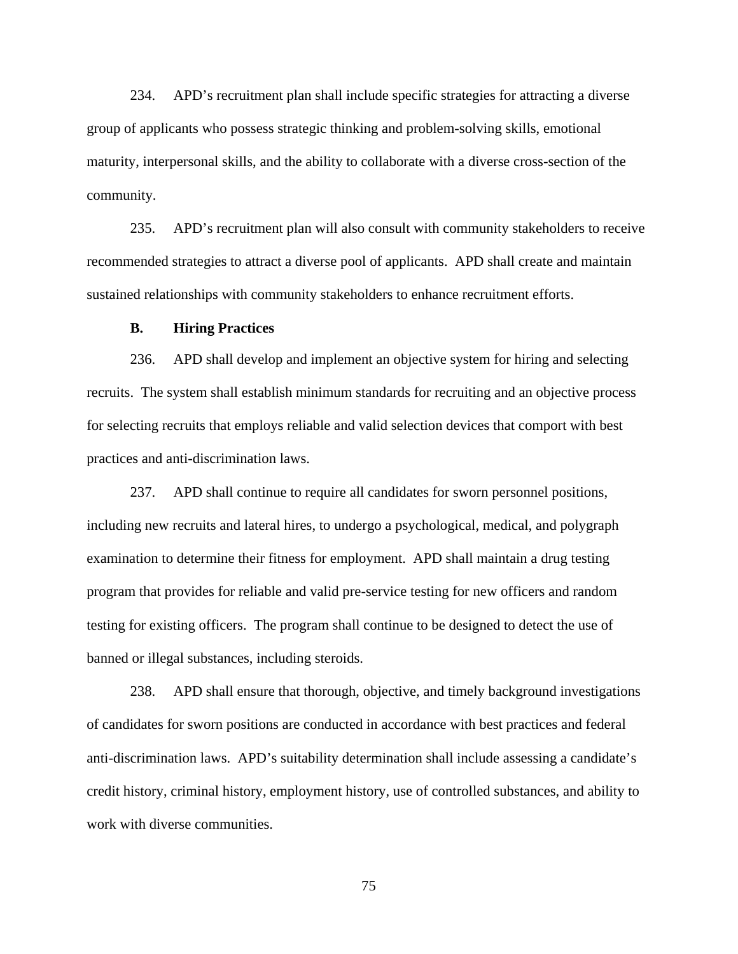234. APD's recruitment plan shall include specific strategies for attracting a diverse group of applicants who possess strategic thinking and problem-solving skills, emotional maturity, interpersonal skills, and the ability to collaborate with a diverse cross-section of the community.

235. APD's recruitment plan will also consult with community stakeholders to receive recommended strategies to attract a diverse pool of applicants. APD shall create and maintain sustained relationships with community stakeholders to enhance recruitment efforts.

#### **B. Hiring Practices**

236. APD shall develop and implement an objective system for hiring and selecting recruits. The system shall establish minimum standards for recruiting and an objective process for selecting recruits that employs reliable and valid selection devices that comport with best practices and anti-discrimination laws.

237. APD shall continue to require all candidates for sworn personnel positions, including new recruits and lateral hires, to undergo a psychological, medical, and polygraph examination to determine their fitness for employment. APD shall maintain a drug testing program that provides for reliable and valid pre-service testing for new officers and random testing for existing officers. The program shall continue to be designed to detect the use of banned or illegal substances, including steroids.

238. APD shall ensure that thorough, objective, and timely background investigations of candidates for sworn positions are conducted in accordance with best practices and federal anti-discrimination laws. APD's suitability determination shall include assessing a candidate's credit history, criminal history, employment history, use of controlled substances, and ability to work with diverse communities.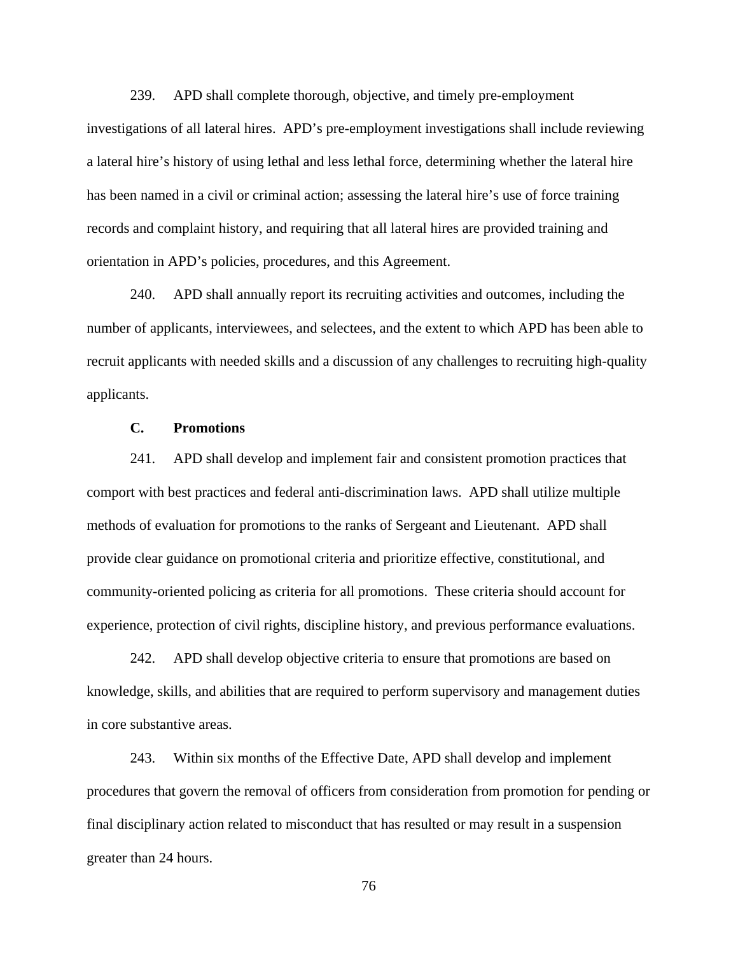239. APD shall complete thorough, objective, and timely pre-employment investigations of all lateral hires. APD's pre-employment investigations shall include reviewing a lateral hire's history of using lethal and less lethal force, determining whether the lateral hire has been named in a civil or criminal action; assessing the lateral hire's use of force training records and complaint history, and requiring that all lateral hires are provided training and orientation in APD's policies, procedures, and this Agreement.

240. APD shall annually report its recruiting activities and outcomes, including the number of applicants, interviewees, and selectees, and the extent to which APD has been able to recruit applicants with needed skills and a discussion of any challenges to recruiting high-quality applicants.

### **C. Promotions**

241. APD shall develop and implement fair and consistent promotion practices that comport with best practices and federal anti-discrimination laws. APD shall utilize multiple methods of evaluation for promotions to the ranks of Sergeant and Lieutenant. APD shall provide clear guidance on promotional criteria and prioritize effective, constitutional, and community-oriented policing as criteria for all promotions. These criteria should account for experience, protection of civil rights, discipline history, and previous performance evaluations.

242. APD shall develop objective criteria to ensure that promotions are based on knowledge, skills, and abilities that are required to perform supervisory and management duties in core substantive areas.

243. Within six months of the Effective Date, APD shall develop and implement procedures that govern the removal of officers from consideration from promotion for pending or final disciplinary action related to misconduct that has resulted or may result in a suspension greater than 24 hours.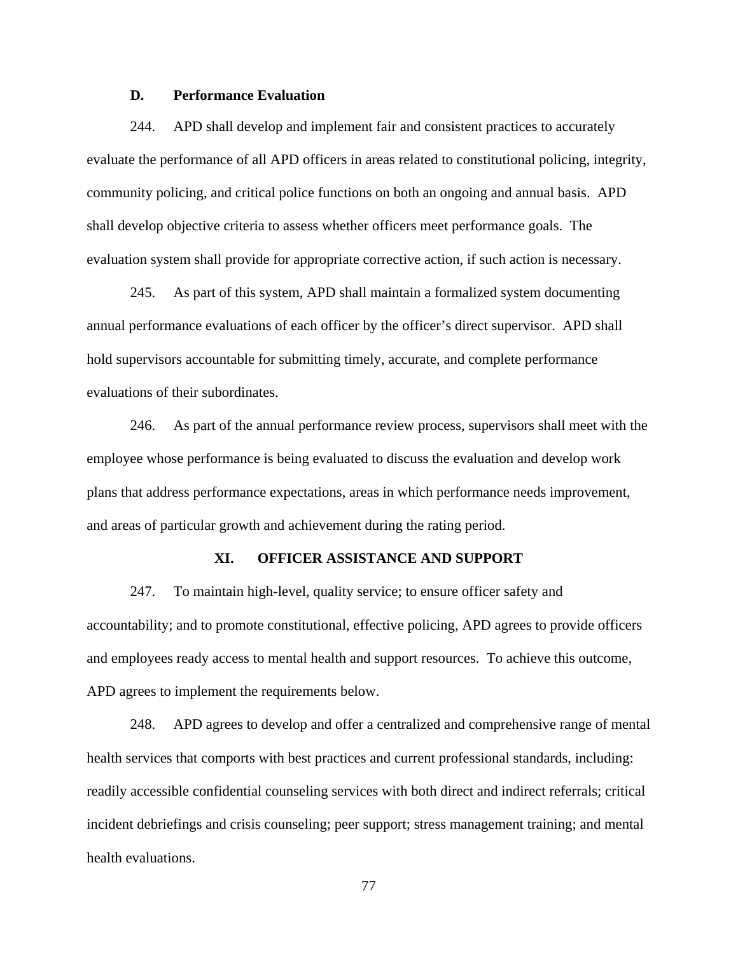### **D. Performance Evaluation**

244. APD shall develop and implement fair and consistent practices to accurately evaluate the performance of all APD officers in areas related to constitutional policing, integrity, community policing, and critical police functions on both an ongoing and annual basis. APD shall develop objective criteria to assess whether officers meet performance goals. The evaluation system shall provide for appropriate corrective action, if such action is necessary.

245. As part of this system, APD shall maintain a formalized system documenting annual performance evaluations of each officer by the officer's direct supervisor. APD shall hold supervisors accountable for submitting timely, accurate, and complete performance evaluations of their subordinates.

246. As part of the annual performance review process, supervisors shall meet with the employee whose performance is being evaluated to discuss the evaluation and develop work plans that address performance expectations, areas in which performance needs improvement, and areas of particular growth and achievement during the rating period.

# **XI. OFFICER ASSISTANCE AND SUPPORT**

247. To maintain high-level, quality service; to ensure officer safety and accountability; and to promote constitutional, effective policing, APD agrees to provide officers and employees ready access to mental health and support resources. To achieve this outcome, APD agrees to implement the requirements below.

248. APD agrees to develop and offer a centralized and comprehensive range of mental health services that comports with best practices and current professional standards, including: readily accessible confidential counseling services with both direct and indirect referrals; critical incident debriefings and crisis counseling; peer support; stress management training; and mental health evaluations.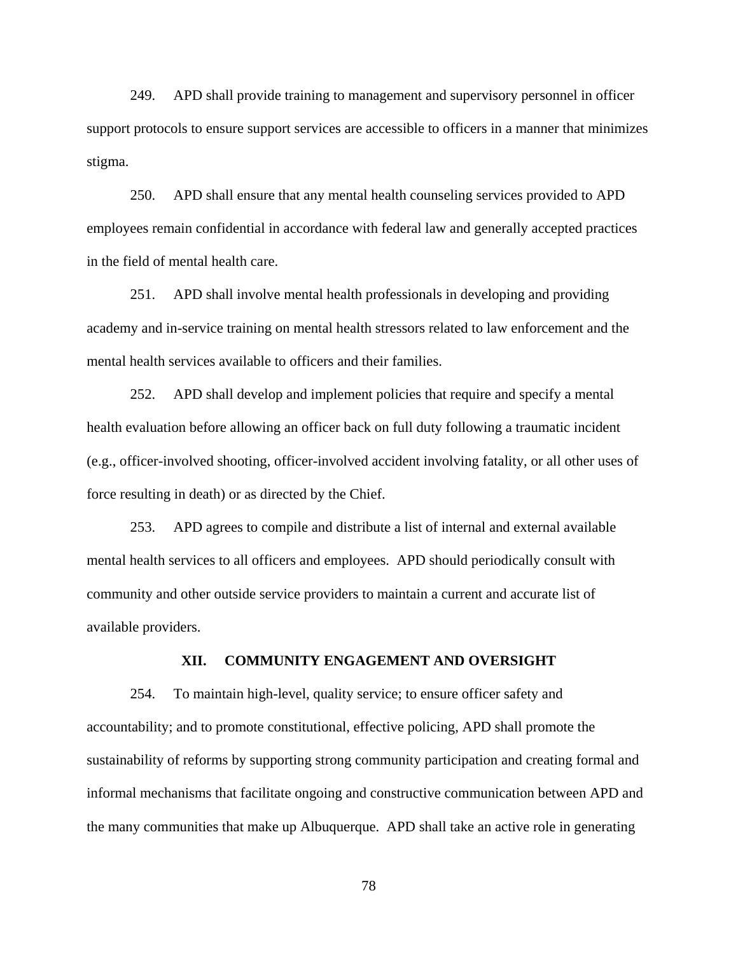249. APD shall provide training to management and supervisory personnel in officer support protocols to ensure support services are accessible to officers in a manner that minimizes stigma.

250. APD shall ensure that any mental health counseling services provided to APD employees remain confidential in accordance with federal law and generally accepted practices in the field of mental health care.

251. APD shall involve mental health professionals in developing and providing academy and in-service training on mental health stressors related to law enforcement and the mental health services available to officers and their families.

252. APD shall develop and implement policies that require and specify a mental health evaluation before allowing an officer back on full duty following a traumatic incident (e.g., officer-involved shooting, officer-involved accident involving fatality, or all other uses of force resulting in death) or as directed by the Chief.

253. APD agrees to compile and distribute a list of internal and external available mental health services to all officers and employees. APD should periodically consult with community and other outside service providers to maintain a current and accurate list of available providers.

#### **XII. COMMUNITY ENGAGEMENT AND OVERSIGHT**

254. To maintain high-level, quality service; to ensure officer safety and accountability; and to promote constitutional, effective policing, APD shall promote the sustainability of reforms by supporting strong community participation and creating formal and informal mechanisms that facilitate ongoing and constructive communication between APD and the many communities that make up Albuquerque. APD shall take an active role in generating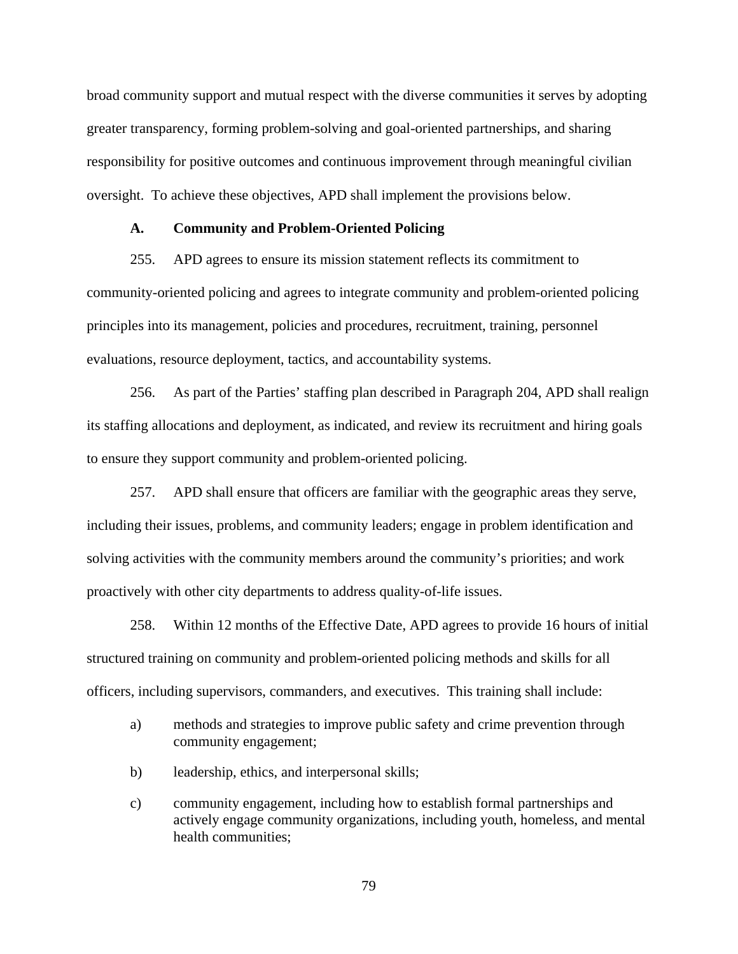broad community support and mutual respect with the diverse communities it serves by adopting greater transparency, forming problem-solving and goal-oriented partnerships, and sharing responsibility for positive outcomes and continuous improvement through meaningful civilian oversight. To achieve these objectives, APD shall implement the provisions below.

### **A. Community and Problem-Oriented Policing**

255. APD agrees to ensure its mission statement reflects its commitment to community-oriented policing and agrees to integrate community and problem-oriented policing principles into its management, policies and procedures, recruitment, training, personnel evaluations, resource deployment, tactics, and accountability systems.

256. As part of the Parties' staffing plan described in Paragraph 204, APD shall realign its staffing allocations and deployment, as indicated, and review its recruitment and hiring goals to ensure they support community and problem-oriented policing.

257. APD shall ensure that officers are familiar with the geographic areas they serve, including their issues, problems, and community leaders; engage in problem identification and solving activities with the community members around the community's priorities; and work proactively with other city departments to address quality-of-life issues.

258. Within 12 months of the Effective Date, APD agrees to provide 16 hours of initial structured training on community and problem-oriented policing methods and skills for all officers, including supervisors, commanders, and executives. This training shall include:

- a) methods and strategies to improve public safety and crime prevention through community engagement;
- b) leadership, ethics, and interpersonal skills;
- c) community engagement, including how to establish formal partnerships and actively engage community organizations, including youth, homeless, and mental health communities;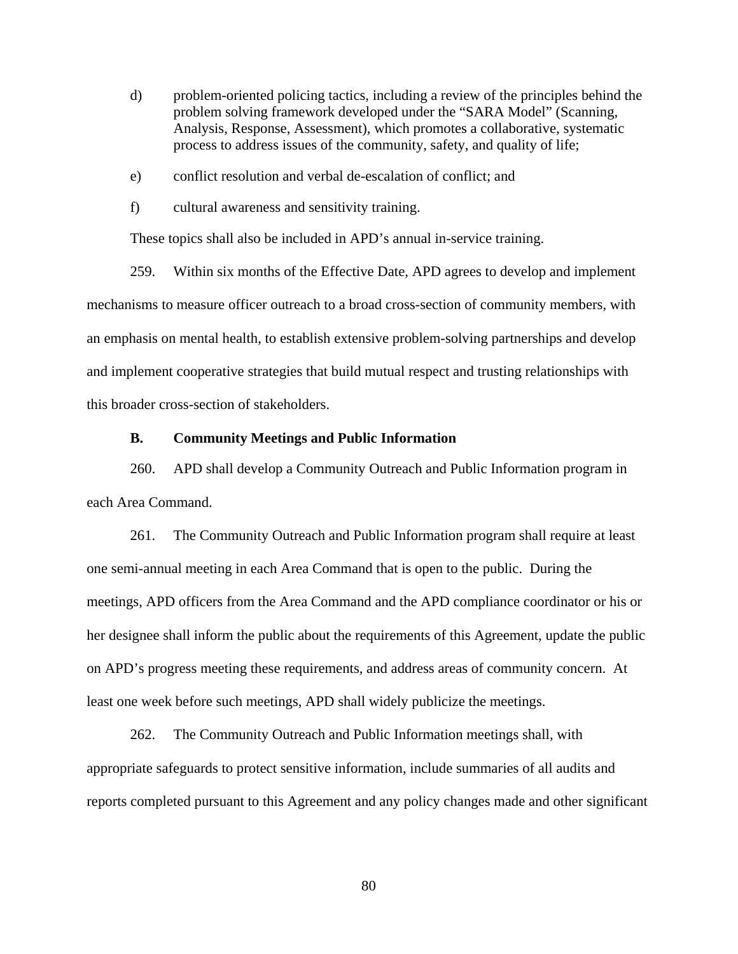- d) problem-oriented policing tactics, including a review of the principles behind the problem solving framework developed under the "SARA Model" (Scanning, Analysis, Response, Assessment), which promotes a collaborative, systematic process to address issues of the community, safety, and quality of life;
- e) conflict resolution and verbal de-escalation of conflict; and
- f) cultural awareness and sensitivity training.

These topics shall also be included in APD's annual in-service training.

259. Within six months of the Effective Date, APD agrees to develop and implement mechanisms to measure officer outreach to a broad cross-section of community members, with an emphasis on mental health, to establish extensive problem-solving partnerships and develop and implement cooperative strategies that build mutual respect and trusting relationships with this broader cross-section of stakeholders.

# **B. Community Meetings and Public Information**

260. APD shall develop a Community Outreach and Public Information program in each Area Command.

261. The Community Outreach and Public Information program shall require at least one semi-annual meeting in each Area Command that is open to the public. During the meetings, APD officers from the Area Command and the APD compliance coordinator or his or her designee shall inform the public about the requirements of this Agreement, update the public on APD's progress meeting these requirements, and address areas of community concern. At least one week before such meetings, APD shall widely publicize the meetings.

262. The Community Outreach and Public Information meetings shall, with appropriate safeguards to protect sensitive information, include summaries of all audits and reports completed pursuant to this Agreement and any policy changes made and other significant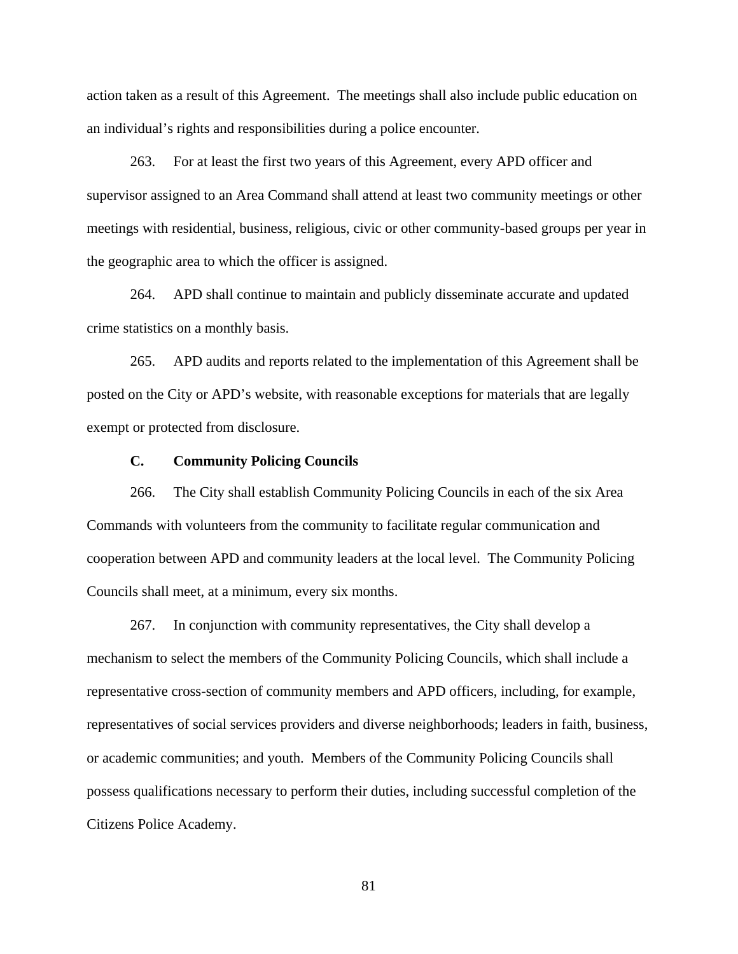action taken as a result of this Agreement. The meetings shall also include public education on an individual's rights and responsibilities during a police encounter.

263. For at least the first two years of this Agreement, every APD officer and supervisor assigned to an Area Command shall attend at least two community meetings or other meetings with residential, business, religious, civic or other community-based groups per year in the geographic area to which the officer is assigned.

264. APD shall continue to maintain and publicly disseminate accurate and updated crime statistics on a monthly basis.

265. APD audits and reports related to the implementation of this Agreement shall be posted on the City or APD's website, with reasonable exceptions for materials that are legally exempt or protected from disclosure.

### **C. Community Policing Councils**

266. The City shall establish Community Policing Councils in each of the six Area Commands with volunteers from the community to facilitate regular communication and cooperation between APD and community leaders at the local level. The Community Policing Councils shall meet, at a minimum, every six months.

267. In conjunction with community representatives, the City shall develop a mechanism to select the members of the Community Policing Councils, which shall include a representative cross-section of community members and APD officers, including, for example, representatives of social services providers and diverse neighborhoods; leaders in faith, business, or academic communities; and youth. Members of the Community Policing Councils shall possess qualifications necessary to perform their duties, including successful completion of the Citizens Police Academy.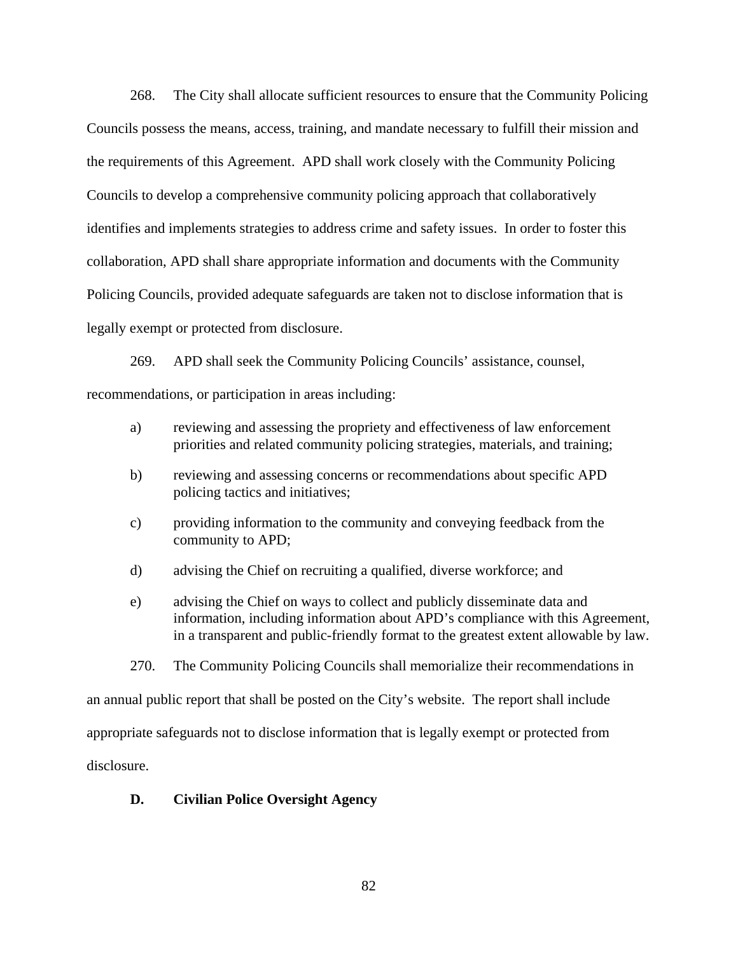268. The City shall allocate sufficient resources to ensure that the Community Policing Councils possess the means, access, training, and mandate necessary to fulfill their mission and the requirements of this Agreement. APD shall work closely with the Community Policing Councils to develop a comprehensive community policing approach that collaboratively identifies and implements strategies to address crime and safety issues. In order to foster this collaboration, APD shall share appropriate information and documents with the Community Policing Councils, provided adequate safeguards are taken not to disclose information that is legally exempt or protected from disclosure.

269. APD shall seek the Community Policing Councils' assistance, counsel, recommendations, or participation in areas including:

- a) reviewing and assessing the propriety and effectiveness of law enforcement priorities and related community policing strategies, materials, and training;
- b) reviewing and assessing concerns or recommendations about specific APD policing tactics and initiatives;
- c) providing information to the community and conveying feedback from the community to APD;
- d) advising the Chief on recruiting a qualified, diverse workforce; and
- e) advising the Chief on ways to collect and publicly disseminate data and information, including information about APD's compliance with this Agreement, in a transparent and public-friendly format to the greatest extent allowable by law.
- 270. The Community Policing Councils shall memorialize their recommendations in

an annual public report that shall be posted on the City's website. The report shall include appropriate safeguards not to disclose information that is legally exempt or protected from disclosure.

# **D. Civilian Police Oversight Agency**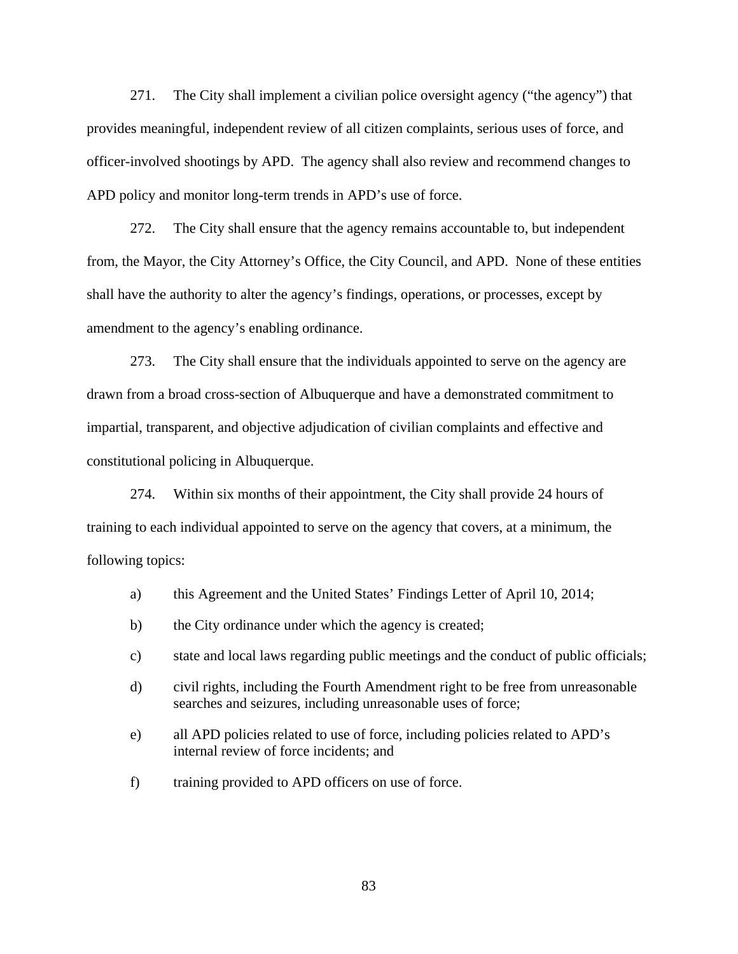271. The City shall implement a civilian police oversight agency ("the agency") that provides meaningful, independent review of all citizen complaints, serious uses of force, and officer-involved shootings by APD. The agency shall also review and recommend changes to APD policy and monitor long-term trends in APD's use of force.

272. The City shall ensure that the agency remains accountable to, but independent from, the Mayor, the City Attorney's Office, the City Council, and APD. None of these entities shall have the authority to alter the agency's findings, operations, or processes, except by amendment to the agency's enabling ordinance.

273. The City shall ensure that the individuals appointed to serve on the agency are drawn from a broad cross-section of Albuquerque and have a demonstrated commitment to impartial, transparent, and objective adjudication of civilian complaints and effective and constitutional policing in Albuquerque.

274. Within six months of their appointment, the City shall provide 24 hours of training to each individual appointed to serve on the agency that covers, at a minimum, the following topics:

- a) this Agreement and the United States' Findings Letter of April 10, 2014;
- b) the City ordinance under which the agency is created;
- c) state and local laws regarding public meetings and the conduct of public officials;
- d) civil rights, including the Fourth Amendment right to be free from unreasonable searches and seizures, including unreasonable uses of force;
- e) all APD policies related to use of force, including policies related to APD's internal review of force incidents; and
- f) training provided to APD officers on use of force.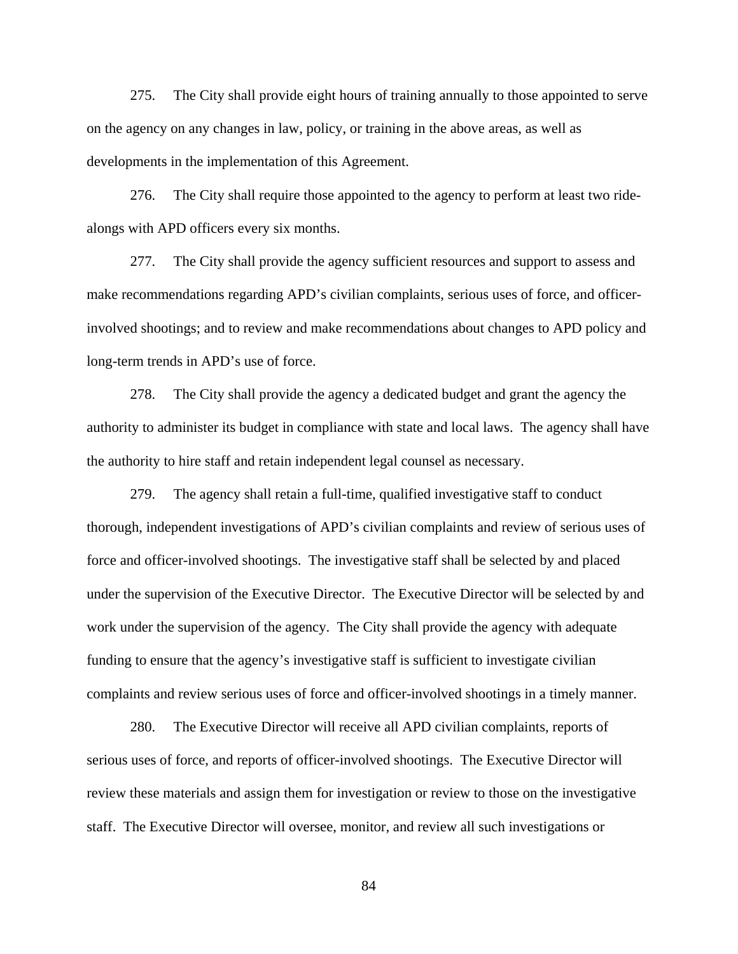275. The City shall provide eight hours of training annually to those appointed to serve on the agency on any changes in law, policy, or training in the above areas, as well as developments in the implementation of this Agreement.

276. The City shall require those appointed to the agency to perform at least two ridealongs with APD officers every six months.

277. The City shall provide the agency sufficient resources and support to assess and make recommendations regarding APD's civilian complaints, serious uses of force, and officerinvolved shootings; and to review and make recommendations about changes to APD policy and long-term trends in APD's use of force.

278. The City shall provide the agency a dedicated budget and grant the agency the authority to administer its budget in compliance with state and local laws. The agency shall have the authority to hire staff and retain independent legal counsel as necessary.

279. The agency shall retain a full-time, qualified investigative staff to conduct thorough, independent investigations of APD's civilian complaints and review of serious uses of force and officer-involved shootings. The investigative staff shall be selected by and placed under the supervision of the Executive Director. The Executive Director will be selected by and work under the supervision of the agency. The City shall provide the agency with adequate funding to ensure that the agency's investigative staff is sufficient to investigate civilian complaints and review serious uses of force and officer-involved shootings in a timely manner.

280. The Executive Director will receive all APD civilian complaints, reports of serious uses of force, and reports of officer-involved shootings. The Executive Director will review these materials and assign them for investigation or review to those on the investigative staff. The Executive Director will oversee, monitor, and review all such investigations or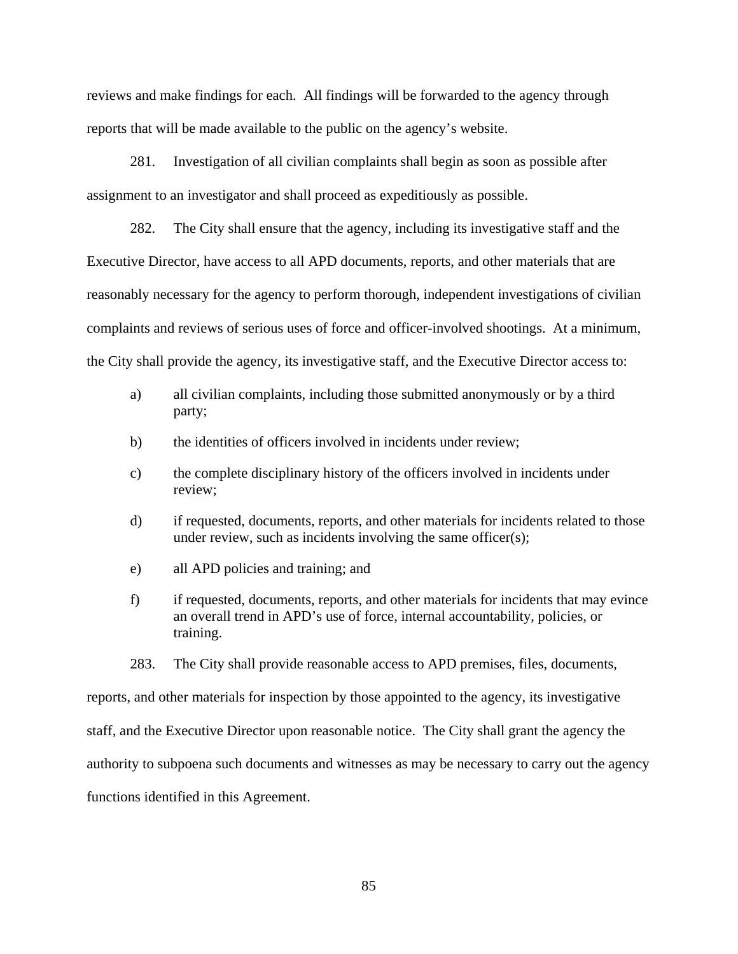reviews and make findings for each. All findings will be forwarded to the agency through reports that will be made available to the public on the agency's website.

281. Investigation of all civilian complaints shall begin as soon as possible after assignment to an investigator and shall proceed as expeditiously as possible.

282. The City shall ensure that the agency, including its investigative staff and the Executive Director, have access to all APD documents, reports, and other materials that are reasonably necessary for the agency to perform thorough, independent investigations of civilian complaints and reviews of serious uses of force and officer-involved shootings. At a minimum, the City shall provide the agency, its investigative staff, and the Executive Director access to:

- a) all civilian complaints, including those submitted anonymously or by a third party;
- b) the identities of officers involved in incidents under review;
- c) the complete disciplinary history of the officers involved in incidents under review;
- d) if requested, documents, reports, and other materials for incidents related to those under review, such as incidents involving the same officer(s);
- e) all APD policies and training; and
- f) if requested, documents, reports, and other materials for incidents that may evince an overall trend in APD's use of force, internal accountability, policies, or training.
- 283. The City shall provide reasonable access to APD premises, files, documents,

reports, and other materials for inspection by those appointed to the agency, its investigative staff, and the Executive Director upon reasonable notice. The City shall grant the agency the authority to subpoena such documents and witnesses as may be necessary to carry out the agency functions identified in this Agreement.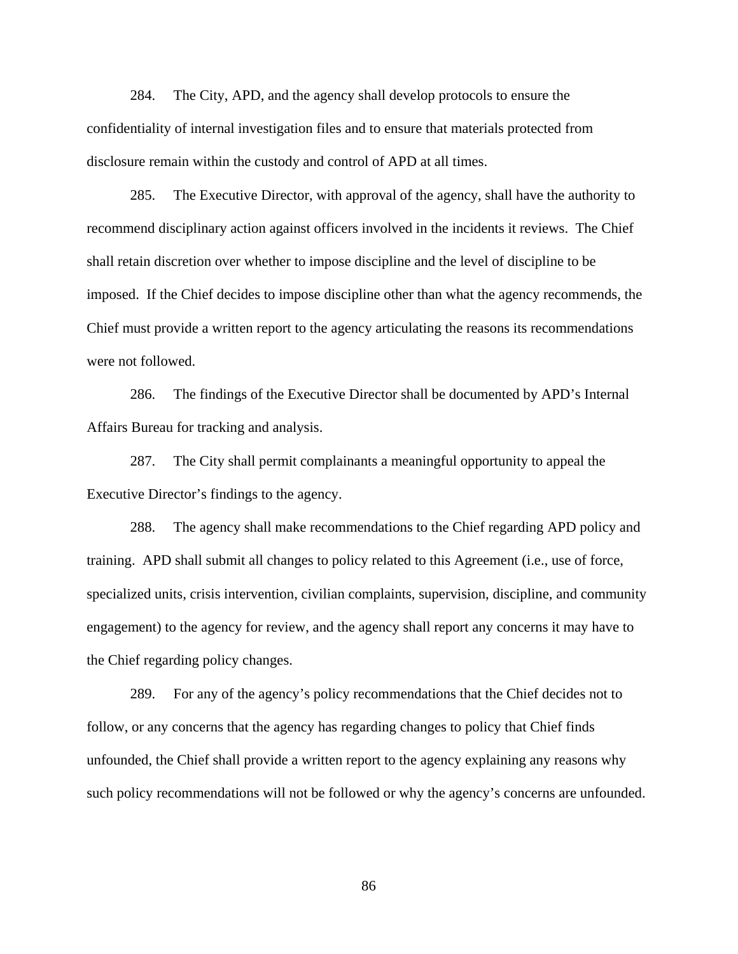284. The City, APD, and the agency shall develop protocols to ensure the confidentiality of internal investigation files and to ensure that materials protected from disclosure remain within the custody and control of APD at all times.

285. The Executive Director, with approval of the agency, shall have the authority to recommend disciplinary action against officers involved in the incidents it reviews. The Chief shall retain discretion over whether to impose discipline and the level of discipline to be imposed. If the Chief decides to impose discipline other than what the agency recommends, the Chief must provide a written report to the agency articulating the reasons its recommendations were not followed.

286. The findings of the Executive Director shall be documented by APD's Internal Affairs Bureau for tracking and analysis.

287. The City shall permit complainants a meaningful opportunity to appeal the Executive Director's findings to the agency.

288. The agency shall make recommendations to the Chief regarding APD policy and training. APD shall submit all changes to policy related to this Agreement (i.e., use of force, specialized units, crisis intervention, civilian complaints, supervision, discipline, and community engagement) to the agency for review, and the agency shall report any concerns it may have to the Chief regarding policy changes.

289. For any of the agency's policy recommendations that the Chief decides not to follow, or any concerns that the agency has regarding changes to policy that Chief finds unfounded, the Chief shall provide a written report to the agency explaining any reasons why such policy recommendations will not be followed or why the agency's concerns are unfounded.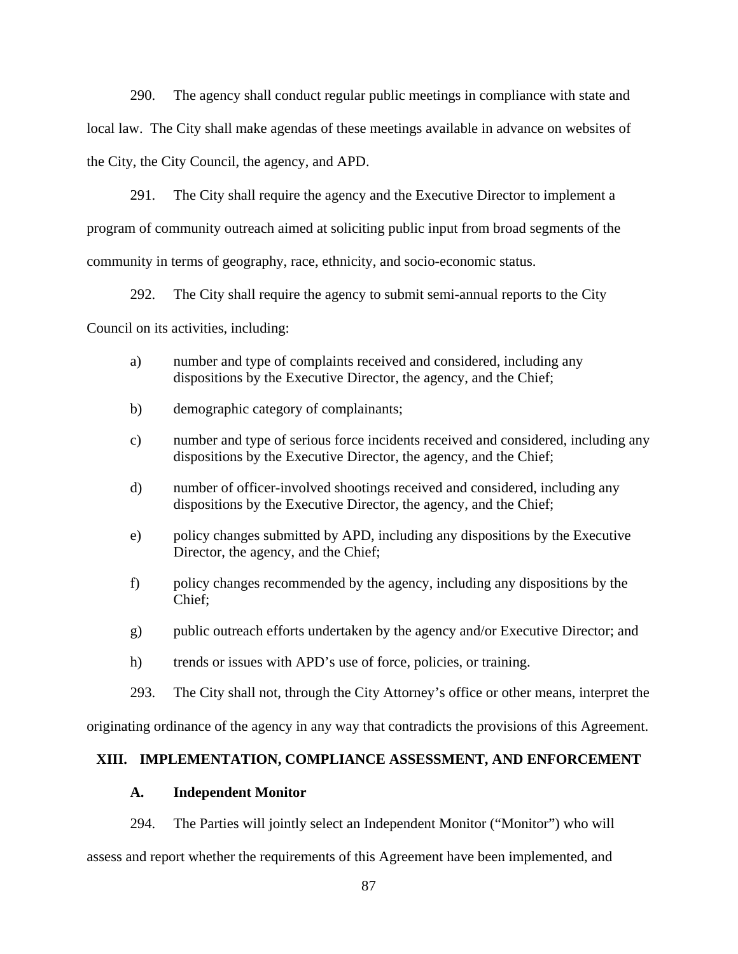290. The agency shall conduct regular public meetings in compliance with state and local law. The City shall make agendas of these meetings available in advance on websites of the City, the City Council, the agency, and APD.

291. The City shall require the agency and the Executive Director to implement a program of community outreach aimed at soliciting public input from broad segments of the community in terms of geography, race, ethnicity, and socio-economic status.

292. The City shall require the agency to submit semi-annual reports to the City Council on its activities, including:

- a) number and type of complaints received and considered, including any dispositions by the Executive Director, the agency, and the Chief;
- b) demographic category of complainants;
- c) number and type of serious force incidents received and considered, including any dispositions by the Executive Director, the agency, and the Chief;
- d) number of officer-involved shootings received and considered, including any dispositions by the Executive Director, the agency, and the Chief;
- e) policy changes submitted by APD, including any dispositions by the Executive Director, the agency, and the Chief;
- f) policy changes recommended by the agency, including any dispositions by the Chief;
- g) public outreach efforts undertaken by the agency and/or Executive Director; and
- h) trends or issues with APD's use of force, policies, or training.
- 293. The City shall not, through the City Attorney's office or other means, interpret the

originating ordinance of the agency in any way that contradicts the provisions of this Agreement.

# **XIII. IMPLEMENTATION, COMPLIANCE ASSESSMENT, AND ENFORCEMENT**

## **A. Independent Monitor**

294. The Parties will jointly select an Independent Monitor ("Monitor") who will

assess and report whether the requirements of this Agreement have been implemented, and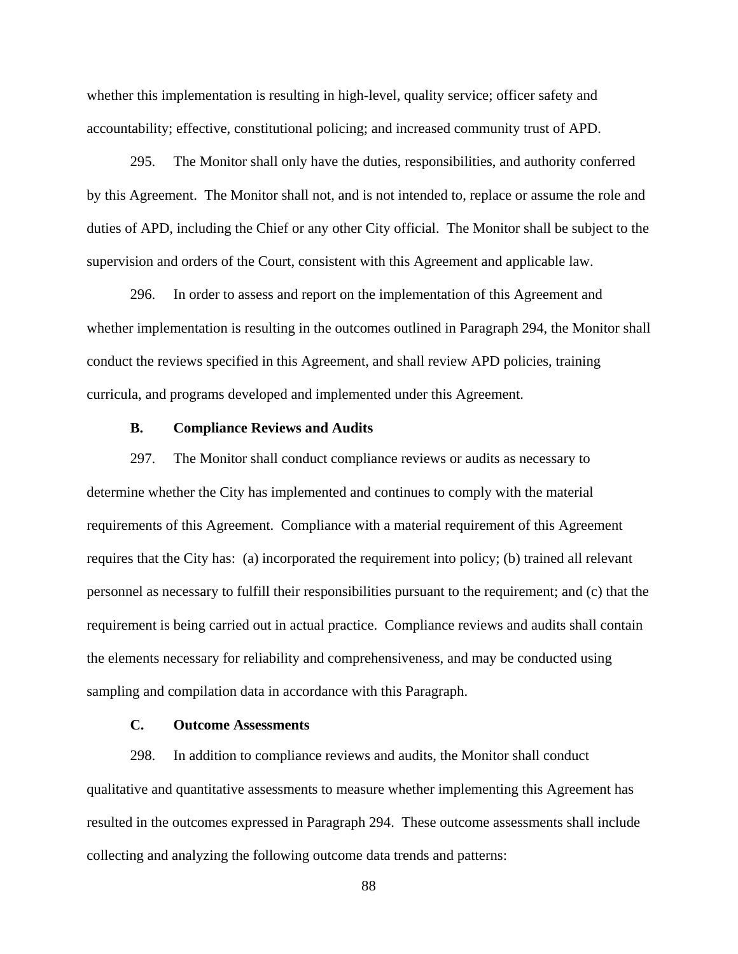whether this implementation is resulting in high-level, quality service; officer safety and accountability; effective, constitutional policing; and increased community trust of APD.

295. The Monitor shall only have the duties, responsibilities, and authority conferred by this Agreement. The Monitor shall not, and is not intended to, replace or assume the role and duties of APD, including the Chief or any other City official. The Monitor shall be subject to the supervision and orders of the Court, consistent with this Agreement and applicable law.

296. In order to assess and report on the implementation of this Agreement and whether implementation is resulting in the outcomes outlined in Paragraph 294, the Monitor shall conduct the reviews specified in this Agreement, and shall review APD policies, training curricula, and programs developed and implemented under this Agreement.

#### **B. Compliance Reviews and Audits**

297. The Monitor shall conduct compliance reviews or audits as necessary to determine whether the City has implemented and continues to comply with the material requirements of this Agreement. Compliance with a material requirement of this Agreement requires that the City has: (a) incorporated the requirement into policy; (b) trained all relevant personnel as necessary to fulfill their responsibilities pursuant to the requirement; and (c) that the requirement is being carried out in actual practice. Compliance reviews and audits shall contain the elements necessary for reliability and comprehensiveness, and may be conducted using sampling and compilation data in accordance with this Paragraph.

# **C. Outcome Assessments**

298. In addition to compliance reviews and audits, the Monitor shall conduct qualitative and quantitative assessments to measure whether implementing this Agreement has resulted in the outcomes expressed in Paragraph 294. These outcome assessments shall include collecting and analyzing the following outcome data trends and patterns: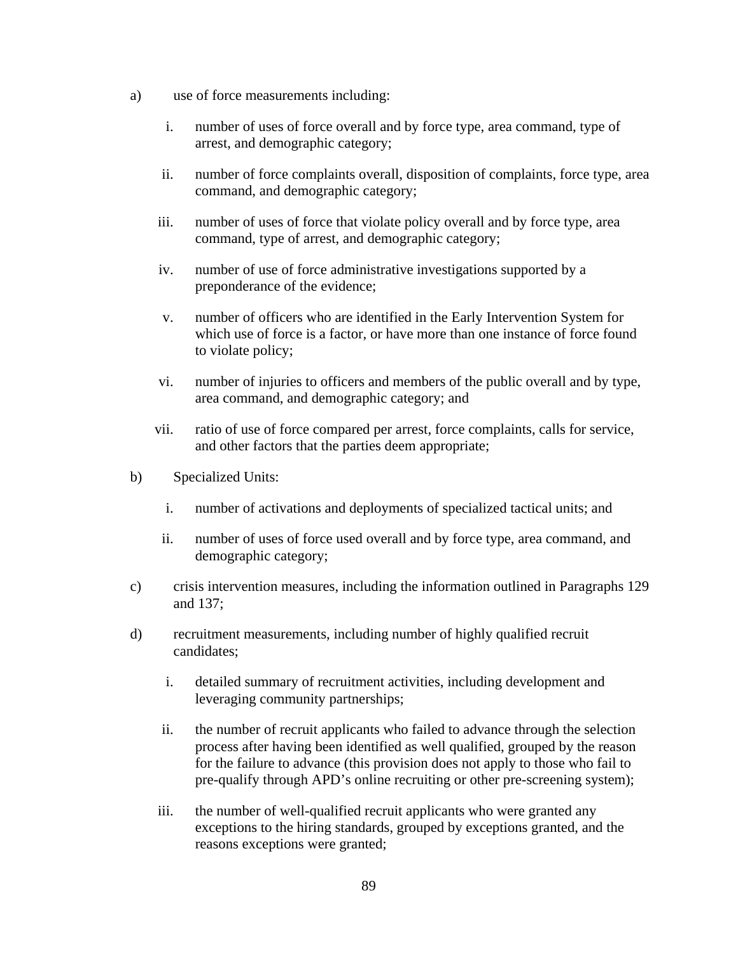- a) use of force measurements including:
	- i. number of uses of force overall and by force type, area command, type of arrest, and demographic category;
	- ii. number of force complaints overall, disposition of complaints, force type, area command, and demographic category;
	- iii. number of uses of force that violate policy overall and by force type, area command, type of arrest, and demographic category;
	- iv. number of use of force administrative investigations supported by a preponderance of the evidence;
	- v. number of officers who are identified in the Early Intervention System for which use of force is a factor, or have more than one instance of force found to violate policy;
	- vi. number of injuries to officers and members of the public overall and by type, area command, and demographic category; and
	- vii. ratio of use of force compared per arrest, force complaints, calls for service, and other factors that the parties deem appropriate;
- b) Specialized Units:
	- i. number of activations and deployments of specialized tactical units; and
	- ii. number of uses of force used overall and by force type, area command, and demographic category;
- c) crisis intervention measures, including the information outlined in Paragraphs 129 and 137;
- d) recruitment measurements, including number of highly qualified recruit candidates;
	- i. detailed summary of recruitment activities, including development and leveraging community partnerships;
	- ii. the number of recruit applicants who failed to advance through the selection process after having been identified as well qualified, grouped by the reason for the failure to advance (this provision does not apply to those who fail to pre-qualify through APD's online recruiting or other pre-screening system);
	- iii. the number of well-qualified recruit applicants who were granted any exceptions to the hiring standards, grouped by exceptions granted, and the reasons exceptions were granted;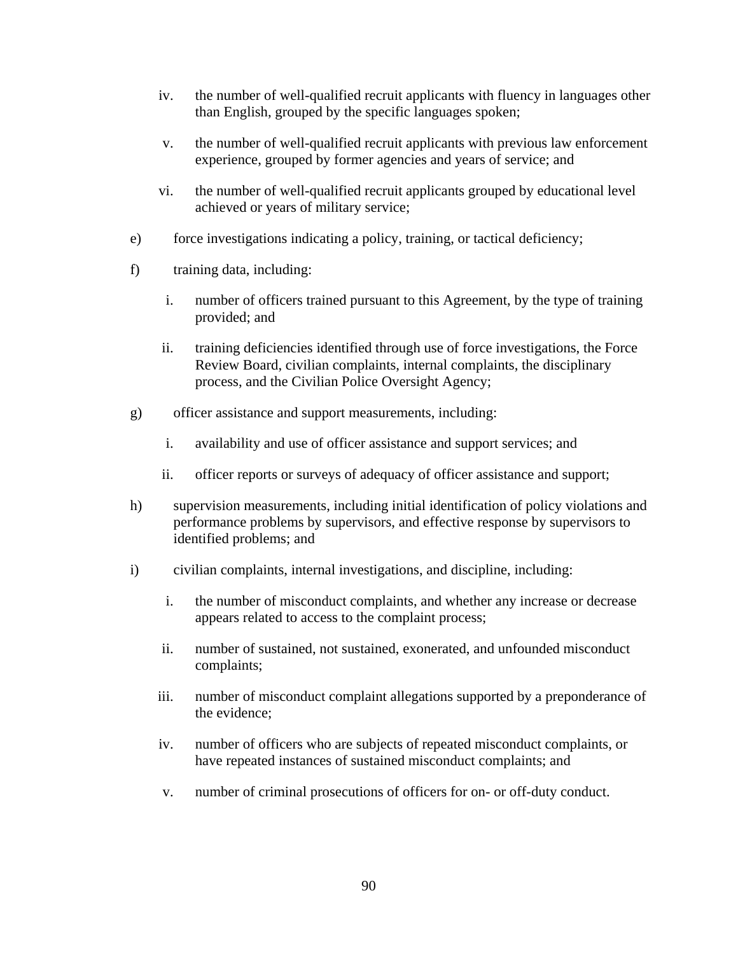- iv. the number of well-qualified recruit applicants with fluency in languages other than English, grouped by the specific languages spoken;
- v. the number of well-qualified recruit applicants with previous law enforcement experience, grouped by former agencies and years of service; and
- vi. the number of well-qualified recruit applicants grouped by educational level achieved or years of military service;
- e) force investigations indicating a policy, training, or tactical deficiency;
- f) training data, including:
	- i. number of officers trained pursuant to this Agreement, by the type of training provided; and
	- ii. training deficiencies identified through use of force investigations, the Force Review Board, civilian complaints, internal complaints, the disciplinary process, and the Civilian Police Oversight Agency;
- g) officer assistance and support measurements, including:
	- i. availability and use of officer assistance and support services; and
	- ii. officer reports or surveys of adequacy of officer assistance and support;
- h) supervision measurements, including initial identification of policy violations and performance problems by supervisors, and effective response by supervisors to identified problems; and
- i) civilian complaints, internal investigations, and discipline, including:
	- i. the number of misconduct complaints, and whether any increase or decrease appears related to access to the complaint process;
	- ii. number of sustained, not sustained, exonerated, and unfounded misconduct complaints;
	- iii. number of misconduct complaint allegations supported by a preponderance of the evidence;
	- iv. number of officers who are subjects of repeated misconduct complaints, or have repeated instances of sustained misconduct complaints; and
	- v. number of criminal prosecutions of officers for on- or off-duty conduct.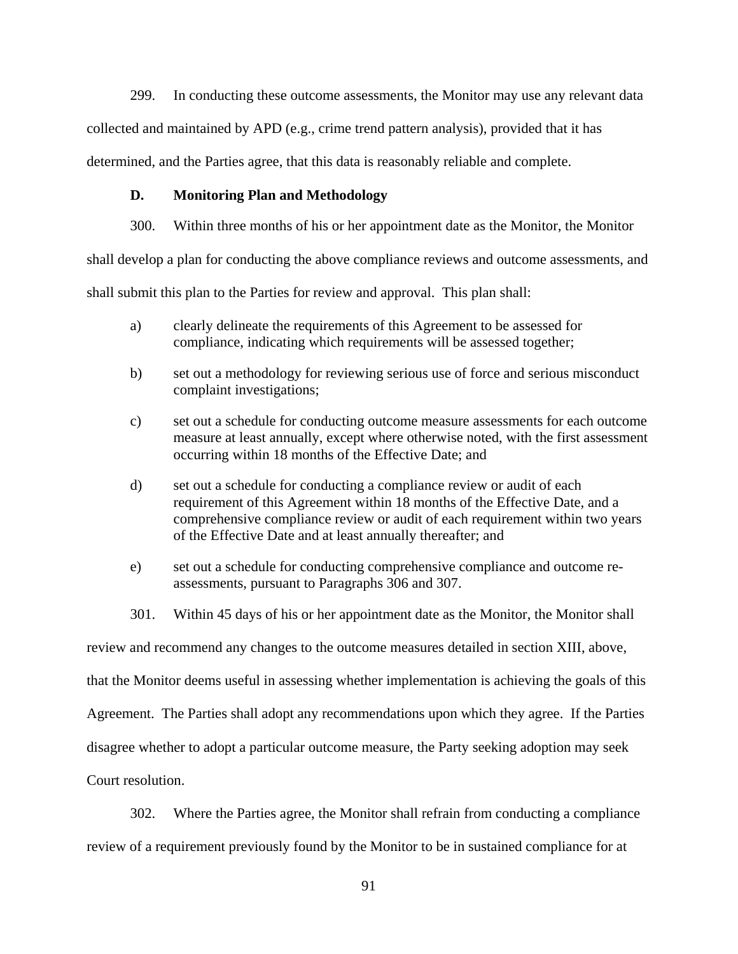299. In conducting these outcome assessments, the Monitor may use any relevant data

collected and maintained by APD (e.g., crime trend pattern analysis), provided that it has

determined, and the Parties agree, that this data is reasonably reliable and complete.

### **D. Monitoring Plan and Methodology**

300. Within three months of his or her appointment date as the Monitor, the Monitor

shall develop a plan for conducting the above compliance reviews and outcome assessments, and

shall submit this plan to the Parties for review and approval. This plan shall:

- a) clearly delineate the requirements of this Agreement to be assessed for compliance, indicating which requirements will be assessed together;
- b) set out a methodology for reviewing serious use of force and serious misconduct complaint investigations;
- c) set out a schedule for conducting outcome measure assessments for each outcome measure at least annually, except where otherwise noted, with the first assessment occurring within 18 months of the Effective Date; and
- d) set out a schedule for conducting a compliance review or audit of each requirement of this Agreement within 18 months of the Effective Date, and a comprehensive compliance review or audit of each requirement within two years of the Effective Date and at least annually thereafter; and
- e) set out a schedule for conducting comprehensive compliance and outcome reassessments, pursuant to Paragraphs 306 and 307.
- 301. Within 45 days of his or her appointment date as the Monitor, the Monitor shall

review and recommend any changes to the outcome measures detailed in section XIII, above,

that the Monitor deems useful in assessing whether implementation is achieving the goals of this

Agreement. The Parties shall adopt any recommendations upon which they agree. If the Parties

disagree whether to adopt a particular outcome measure, the Party seeking adoption may seek

Court resolution.

302. Where the Parties agree, the Monitor shall refrain from conducting a compliance review of a requirement previously found by the Monitor to be in sustained compliance for at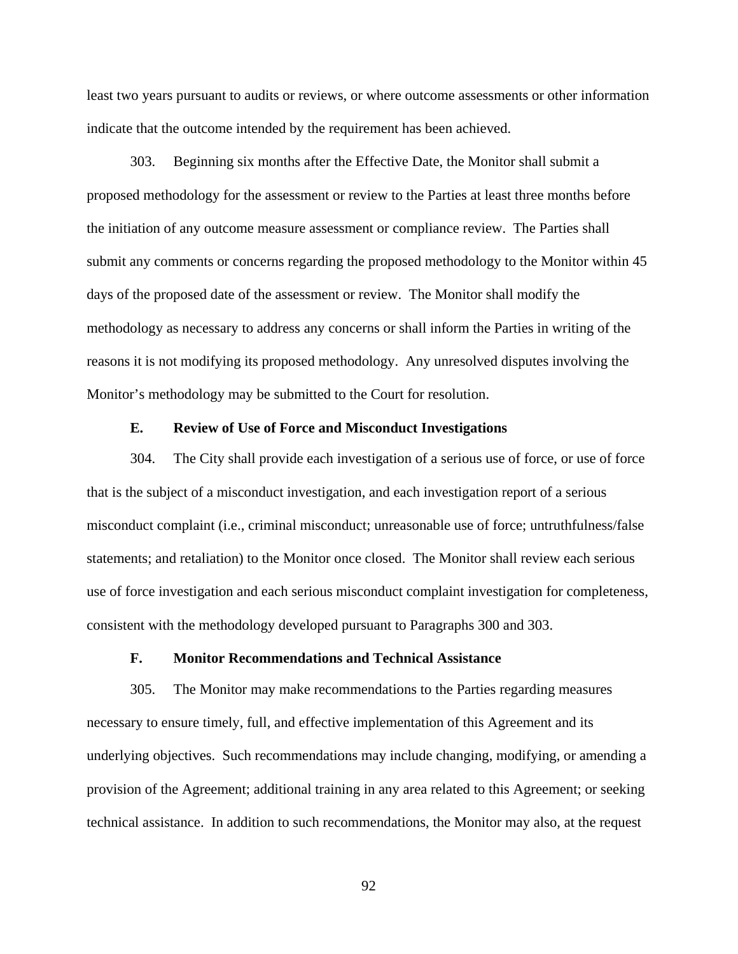least two years pursuant to audits or reviews, or where outcome assessments or other information indicate that the outcome intended by the requirement has been achieved.

303. Beginning six months after the Effective Date, the Monitor shall submit a proposed methodology for the assessment or review to the Parties at least three months before the initiation of any outcome measure assessment or compliance review. The Parties shall submit any comments or concerns regarding the proposed methodology to the Monitor within 45 days of the proposed date of the assessment or review. The Monitor shall modify the methodology as necessary to address any concerns or shall inform the Parties in writing of the reasons it is not modifying its proposed methodology. Any unresolved disputes involving the Monitor's methodology may be submitted to the Court for resolution.

#### **E. Review of Use of Force and Misconduct Investigations**

304. The City shall provide each investigation of a serious use of force, or use of force that is the subject of a misconduct investigation, and each investigation report of a serious misconduct complaint (i.e., criminal misconduct; unreasonable use of force; untruthfulness/false statements; and retaliation) to the Monitor once closed. The Monitor shall review each serious use of force investigation and each serious misconduct complaint investigation for completeness, consistent with the methodology developed pursuant to Paragraphs 300 and 303.

### **F. Monitor Recommendations and Technical Assistance**

305. The Monitor may make recommendations to the Parties regarding measures necessary to ensure timely, full, and effective implementation of this Agreement and its underlying objectives. Such recommendations may include changing, modifying, or amending a provision of the Agreement; additional training in any area related to this Agreement; or seeking technical assistance. In addition to such recommendations, the Monitor may also, at the request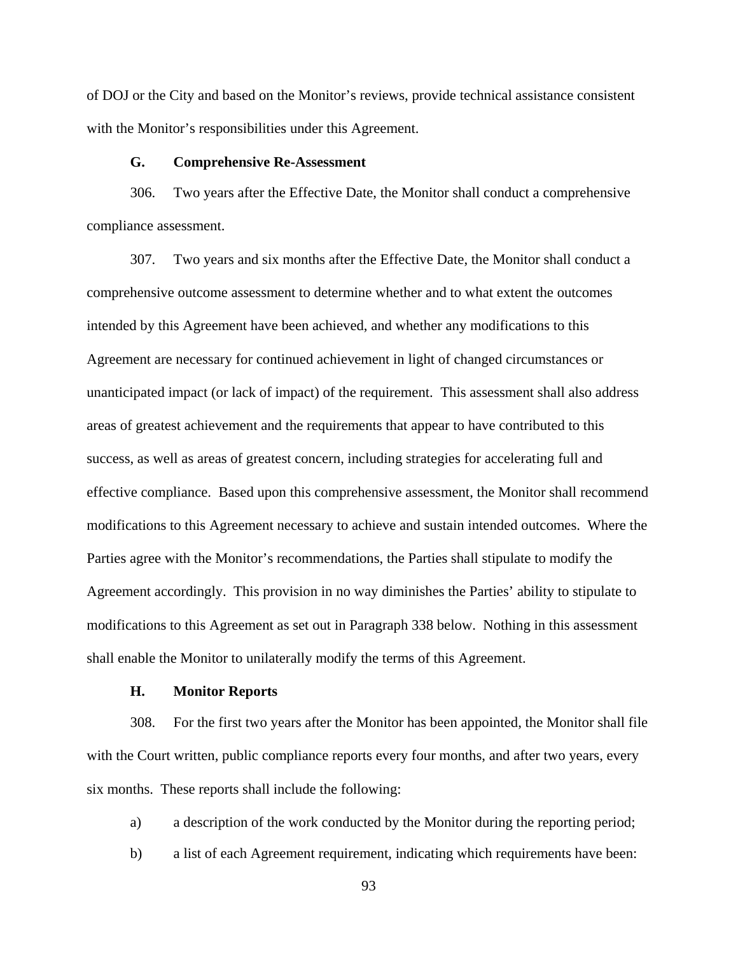of DOJ or the City and based on the Monitor's reviews, provide technical assistance consistent with the Monitor's responsibilities under this Agreement.

### **G. Comprehensive Re-Assessment**

306. Two years after the Effective Date, the Monitor shall conduct a comprehensive compliance assessment.

307. Two years and six months after the Effective Date, the Monitor shall conduct a comprehensive outcome assessment to determine whether and to what extent the outcomes intended by this Agreement have been achieved, and whether any modifications to this Agreement are necessary for continued achievement in light of changed circumstances or unanticipated impact (or lack of impact) of the requirement. This assessment shall also address areas of greatest achievement and the requirements that appear to have contributed to this success, as well as areas of greatest concern, including strategies for accelerating full and effective compliance. Based upon this comprehensive assessment, the Monitor shall recommend modifications to this Agreement necessary to achieve and sustain intended outcomes. Where the Parties agree with the Monitor's recommendations, the Parties shall stipulate to modify the Agreement accordingly. This provision in no way diminishes the Parties' ability to stipulate to modifications to this Agreement as set out in Paragraph 338 below. Nothing in this assessment shall enable the Monitor to unilaterally modify the terms of this Agreement.

# **H. Monitor Reports**

308. For the first two years after the Monitor has been appointed, the Monitor shall file with the Court written, public compliance reports every four months, and after two years, every six months. These reports shall include the following:

- a) a description of the work conducted by the Monitor during the reporting period;
- b) a list of each Agreement requirement, indicating which requirements have been: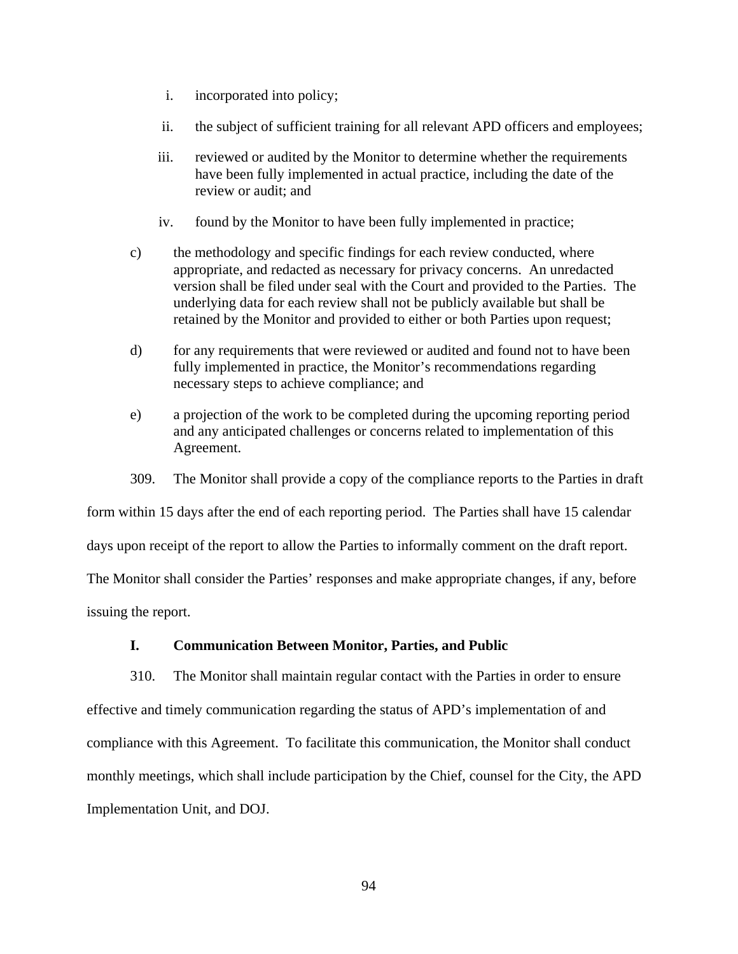- i. incorporated into policy;
- ii. the subject of sufficient training for all relevant APD officers and employees;
- iii. reviewed or audited by the Monitor to determine whether the requirements have been fully implemented in actual practice, including the date of the review or audit; and
- iv. found by the Monitor to have been fully implemented in practice;
- c) the methodology and specific findings for each review conducted, where appropriate, and redacted as necessary for privacy concerns. An unredacted version shall be filed under seal with the Court and provided to the Parties. The underlying data for each review shall not be publicly available but shall be retained by the Monitor and provided to either or both Parties upon request;
- d) for any requirements that were reviewed or audited and found not to have been fully implemented in practice, the Monitor's recommendations regarding necessary steps to achieve compliance; and
- e) a projection of the work to be completed during the upcoming reporting period and any anticipated challenges or concerns related to implementation of this Agreement.
- 309. The Monitor shall provide a copy of the compliance reports to the Parties in draft

form within 15 days after the end of each reporting period. The Parties shall have 15 calendar

days upon receipt of the report to allow the Parties to informally comment on the draft report.

The Monitor shall consider the Parties' responses and make appropriate changes, if any, before

issuing the report.

## **I. Communication Between Monitor, Parties, and Public**

310. The Monitor shall maintain regular contact with the Parties in order to ensure effective and timely communication regarding the status of APD's implementation of and compliance with this Agreement. To facilitate this communication, the Monitor shall conduct monthly meetings, which shall include participation by the Chief, counsel for the City, the APD Implementation Unit, and DOJ.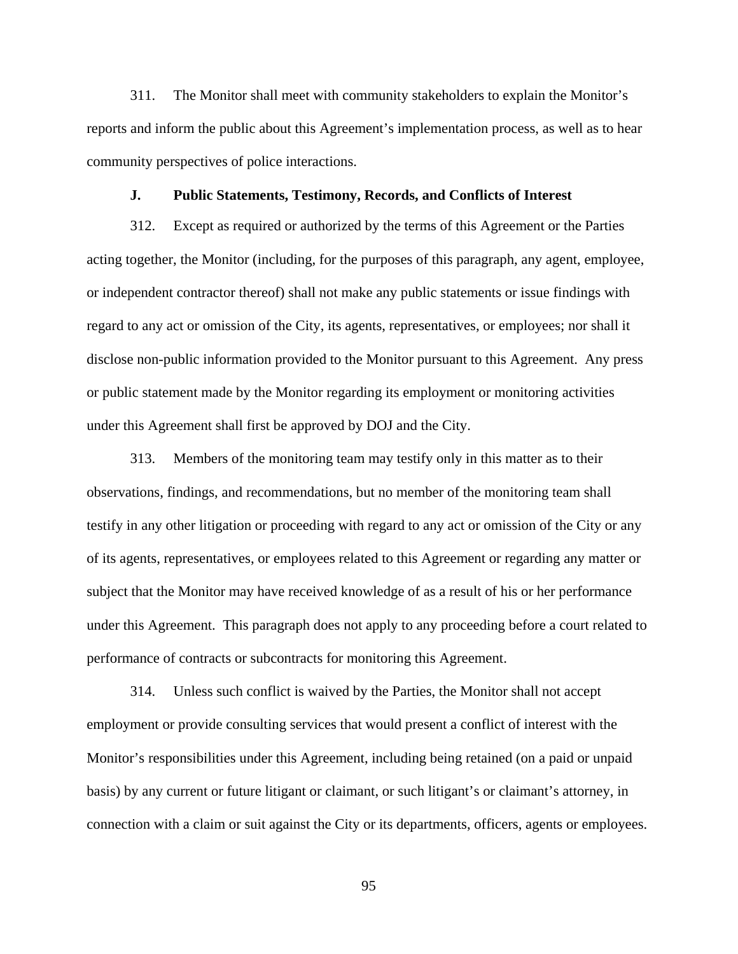311. The Monitor shall meet with community stakeholders to explain the Monitor's reports and inform the public about this Agreement's implementation process, as well as to hear community perspectives of police interactions.

#### **J. Public Statements, Testimony, Records, and Conflicts of Interest**

312. Except as required or authorized by the terms of this Agreement or the Parties acting together, the Monitor (including, for the purposes of this paragraph, any agent, employee, or independent contractor thereof) shall not make any public statements or issue findings with regard to any act or omission of the City, its agents, representatives, or employees; nor shall it disclose non-public information provided to the Monitor pursuant to this Agreement. Any press or public statement made by the Monitor regarding its employment or monitoring activities under this Agreement shall first be approved by DOJ and the City.

313. Members of the monitoring team may testify only in this matter as to their observations, findings, and recommendations, but no member of the monitoring team shall testify in any other litigation or proceeding with regard to any act or omission of the City or any of its agents, representatives, or employees related to this Agreement or regarding any matter or subject that the Monitor may have received knowledge of as a result of his or her performance under this Agreement. This paragraph does not apply to any proceeding before a court related to performance of contracts or subcontracts for monitoring this Agreement.

314. Unless such conflict is waived by the Parties, the Monitor shall not accept employment or provide consulting services that would present a conflict of interest with the Monitor's responsibilities under this Agreement, including being retained (on a paid or unpaid basis) by any current or future litigant or claimant, or such litigant's or claimant's attorney, in connection with a claim or suit against the City or its departments, officers, agents or employees.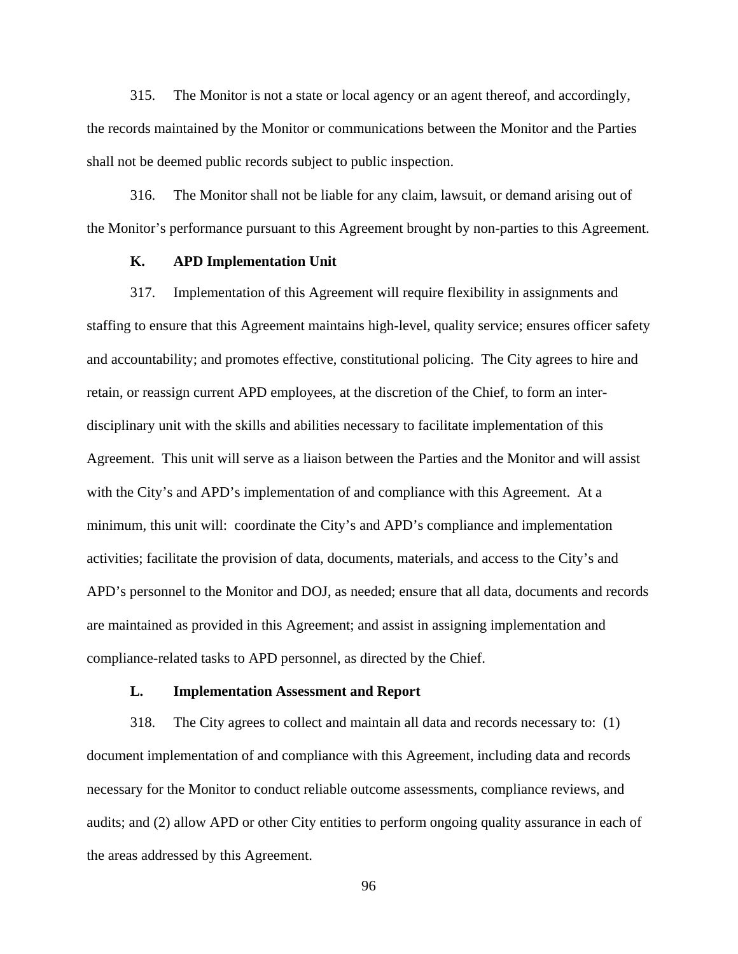315. The Monitor is not a state or local agency or an agent thereof, and accordingly, the records maintained by the Monitor or communications between the Monitor and the Parties shall not be deemed public records subject to public inspection.

316. The Monitor shall not be liable for any claim, lawsuit, or demand arising out of the Monitor's performance pursuant to this Agreement brought by non-parties to this Agreement.

## **K. APD Implementation Unit**

317. Implementation of this Agreement will require flexibility in assignments and staffing to ensure that this Agreement maintains high-level, quality service; ensures officer safety and accountability; and promotes effective, constitutional policing. The City agrees to hire and retain, or reassign current APD employees, at the discretion of the Chief, to form an interdisciplinary unit with the skills and abilities necessary to facilitate implementation of this Agreement. This unit will serve as a liaison between the Parties and the Monitor and will assist with the City's and APD's implementation of and compliance with this Agreement. At a minimum, this unit will: coordinate the City's and APD's compliance and implementation activities; facilitate the provision of data, documents, materials, and access to the City's and APD's personnel to the Monitor and DOJ, as needed; ensure that all data, documents and records are maintained as provided in this Agreement; and assist in assigning implementation and compliance-related tasks to APD personnel, as directed by the Chief.

## **L. Implementation Assessment and Report**

318. The City agrees to collect and maintain all data and records necessary to: (1) document implementation of and compliance with this Agreement, including data and records necessary for the Monitor to conduct reliable outcome assessments, compliance reviews, and audits; and (2) allow APD or other City entities to perform ongoing quality assurance in each of the areas addressed by this Agreement.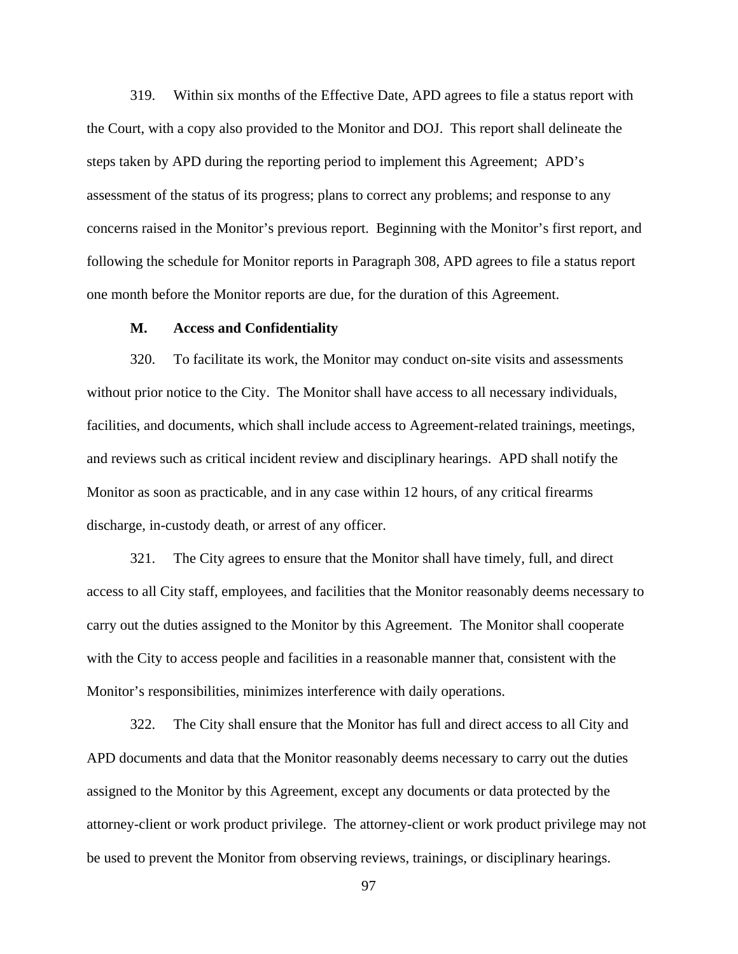319. Within six months of the Effective Date, APD agrees to file a status report with the Court, with a copy also provided to the Monitor and DOJ. This report shall delineate the steps taken by APD during the reporting period to implement this Agreement; APD's assessment of the status of its progress; plans to correct any problems; and response to any concerns raised in the Monitor's previous report. Beginning with the Monitor's first report, and following the schedule for Monitor reports in Paragraph 308, APD agrees to file a status report one month before the Monitor reports are due, for the duration of this Agreement.

### **M. Access and Confidentiality**

320. To facilitate its work, the Monitor may conduct on-site visits and assessments without prior notice to the City. The Monitor shall have access to all necessary individuals, facilities, and documents, which shall include access to Agreement-related trainings, meetings, and reviews such as critical incident review and disciplinary hearings. APD shall notify the Monitor as soon as practicable, and in any case within 12 hours, of any critical firearms discharge, in-custody death, or arrest of any officer.

321. The City agrees to ensure that the Monitor shall have timely, full, and direct access to all City staff, employees, and facilities that the Monitor reasonably deems necessary to carry out the duties assigned to the Monitor by this Agreement. The Monitor shall cooperate with the City to access people and facilities in a reasonable manner that, consistent with the Monitor's responsibilities, minimizes interference with daily operations.

322. The City shall ensure that the Monitor has full and direct access to all City and APD documents and data that the Monitor reasonably deems necessary to carry out the duties assigned to the Monitor by this Agreement, except any documents or data protected by the attorney-client or work product privilege. The attorney-client or work product privilege may not be used to prevent the Monitor from observing reviews, trainings, or disciplinary hearings.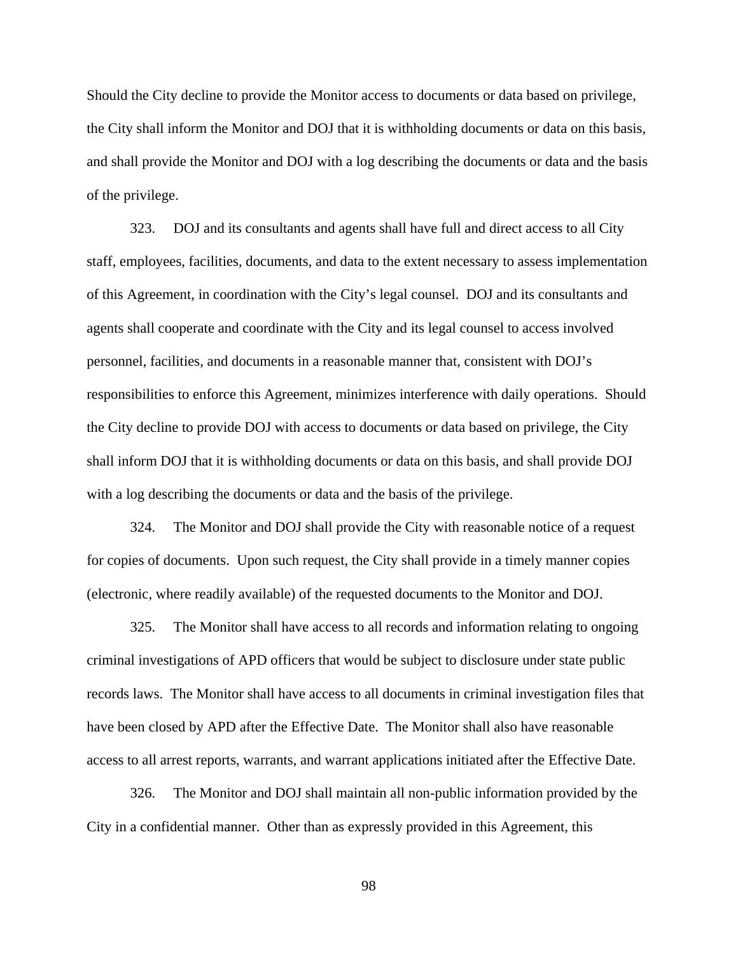Should the City decline to provide the Monitor access to documents or data based on privilege, the City shall inform the Monitor and DOJ that it is withholding documents or data on this basis, and shall provide the Monitor and DOJ with a log describing the documents or data and the basis of the privilege.

323. DOJ and its consultants and agents shall have full and direct access to all City staff, employees, facilities, documents, and data to the extent necessary to assess implementation of this Agreement, in coordination with the City's legal counsel. DOJ and its consultants and agents shall cooperate and coordinate with the City and its legal counsel to access involved personnel, facilities, and documents in a reasonable manner that, consistent with DOJ's responsibilities to enforce this Agreement, minimizes interference with daily operations. Should the City decline to provide DOJ with access to documents or data based on privilege, the City shall inform DOJ that it is withholding documents or data on this basis, and shall provide DOJ with a log describing the documents or data and the basis of the privilege.

324. The Monitor and DOJ shall provide the City with reasonable notice of a request for copies of documents. Upon such request, the City shall provide in a timely manner copies (electronic, where readily available) of the requested documents to the Monitor and DOJ.

325. The Monitor shall have access to all records and information relating to ongoing criminal investigations of APD officers that would be subject to disclosure under state public records laws. The Monitor shall have access to all documents in criminal investigation files that have been closed by APD after the Effective Date. The Monitor shall also have reasonable access to all arrest reports, warrants, and warrant applications initiated after the Effective Date.

326. The Monitor and DOJ shall maintain all non-public information provided by the City in a confidential manner. Other than as expressly provided in this Agreement, this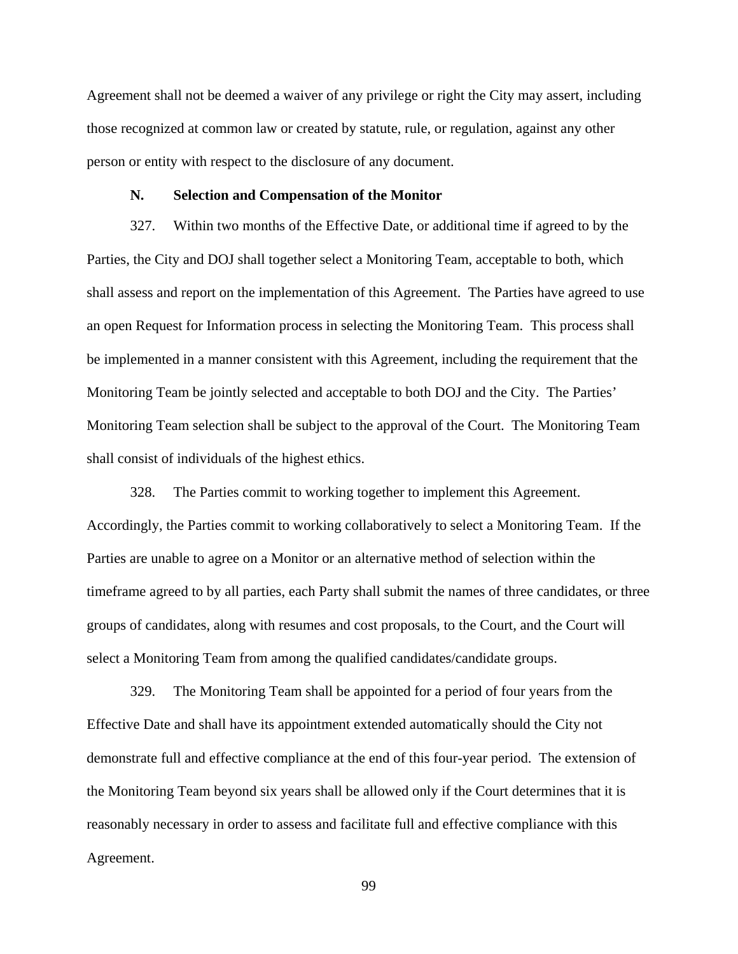Agreement shall not be deemed a waiver of any privilege or right the City may assert, including those recognized at common law or created by statute, rule, or regulation, against any other person or entity with respect to the disclosure of any document.

#### **N. Selection and Compensation of the Monitor**

327. Within two months of the Effective Date, or additional time if agreed to by the Parties, the City and DOJ shall together select a Monitoring Team, acceptable to both, which shall assess and report on the implementation of this Agreement. The Parties have agreed to use an open Request for Information process in selecting the Monitoring Team. This process shall be implemented in a manner consistent with this Agreement, including the requirement that the Monitoring Team be jointly selected and acceptable to both DOJ and the City. The Parties' Monitoring Team selection shall be subject to the approval of the Court. The Monitoring Team shall consist of individuals of the highest ethics.

328. The Parties commit to working together to implement this Agreement. Accordingly, the Parties commit to working collaboratively to select a Monitoring Team. If the Parties are unable to agree on a Monitor or an alternative method of selection within the timeframe agreed to by all parties, each Party shall submit the names of three candidates, or three groups of candidates, along with resumes and cost proposals, to the Court, and the Court will select a Monitoring Team from among the qualified candidates/candidate groups.

329. The Monitoring Team shall be appointed for a period of four years from the Effective Date and shall have its appointment extended automatically should the City not demonstrate full and effective compliance at the end of this four-year period. The extension of the Monitoring Team beyond six years shall be allowed only if the Court determines that it is reasonably necessary in order to assess and facilitate full and effective compliance with this Agreement.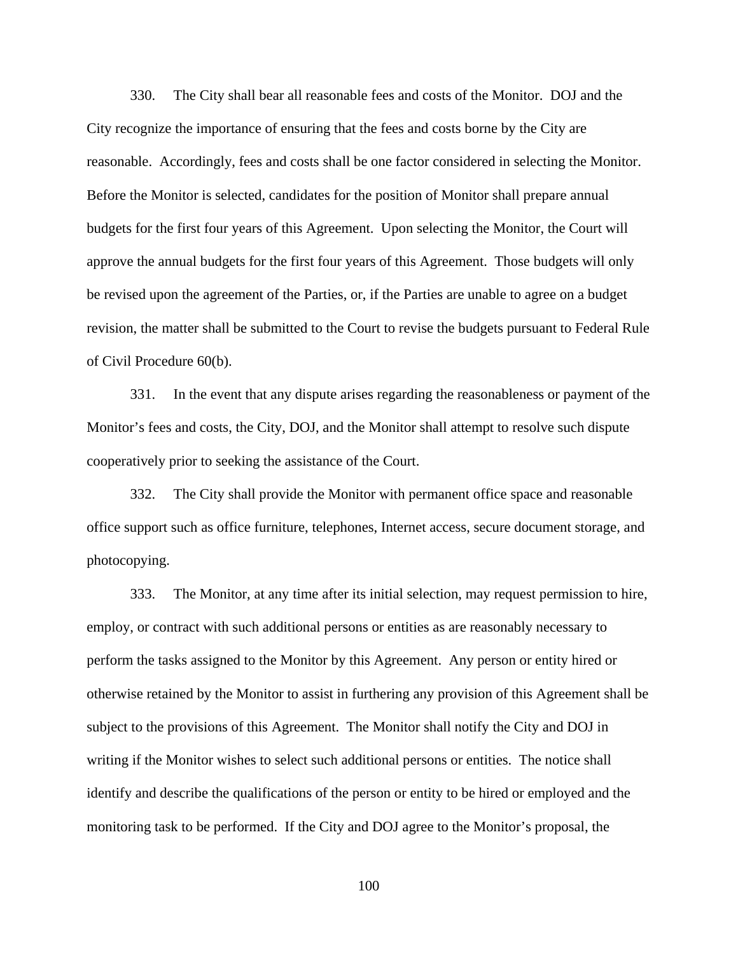330. The City shall bear all reasonable fees and costs of the Monitor. DOJ and the City recognize the importance of ensuring that the fees and costs borne by the City are reasonable. Accordingly, fees and costs shall be one factor considered in selecting the Monitor. Before the Monitor is selected, candidates for the position of Monitor shall prepare annual budgets for the first four years of this Agreement. Upon selecting the Monitor, the Court will approve the annual budgets for the first four years of this Agreement. Those budgets will only be revised upon the agreement of the Parties, or, if the Parties are unable to agree on a budget revision, the matter shall be submitted to the Court to revise the budgets pursuant to Federal Rule of Civil Procedure 60(b).

331. In the event that any dispute arises regarding the reasonableness or payment of the Monitor's fees and costs, the City, DOJ, and the Monitor shall attempt to resolve such dispute cooperatively prior to seeking the assistance of the Court.

332. The City shall provide the Monitor with permanent office space and reasonable office support such as office furniture, telephones, Internet access, secure document storage, and photocopying.

333. The Monitor, at any time after its initial selection, may request permission to hire, employ, or contract with such additional persons or entities as are reasonably necessary to perform the tasks assigned to the Monitor by this Agreement. Any person or entity hired or otherwise retained by the Monitor to assist in furthering any provision of this Agreement shall be subject to the provisions of this Agreement. The Monitor shall notify the City and DOJ in writing if the Monitor wishes to select such additional persons or entities. The notice shall identify and describe the qualifications of the person or entity to be hired or employed and the monitoring task to be performed. If the City and DOJ agree to the Monitor's proposal, the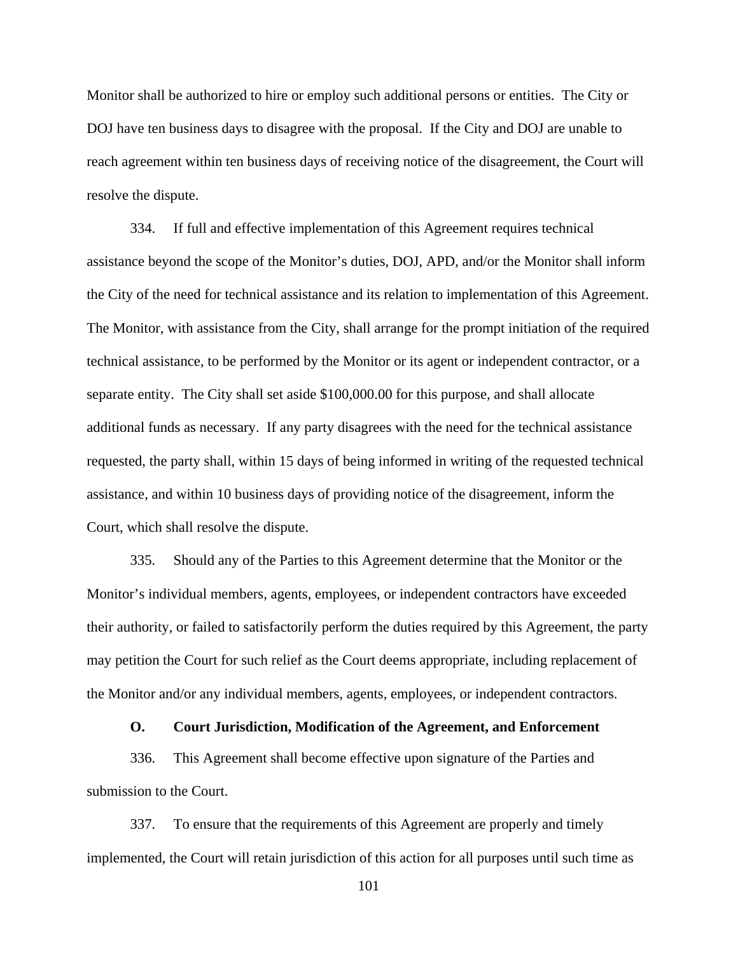Monitor shall be authorized to hire or employ such additional persons or entities. The City or DOJ have ten business days to disagree with the proposal. If the City and DOJ are unable to reach agreement within ten business days of receiving notice of the disagreement, the Court will resolve the dispute.

334. If full and effective implementation of this Agreement requires technical assistance beyond the scope of the Monitor's duties, DOJ, APD, and/or the Monitor shall inform the City of the need for technical assistance and its relation to implementation of this Agreement. The Monitor, with assistance from the City, shall arrange for the prompt initiation of the required technical assistance, to be performed by the Monitor or its agent or independent contractor, or a separate entity. The City shall set aside \$100,000.00 for this purpose, and shall allocate additional funds as necessary. If any party disagrees with the need for the technical assistance requested, the party shall, within 15 days of being informed in writing of the requested technical assistance, and within 10 business days of providing notice of the disagreement, inform the Court, which shall resolve the dispute.

335. Should any of the Parties to this Agreement determine that the Monitor or the Monitor's individual members, agents, employees, or independent contractors have exceeded their authority, or failed to satisfactorily perform the duties required by this Agreement, the party may petition the Court for such relief as the Court deems appropriate, including replacement of the Monitor and/or any individual members, agents, employees, or independent contractors.

### **O. Court Jurisdiction, Modification of the Agreement, and Enforcement**

336. This Agreement shall become effective upon signature of the Parties and submission to the Court.

337. To ensure that the requirements of this Agreement are properly and timely implemented, the Court will retain jurisdiction of this action for all purposes until such time as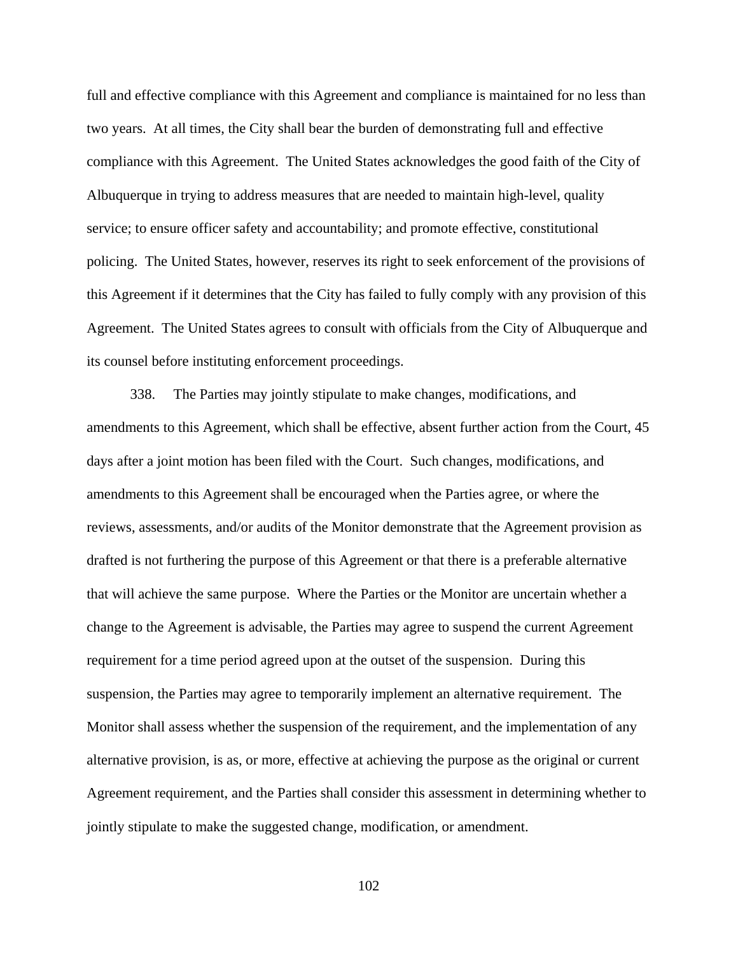full and effective compliance with this Agreement and compliance is maintained for no less than two years. At all times, the City shall bear the burden of demonstrating full and effective compliance with this Agreement. The United States acknowledges the good faith of the City of Albuquerque in trying to address measures that are needed to maintain high-level, quality service; to ensure officer safety and accountability; and promote effective, constitutional policing. The United States, however, reserves its right to seek enforcement of the provisions of this Agreement if it determines that the City has failed to fully comply with any provision of this Agreement. The United States agrees to consult with officials from the City of Albuquerque and its counsel before instituting enforcement proceedings.

338. The Parties may jointly stipulate to make changes, modifications, and amendments to this Agreement, which shall be effective, absent further action from the Court, 45 days after a joint motion has been filed with the Court. Such changes, modifications, and amendments to this Agreement shall be encouraged when the Parties agree, or where the reviews, assessments, and/or audits of the Monitor demonstrate that the Agreement provision as drafted is not furthering the purpose of this Agreement or that there is a preferable alternative that will achieve the same purpose. Where the Parties or the Monitor are uncertain whether a change to the Agreement is advisable, the Parties may agree to suspend the current Agreement requirement for a time period agreed upon at the outset of the suspension. During this suspension, the Parties may agree to temporarily implement an alternative requirement. The Monitor shall assess whether the suspension of the requirement, and the implementation of any alternative provision, is as, or more, effective at achieving the purpose as the original or current Agreement requirement, and the Parties shall consider this assessment in determining whether to jointly stipulate to make the suggested change, modification, or amendment.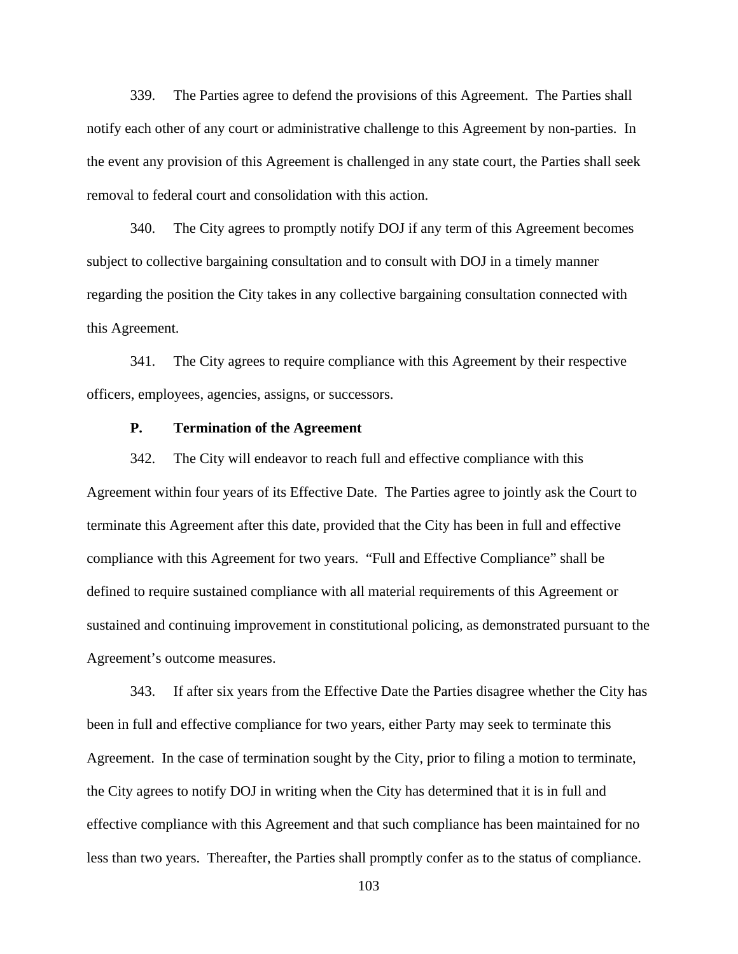339. The Parties agree to defend the provisions of this Agreement. The Parties shall notify each other of any court or administrative challenge to this Agreement by non-parties. In the event any provision of this Agreement is challenged in any state court, the Parties shall seek removal to federal court and consolidation with this action.

340. The City agrees to promptly notify DOJ if any term of this Agreement becomes subject to collective bargaining consultation and to consult with DOJ in a timely manner regarding the position the City takes in any collective bargaining consultation connected with this Agreement.

341. The City agrees to require compliance with this Agreement by their respective officers, employees, agencies, assigns, or successors.

#### **P. Termination of the Agreement**

342. The City will endeavor to reach full and effective compliance with this Agreement within four years of its Effective Date. The Parties agree to jointly ask the Court to terminate this Agreement after this date, provided that the City has been in full and effective compliance with this Agreement for two years. "Full and Effective Compliance" shall be defined to require sustained compliance with all material requirements of this Agreement or sustained and continuing improvement in constitutional policing, as demonstrated pursuant to the Agreement's outcome measures.

343. If after six years from the Effective Date the Parties disagree whether the City has been in full and effective compliance for two years, either Party may seek to terminate this Agreement. In the case of termination sought by the City, prior to filing a motion to terminate, the City agrees to notify DOJ in writing when the City has determined that it is in full and effective compliance with this Agreement and that such compliance has been maintained for no less than two years. Thereafter, the Parties shall promptly confer as to the status of compliance.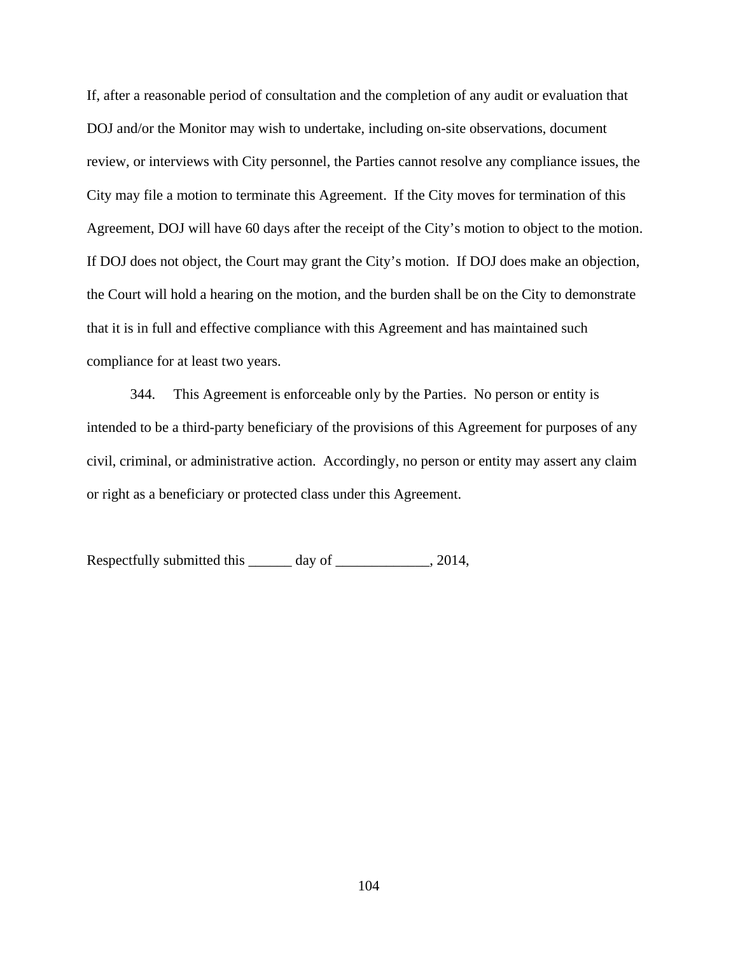If, after a reasonable period of consultation and the completion of any audit or evaluation that DOJ and/or the Monitor may wish to undertake, including on-site observations, document review, or interviews with City personnel, the Parties cannot resolve any compliance issues, the City may file a motion to terminate this Agreement. If the City moves for termination of this Agreement, DOJ will have 60 days after the receipt of the City's motion to object to the motion. If DOJ does not object, the Court may grant the City's motion. If DOJ does make an objection, the Court will hold a hearing on the motion, and the burden shall be on the City to demonstrate that it is in full and effective compliance with this Agreement and has maintained such compliance for at least two years.

344. This Agreement is enforceable only by the Parties. No person or entity is intended to be a third-party beneficiary of the provisions of this Agreement for purposes of any civil, criminal, or administrative action. Accordingly, no person or entity may assert any claim or right as a beneficiary or protected class under this Agreement.

Respectfully submitted this \_\_\_\_\_\_ day of \_\_\_\_\_\_\_\_\_\_\_\_, 2014,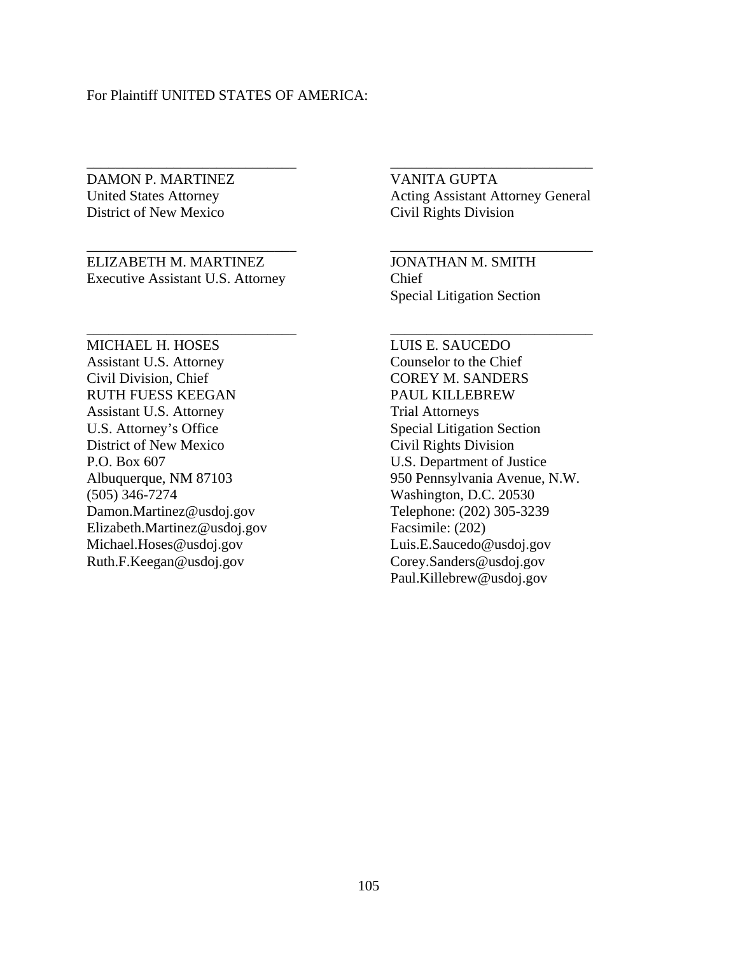### For Plaintiff UNITED STATES OF AMERICA:

DAMON P. MARTINEZ United States Attorney District of New Mexico

ELIZABETH M. MARTINEZ Executive Assistant U.S. Attorney

\_\_\_\_\_\_\_\_\_\_\_\_\_\_\_\_\_\_\_\_\_\_\_\_\_\_\_\_\_

\_\_\_\_\_\_\_\_\_\_\_\_\_\_\_\_\_\_\_\_\_\_\_\_\_\_\_\_\_

\_\_\_\_\_\_\_\_\_\_\_\_\_\_\_\_\_\_\_\_\_\_\_\_\_\_\_\_\_

MICHAEL H. HOSES Assistant U.S. Attorney Civil Division, Chief RUTH FUESS KEEGAN Assistant U.S. Attorney U.S. Attorney's Office District of New Mexico P.O. Box 607 Albuquerque, NM 87103 (505) 346-7274 Damon.Martinez@usdoj.gov Elizabeth.Martinez@usdoj.gov Michael.Hoses@usdoj.gov Ruth.F.Keegan@usdoj.gov

VANITA GUPTA Acting Assistant Attorney General Civil Rights Division

\_\_\_\_\_\_\_\_\_\_\_\_\_\_\_\_\_\_\_\_\_\_\_\_\_\_\_\_

\_\_\_\_\_\_\_\_\_\_\_\_\_\_\_\_\_\_\_\_\_\_\_\_\_\_\_\_

\_\_\_\_\_\_\_\_\_\_\_\_\_\_\_\_\_\_\_\_\_\_\_\_\_\_\_\_

JONATHAN M. SMITH Chief Special Litigation Section

LUIS E. SAUCEDO Counselor to the Chief COREY M. SANDERS PAUL KILLEBREW Trial Attorneys Special Litigation Section Civil Rights Division U.S. Department of Justice 950 Pennsylvania Avenue, N.W. Washington, D.C. 20530 Telephone: (202) 305-3239 Facsimile: (202) Luis.E.Saucedo@usdoj.gov Corey.Sanders@usdoj.gov Paul.Killebrew@usdoj.gov